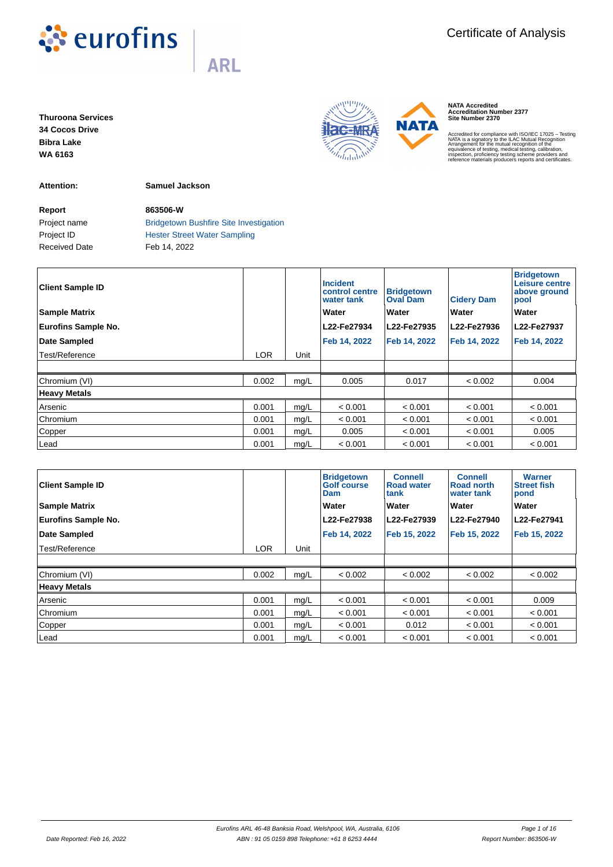

**Thuroona Services 34 Cocos Drive Bibra Lake WA 6163**

**Attention: Samuel Jackson**

**Report 863506-W** Received Date Feb 14, 2022

Project name **Bridgetown Bushfire Site Investigation** Project ID **Hester Street Water Sampling** 

| <b>Client Sample ID</b>    |            |      | <b>Incident</b><br>control centre<br>water tank | <b>Bridgetown</b><br><b>Oval Dam</b> | <b>Cidery Dam</b> | <b>Bridgetown</b><br>Leisure centre<br>above ground<br>pool |
|----------------------------|------------|------|-------------------------------------------------|--------------------------------------|-------------------|-------------------------------------------------------------|
| <b>Sample Matrix</b>       |            |      | Water                                           | Water                                | Water             | Water                                                       |
| <b>Eurofins Sample No.</b> |            |      | L22-Fe27934                                     | L22-Fe27935                          | L22-Fe27936       | L22-Fe27937                                                 |
| Date Sampled               |            |      | Feb 14, 2022                                    | Feb 14, 2022                         | Feb 14, 2022      | Feb 14, 2022                                                |
| Test/Reference             | <b>LOR</b> | Unit |                                                 |                                      |                   |                                                             |
|                            |            |      |                                                 |                                      |                   |                                                             |
| Chromium (VI)              | 0.002      | mg/L | 0.005                                           | 0.017                                | < 0.002           | 0.004                                                       |
| <b>Heavy Metals</b>        |            |      |                                                 |                                      |                   |                                                             |
| Arsenic                    | 0.001      | mg/L | < 0.001                                         | < 0.001                              | < 0.001           | < 0.001                                                     |
| Chromium                   | 0.001      | mg/L | < 0.001                                         | < 0.001                              | < 0.001           | < 0.001                                                     |
| Copper                     | 0.001      | mg/L | 0.005                                           | < 0.001                              | < 0.001           | 0.005                                                       |
| Lead                       | 0.001      | mg/L | < 0.001                                         | < 0.001                              | < 0.001           | < 0.001                                                     |

| <b>Client Sample ID</b>    |            |      | <b>Bridgetown</b><br><b>Golf course</b><br>Dam | <b>Connell</b><br><b>Road water</b><br>tank | <b>Connell</b><br>Road north<br>water tank | <b>Warner</b><br><b>Street fish</b><br>pond |
|----------------------------|------------|------|------------------------------------------------|---------------------------------------------|--------------------------------------------|---------------------------------------------|
| <b>Sample Matrix</b>       |            |      | Water                                          | Water                                       | Water                                      | Water                                       |
| <b>Eurofins Sample No.</b> |            |      | L22-Fe27938                                    | L22-Fe27939                                 | L22-Fe27940                                | L22-Fe27941                                 |
| <b>Date Sampled</b>        |            |      | Feb 14, 2022                                   | Feb 15, 2022                                | Feb 15, 2022                               | Feb 15, 2022                                |
| Test/Reference             | <b>LOR</b> | Unit |                                                |                                             |                                            |                                             |
|                            |            |      |                                                |                                             |                                            |                                             |
| Chromium (VI)              | 0.002      | mg/L | < 0.002                                        | < 0.002                                     | < 0.002                                    | < 0.002                                     |
| <b>Heavy Metals</b>        |            |      |                                                |                                             |                                            |                                             |
| Arsenic                    | 0.001      | mg/L | < 0.001                                        | < 0.001                                     | < 0.001                                    | 0.009                                       |
| Chromium                   | 0.001      | mg/L | < 0.001                                        | < 0.001                                     | < 0.001                                    | < 0.001                                     |
| Copper                     | 0.001      | mg/L | < 0.001                                        | 0.012                                       | < 0.001                                    | < 0.001                                     |
| Lead                       | 0.001      | mg/L | < 0.001                                        | < 0.001                                     | < 0.001                                    | < 0.001                                     |



**NATA Accredited Accreditation Number 2377 Site Number 2370**

Accredited for compliance with ISO/IEC 17025 – Testing<br>ANATA is a signatory to the ILAC Mutual Recognition<br>Arrangement for the mutual recognition of the<br>equivalence of testing, medical testing, calibration,<br>inspection, pro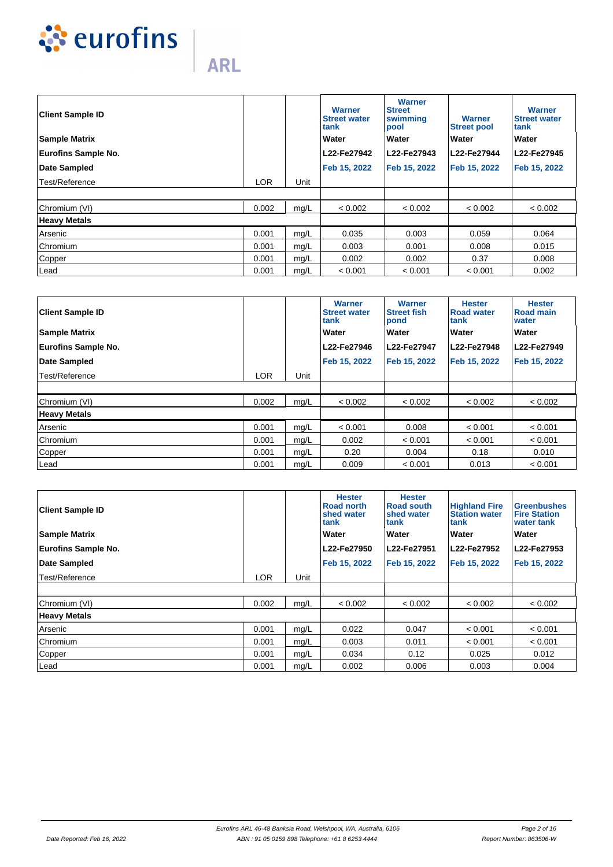

| <b>Client Sample ID</b>    |            |      | <b>Warner</b><br><b>Street water</b><br>tank | <b>Warner</b><br><b>Street</b><br>swimming<br>pool | <b>Warner</b><br><b>Street pool</b> | <b>Warner</b><br><b>Street water</b><br>tank |
|----------------------------|------------|------|----------------------------------------------|----------------------------------------------------|-------------------------------------|----------------------------------------------|
| <b>Sample Matrix</b>       |            |      | Water                                        | Water                                              | Water                               | Water                                        |
| <b>Eurofins Sample No.</b> |            |      | L22-Fe27942                                  | L22-Fe27943                                        | L22-Fe27944                         | L22-Fe27945                                  |
| Date Sampled               |            |      | Feb 15, 2022                                 | Feb 15, 2022                                       | Feb 15, 2022                        | Feb 15, 2022                                 |
| Test/Reference             | <b>LOR</b> | Unit |                                              |                                                    |                                     |                                              |
|                            |            |      |                                              |                                                    |                                     |                                              |
| Chromium (VI)              | 0.002      | mg/L | < 0.002                                      | < 0.002                                            | < 0.002                             | < 0.002                                      |
| <b>Heavy Metals</b>        |            |      |                                              |                                                    |                                     |                                              |
| Arsenic                    | 0.001      | mg/L | 0.035                                        | 0.003                                              | 0.059                               | 0.064                                        |
| Chromium                   | 0.001      | mg/L | 0.003                                        | 0.001                                              | 0.008                               | 0.015                                        |
| Copper                     | 0.001      | mg/L | 0.002                                        | 0.002                                              | 0.37                                | 0.008                                        |
| Lead                       | 0.001      | mg/L | < 0.001                                      | < 0.001                                            | < 0.001                             | 0.002                                        |

| <b>Client Sample ID</b>    |            |      | Warner<br><b>Street water</b><br>tank | Warner<br><b>Street fish</b><br>pond | <b>Hester</b><br><b>Road water</b><br>tank | <b>Hester</b><br><b>Road main</b><br>water |
|----------------------------|------------|------|---------------------------------------|--------------------------------------|--------------------------------------------|--------------------------------------------|
| <b>Sample Matrix</b>       |            |      | Water                                 | Water                                | <b>Water</b>                               | Water                                      |
| <b>Eurofins Sample No.</b> |            |      | L22-Fe27946                           | L22-Fe27947                          | L22-Fe27948                                | L22-Fe27949                                |
| Date Sampled               |            |      | Feb 15, 2022                          | Feb 15, 2022                         | Feb 15, 2022                               | Feb 15, 2022                               |
| Test/Reference             | <b>LOR</b> | Unit |                                       |                                      |                                            |                                            |
|                            |            |      |                                       |                                      |                                            |                                            |
| Chromium (VI)              | 0.002      | mg/L | < 0.002                               | < 0.002                              | < 0.002                                    | < 0.002                                    |
| <b>Heavy Metals</b>        |            |      |                                       |                                      |                                            |                                            |
| Arsenic                    | 0.001      | mg/L | < 0.001                               | 0.008                                | < 0.001                                    | < 0.001                                    |
| Chromium                   | 0.001      | mg/L | 0.002                                 | < 0.001                              | < 0.001                                    | < 0.001                                    |
| Copper                     | 0.001      | mg/L | 0.20                                  | 0.004                                | 0.18                                       | 0.010                                      |
| Lead                       | 0.001      | mg/L | 0.009                                 | < 0.001                              | 0.013                                      | < 0.001                                    |

| <b>Client Sample ID</b>    |       |      | <b>Hester</b><br>Road north<br>shed water<br>tank | <b>Hester</b><br>Road south<br>shed water<br>tank | <b>Highland Fire</b><br><b>Station water</b><br>tank | <b>Greenbushes</b><br><b>Fire Station</b><br>water tank |
|----------------------------|-------|------|---------------------------------------------------|---------------------------------------------------|------------------------------------------------------|---------------------------------------------------------|
| <b>Sample Matrix</b>       |       |      | Water                                             | Water                                             | <b>Water</b>                                         | Water                                                   |
| <b>Eurofins Sample No.</b> |       |      | L22-Fe27950                                       | L22-Fe27951                                       | L22-Fe27952                                          | L22-Fe27953                                             |
| Date Sampled               |       |      | Feb 15, 2022                                      | Feb 15, 2022                                      | Feb 15, 2022                                         | Feb 15, 2022                                            |
| Test/Reference             | LOR   | Unit |                                                   |                                                   |                                                      |                                                         |
|                            |       |      |                                                   |                                                   |                                                      |                                                         |
| Chromium (VI)              | 0.002 | mg/L | < 0.002                                           | < 0.002                                           | < 0.002                                              | < 0.002                                                 |
| <b>Heavy Metals</b>        |       |      |                                                   |                                                   |                                                      |                                                         |
| Arsenic                    | 0.001 | mg/L | 0.022                                             | 0.047                                             | < 0.001                                              | < 0.001                                                 |
| Chromium                   | 0.001 | mg/L | 0.003                                             | 0.011                                             | < 0.001                                              | < 0.001                                                 |
| Copper                     | 0.001 | mg/L | 0.034                                             | 0.12                                              | 0.025                                                | 0.012                                                   |
| Lead                       | 0.001 | mg/L | 0.002                                             | 0.006                                             | 0.003                                                | 0.004                                                   |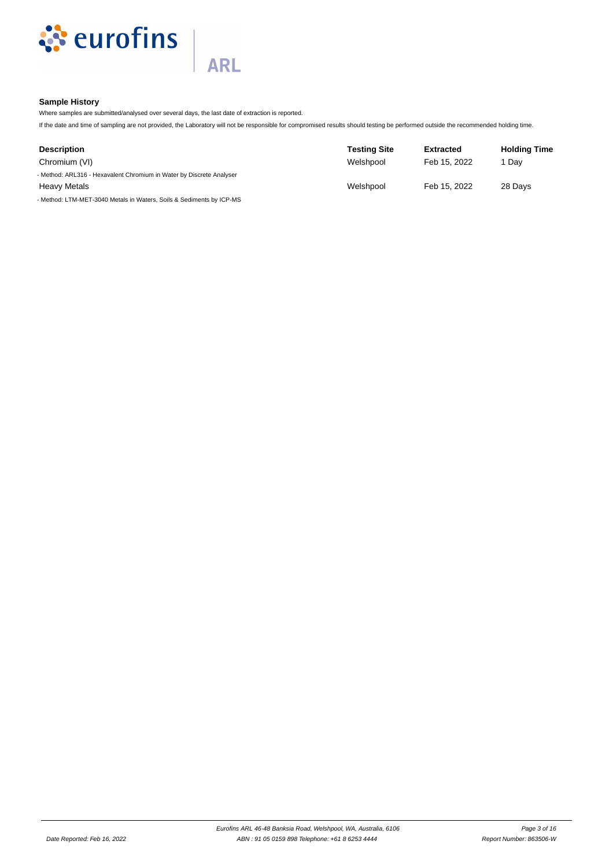

# **Sample History**

Where samples are submitted/analysed over several days, the last date of extraction is reported.

**ARL** 

If the date and time of sampling are not provided, the Laboratory will not be responsible for compromised results should testing be performed outside the recommended holding time.

| <b>Description</b>                                                   | <b>Testing Site</b> | <b>Extracted</b> | <b>Holding Time</b> |
|----------------------------------------------------------------------|---------------------|------------------|---------------------|
| Chromium (VI)                                                        | Welshpool           | Feb 15, 2022     | 1 Dav               |
| - Method: ARL316 - Hexavalent Chromium in Water by Discrete Analyser |                     |                  |                     |
| <b>Heavy Metals</b>                                                  | Welshpool           | Feb 15, 2022     | 28 Days             |
| - Method: LTM-MET-3040 Metals in Waters, Soils & Sediments by ICP-MS |                     |                  |                     |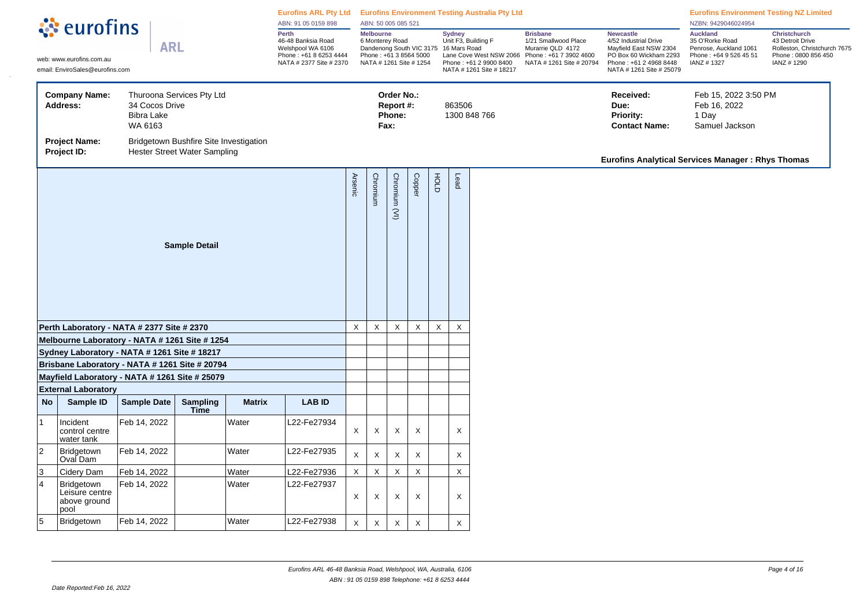| <b>Melbourne</b><br>Perth<br><b>Sydney</b><br><b>Brisbane</b><br><b>Newcastle</b><br>Unit F3, Building F<br>46-48 Banksia Road<br>6 Monterey Road<br>1/21 Smallwood Place<br>4/52 Industrial Drive<br><b>ARL</b><br>Welshpool WA 6106<br>Dandenong South VIC 3175 16 Mars Road<br>Murarrie QLD 4172<br>Mayfield East NSW 2304<br>Lane Cove West NSW 2066 Phone: +61 7 3902 4600<br>Phone: +61 8 6253 4444<br>Phone: +61 3 8564 5000<br>PO Box 60 Wickham 2293<br>web: www.eurofins.com.au<br>NATA # 2377 Site # 2370<br>NATA # 1261 Site # 1254<br>Phone: +61 2 9900 8400<br>NATA # 1261 Site # 20794<br>Phone: +61 2 4968 8448<br>email: EnviroSales@eurofins.com<br>NATA # 1261 Site # 25079<br>NATA # 1261 Site # 18217<br><b>Company Name:</b><br>Thuroona Services Pty Ltd<br>Order No.:<br>Received:<br>34 Cocos Drive<br>863506<br>Address:<br>Report #:<br>Due:<br>Bibra Lake<br>Phone:<br>1300 848 766<br>Priority:<br>WA 6163<br>Fax:<br><b>Contact Name:</b><br><b>Project Name:</b><br>Bridgetown Bushfire Site Investigation<br>Project ID:<br>Hester Street Water Sampling<br><b>Eurofins Analytical Services Manager: Rhys Thomas</b><br><b>Copper</b><br>FOLD<br><b>Arsenic</b><br>Chromium (VI)<br>Lead<br>Chromium<br><b>Sample Detail</b><br>$\mathsf X$<br>$\mathsf X$<br>$\boldsymbol{\mathsf{X}}$<br>$\mathsf X$<br>X<br>X<br>Perth Laboratory - NATA # 2377 Site # 2370<br>Melbourne Laboratory - NATA # 1261 Site # 1254<br>Sydney Laboratory - NATA # 1261 Site # 18217<br>Brisbane Laboratory - NATA # 1261 Site # 20794<br>Mayfield Laboratory - NATA # 1261 Site # 25079<br><b>External Laboratory</b><br>Sample ID<br><b>Sample Date</b><br><b>Sampling</b><br><b>Matrix</b><br><b>LAB ID</b><br><b>No</b><br>Time<br>Feb 14, 2022<br>Water<br> 1<br>Incident<br>L22-Fe27934<br>X<br>$\mathsf X$<br>$\mathsf X$<br>$\boldsymbol{\mathsf{X}}$<br>control centre<br>X<br>water tank<br>$ 2\rangle$<br>Bridgetown<br>Feb 14, 2022<br>Water<br>L22-Fe27935<br>X<br>X<br>X<br>X<br>X<br>Oval Dam<br>$\mathsf X$<br>$\mathsf X$<br>$\boldsymbol{\mathsf{X}}$<br>3<br>Feb 14, 2022<br>Water<br>L22-Fe27936<br>X<br>X<br>Cidery Dam<br>4<br>Bridgetown<br>Feb 14, 2022<br>Water<br>L22-Fe27937<br>Leisure centre | ं eurofins |  |  |  |  | Eurofins ARL Pty Ltd Eurofins Environment Testing Australia Pty Ltd<br>ABN: 91 05 0159 898 |   | ABN: 50 005 085 521 |   |         |                                                                                                      |                                                                                                              |  | <b>Eurofins Environment Testing NZ Limited</b><br>NZBN: 9429046024954 |  |
|---------------------------------------------------------------------------------------------------------------------------------------------------------------------------------------------------------------------------------------------------------------------------------------------------------------------------------------------------------------------------------------------------------------------------------------------------------------------------------------------------------------------------------------------------------------------------------------------------------------------------------------------------------------------------------------------------------------------------------------------------------------------------------------------------------------------------------------------------------------------------------------------------------------------------------------------------------------------------------------------------------------------------------------------------------------------------------------------------------------------------------------------------------------------------------------------------------------------------------------------------------------------------------------------------------------------------------------------------------------------------------------------------------------------------------------------------------------------------------------------------------------------------------------------------------------------------------------------------------------------------------------------------------------------------------------------------------------------------------------------------------------------------------------------------------------------------------------------------------------------------------------------------------------------------------------------------------------------------------------------------------------------------------------------------------------------------------------------------------------------------------------------------------------------------------------------------------------------------------------|------------|--|--|--|--|--------------------------------------------------------------------------------------------|---|---------------------|---|---------|------------------------------------------------------------------------------------------------------|--------------------------------------------------------------------------------------------------------------|--|-----------------------------------------------------------------------|--|
|                                                                                                                                                                                                                                                                                                                                                                                                                                                                                                                                                                                                                                                                                                                                                                                                                                                                                                                                                                                                                                                                                                                                                                                                                                                                                                                                                                                                                                                                                                                                                                                                                                                                                                                                                                                                                                                                                                                                                                                                                                                                                                                                                                                                                                       |            |  |  |  |  |                                                                                            |   |                     |   |         | <b>Auckland</b><br>35 O'Rorke Road<br>Penrose, Auckland 1061<br>Phone: +64 9 526 45 51<br>IANZ #1327 | <b>Christchurch</b><br>43 Detroit Drive<br>Rolleston, Christchurch 7675<br>Phone: 0800 856 450<br>IANZ #1290 |  |                                                                       |  |
|                                                                                                                                                                                                                                                                                                                                                                                                                                                                                                                                                                                                                                                                                                                                                                                                                                                                                                                                                                                                                                                                                                                                                                                                                                                                                                                                                                                                                                                                                                                                                                                                                                                                                                                                                                                                                                                                                                                                                                                                                                                                                                                                                                                                                                       |            |  |  |  |  |                                                                                            |   |                     |   |         |                                                                                                      |                                                                                                              |  | Feb 15, 2022 3:50 PM<br>Feb 16, 2022<br>1 Day<br>Samuel Jackson       |  |
|                                                                                                                                                                                                                                                                                                                                                                                                                                                                                                                                                                                                                                                                                                                                                                                                                                                                                                                                                                                                                                                                                                                                                                                                                                                                                                                                                                                                                                                                                                                                                                                                                                                                                                                                                                                                                                                                                                                                                                                                                                                                                                                                                                                                                                       |            |  |  |  |  |                                                                                            |   |                     |   |         |                                                                                                      |                                                                                                              |  |                                                                       |  |
|                                                                                                                                                                                                                                                                                                                                                                                                                                                                                                                                                                                                                                                                                                                                                                                                                                                                                                                                                                                                                                                                                                                                                                                                                                                                                                                                                                                                                                                                                                                                                                                                                                                                                                                                                                                                                                                                                                                                                                                                                                                                                                                                                                                                                                       |            |  |  |  |  |                                                                                            |   |                     |   |         |                                                                                                      |                                                                                                              |  |                                                                       |  |
|                                                                                                                                                                                                                                                                                                                                                                                                                                                                                                                                                                                                                                                                                                                                                                                                                                                                                                                                                                                                                                                                                                                                                                                                                                                                                                                                                                                                                                                                                                                                                                                                                                                                                                                                                                                                                                                                                                                                                                                                                                                                                                                                                                                                                                       |            |  |  |  |  |                                                                                            |   |                     |   |         |                                                                                                      |                                                                                                              |  |                                                                       |  |
|                                                                                                                                                                                                                                                                                                                                                                                                                                                                                                                                                                                                                                                                                                                                                                                                                                                                                                                                                                                                                                                                                                                                                                                                                                                                                                                                                                                                                                                                                                                                                                                                                                                                                                                                                                                                                                                                                                                                                                                                                                                                                                                                                                                                                                       |            |  |  |  |  |                                                                                            |   |                     |   |         |                                                                                                      |                                                                                                              |  |                                                                       |  |
|                                                                                                                                                                                                                                                                                                                                                                                                                                                                                                                                                                                                                                                                                                                                                                                                                                                                                                                                                                                                                                                                                                                                                                                                                                                                                                                                                                                                                                                                                                                                                                                                                                                                                                                                                                                                                                                                                                                                                                                                                                                                                                                                                                                                                                       |            |  |  |  |  |                                                                                            |   |                     |   |         |                                                                                                      |                                                                                                              |  |                                                                       |  |
|                                                                                                                                                                                                                                                                                                                                                                                                                                                                                                                                                                                                                                                                                                                                                                                                                                                                                                                                                                                                                                                                                                                                                                                                                                                                                                                                                                                                                                                                                                                                                                                                                                                                                                                                                                                                                                                                                                                                                                                                                                                                                                                                                                                                                                       |            |  |  |  |  |                                                                                            |   |                     |   |         |                                                                                                      |                                                                                                              |  |                                                                       |  |
|                                                                                                                                                                                                                                                                                                                                                                                                                                                                                                                                                                                                                                                                                                                                                                                                                                                                                                                                                                                                                                                                                                                                                                                                                                                                                                                                                                                                                                                                                                                                                                                                                                                                                                                                                                                                                                                                                                                                                                                                                                                                                                                                                                                                                                       |            |  |  |  |  |                                                                                            |   |                     |   |         |                                                                                                      |                                                                                                              |  |                                                                       |  |
|                                                                                                                                                                                                                                                                                                                                                                                                                                                                                                                                                                                                                                                                                                                                                                                                                                                                                                                                                                                                                                                                                                                                                                                                                                                                                                                                                                                                                                                                                                                                                                                                                                                                                                                                                                                                                                                                                                                                                                                                                                                                                                                                                                                                                                       |            |  |  |  |  |                                                                                            |   |                     |   |         |                                                                                                      |                                                                                                              |  |                                                                       |  |
|                                                                                                                                                                                                                                                                                                                                                                                                                                                                                                                                                                                                                                                                                                                                                                                                                                                                                                                                                                                                                                                                                                                                                                                                                                                                                                                                                                                                                                                                                                                                                                                                                                                                                                                                                                                                                                                                                                                                                                                                                                                                                                                                                                                                                                       |            |  |  |  |  |                                                                                            |   |                     |   |         |                                                                                                      |                                                                                                              |  |                                                                       |  |
|                                                                                                                                                                                                                                                                                                                                                                                                                                                                                                                                                                                                                                                                                                                                                                                                                                                                                                                                                                                                                                                                                                                                                                                                                                                                                                                                                                                                                                                                                                                                                                                                                                                                                                                                                                                                                                                                                                                                                                                                                                                                                                                                                                                                                                       |            |  |  |  |  |                                                                                            |   |                     |   |         |                                                                                                      |                                                                                                              |  |                                                                       |  |
|                                                                                                                                                                                                                                                                                                                                                                                                                                                                                                                                                                                                                                                                                                                                                                                                                                                                                                                                                                                                                                                                                                                                                                                                                                                                                                                                                                                                                                                                                                                                                                                                                                                                                                                                                                                                                                                                                                                                                                                                                                                                                                                                                                                                                                       |            |  |  |  |  |                                                                                            |   |                     |   |         |                                                                                                      |                                                                                                              |  |                                                                       |  |
| Χ<br>above ground<br>pool                                                                                                                                                                                                                                                                                                                                                                                                                                                                                                                                                                                                                                                                                                                                                                                                                                                                                                                                                                                                                                                                                                                                                                                                                                                                                                                                                                                                                                                                                                                                                                                                                                                                                                                                                                                                                                                                                                                                                                                                                                                                                                                                                                                                             |            |  |  |  |  |                                                                                            | X | X                   | X | $\sf X$ |                                                                                                      |                                                                                                              |  |                                                                       |  |
| 5<br>Water<br>Bridgetown<br>Feb 14, 2022<br>L22-Fe27938<br>X<br>X<br>$\boldsymbol{\mathsf{X}}$<br>X<br>X                                                                                                                                                                                                                                                                                                                                                                                                                                                                                                                                                                                                                                                                                                                                                                                                                                                                                                                                                                                                                                                                                                                                                                                                                                                                                                                                                                                                                                                                                                                                                                                                                                                                                                                                                                                                                                                                                                                                                                                                                                                                                                                              |            |  |  |  |  |                                                                                            |   |                     |   |         |                                                                                                      |                                                                                                              |  |                                                                       |  |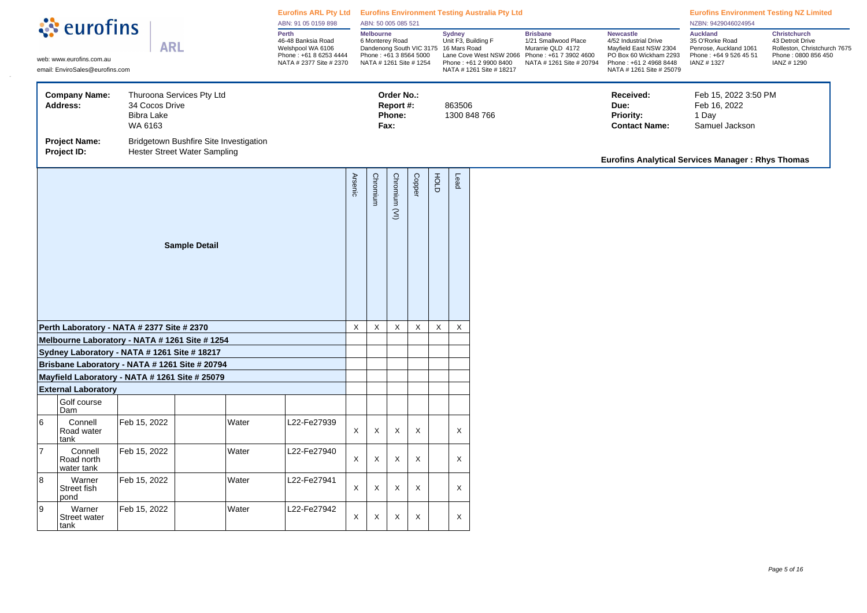| ं eurofins |                                                                                                                                |                                                |                                                                        |          | Eurofins ARL Pty Ltd Eurofins Environment Testing Australia Pty Ltd<br>ABN: 91 05 0159 898            |              | ABN: 50 005 085 521                                                               |                                           |          |   |               |                                                                                                                                               |                                                                                                                    |                                                                                                                                                     | <b>Eurofins Environment Testing NZ Limited</b><br>NZBN: 9429046024954                                |                                                                                                              |
|------------|--------------------------------------------------------------------------------------------------------------------------------|------------------------------------------------|------------------------------------------------------------------------|----------|-------------------------------------------------------------------------------------------------------|--------------|-----------------------------------------------------------------------------------|-------------------------------------------|----------|---|---------------|-----------------------------------------------------------------------------------------------------------------------------------------------|--------------------------------------------------------------------------------------------------------------------|-----------------------------------------------------------------------------------------------------------------------------------------------------|------------------------------------------------------------------------------------------------------|--------------------------------------------------------------------------------------------------------------|
|            | <b>ARL</b><br>web: www.eurofins.com.au<br>email: EnviroSales@eurofins.com<br>Thuroona Services Pty Ltd<br><b>Company Name:</b> |                                                |                                                                        |          | Perth<br>46-48 Banksia Road<br>Welshpool WA 6106<br>Phone: +61 8 6253 4444<br>NATA # 2377 Site # 2370 |              | Melbourne<br>6 Monterey Road<br>Phone: +61 3 8564 5000<br>NATA # 1261 Site # 1254 |                                           |          |   | <b>Sydney</b> | Unit F3, Building F<br>Dandenong South VIC 3175 16 Mars Road<br>Lane Cove West NSW 2066<br>Phone: +61 2 9900 8400<br>NATA # 1261 Site # 18217 | <b>Brisbane</b><br>1/21 Smallwood Place<br>Murarrie QLD 4172<br>Phone: +61 7 3902 4600<br>NATA # 1261 Site # 20794 | <b>Newcastle</b><br>4/52 Industrial Drive<br>Mayfield East NSW 2304<br>PO Box 60 Wickham 2293<br>Phone: +61 2 4968 8448<br>NATA # 1261 Site # 25079 | <b>Auckland</b><br>35 O'Rorke Road<br>Penrose, Auckland 1061<br>Phone: +64 9 526 45 51<br>IANZ #1327 | <b>Christchurch</b><br>43 Detroit Drive<br>Rolleston, Christchurch 7675<br>Phone: 0800 856 450<br>IANZ #1290 |
|            | Address:                                                                                                                       | 34 Cocos Drive<br><b>Bibra Lake</b><br>WA 6163 |                                                                        |          |                                                                                                       |              |                                                                                   | Order No.:<br>Report #:<br>Phone:<br>Fax: |          |   |               | 863506<br>1300 848 766                                                                                                                        |                                                                                                                    | Received:<br>Due:<br><b>Priority:</b><br><b>Contact Name:</b>                                                                                       | Feb 15, 2022 3:50 PM<br>Feb 16, 2022<br>1 Day<br>Samuel Jackson                                      |                                                                                                              |
|            | <b>Project Name:</b><br>Project ID:                                                                                            |                                                | Bridgetown Bushfire Site Investigation<br>Hester Street Water Sampling |          |                                                                                                       |              |                                                                                   |                                           |          |   |               |                                                                                                                                               |                                                                                                                    | <b>Eurofins Analytical Services Manager: Rhys Thomas</b>                                                                                            |                                                                                                      |                                                                                                              |
|            |                                                                                                                                |                                                | <b>Arsenic</b>                                                         | Chromium | Chromium (VI)                                                                                         | Copper       | HOLD                                                                              | Lead                                      |          |   |               |                                                                                                                                               |                                                                                                                    |                                                                                                                                                     |                                                                                                      |                                                                                                              |
|            | Perth Laboratory - NATA # 2377 Site # 2370                                                                                     |                                                |                                                                        |          |                                                                                                       | X            | X                                                                                 | $\times$                                  | $\times$ | X |               | X                                                                                                                                             |                                                                                                                    |                                                                                                                                                     |                                                                                                      |                                                                                                              |
|            | Melbourne Laboratory - NATA # 1261 Site # 1254                                                                                 |                                                |                                                                        |          |                                                                                                       |              |                                                                                   |                                           |          |   |               |                                                                                                                                               |                                                                                                                    |                                                                                                                                                     |                                                                                                      |                                                                                                              |
|            | Sydney Laboratory - NATA # 1261 Site # 18217<br>Brisbane Laboratory - NATA # 1261 Site # 20794                                 |                                                |                                                                        |          |                                                                                                       |              |                                                                                   |                                           |          |   |               |                                                                                                                                               |                                                                                                                    |                                                                                                                                                     |                                                                                                      |                                                                                                              |
|            | Mayfield Laboratory - NATA # 1261 Site # 25079                                                                                 |                                                |                                                                        |          |                                                                                                       |              |                                                                                   |                                           |          |   |               |                                                                                                                                               |                                                                                                                    |                                                                                                                                                     |                                                                                                      |                                                                                                              |
|            | <b>External Laboratory</b>                                                                                                     |                                                |                                                                        |          |                                                                                                       |              |                                                                                   |                                           |          |   |               |                                                                                                                                               |                                                                                                                    |                                                                                                                                                     |                                                                                                      |                                                                                                              |
|            | Golf course<br>Dam                                                                                                             |                                                |                                                                        |          |                                                                                                       |              |                                                                                   |                                           |          |   |               |                                                                                                                                               |                                                                                                                    |                                                                                                                                                     |                                                                                                      |                                                                                                              |
| 6          | Connell<br>Road water<br>tank                                                                                                  | Feb 15, 2022                                   |                                                                        | Water    | L22-Fe27939                                                                                           | $\mathsf{X}$ | $\times$                                                                          | $\times$                                  | X        |   |               | X                                                                                                                                             |                                                                                                                    |                                                                                                                                                     |                                                                                                      |                                                                                                              |
| 7          | Connell<br>Road north<br>water tank                                                                                            | Feb 15, 2022                                   |                                                                        | Water    | L22-Fe27940                                                                                           | X            | X                                                                                 | $\boldsymbol{\mathsf{X}}$                 | X        |   |               | X                                                                                                                                             |                                                                                                                    |                                                                                                                                                     |                                                                                                      |                                                                                                              |
| 8          | Warner<br>Street fish<br>pond                                                                                                  | Feb 15, 2022                                   |                                                                        | Water    | L22-Fe27941                                                                                           | X            | X                                                                                 | $\times$                                  | X        |   |               | X                                                                                                                                             |                                                                                                                    |                                                                                                                                                     |                                                                                                      |                                                                                                              |
| 9          | Warner<br><b>Street water</b><br>tank                                                                                          | Feb 15, 2022                                   |                                                                        | Water    | L22-Fe27942                                                                                           | X            | X                                                                                 | $\times$                                  | $\times$ |   |               | X                                                                                                                                             |                                                                                                                    |                                                                                                                                                     |                                                                                                      |                                                                                                              |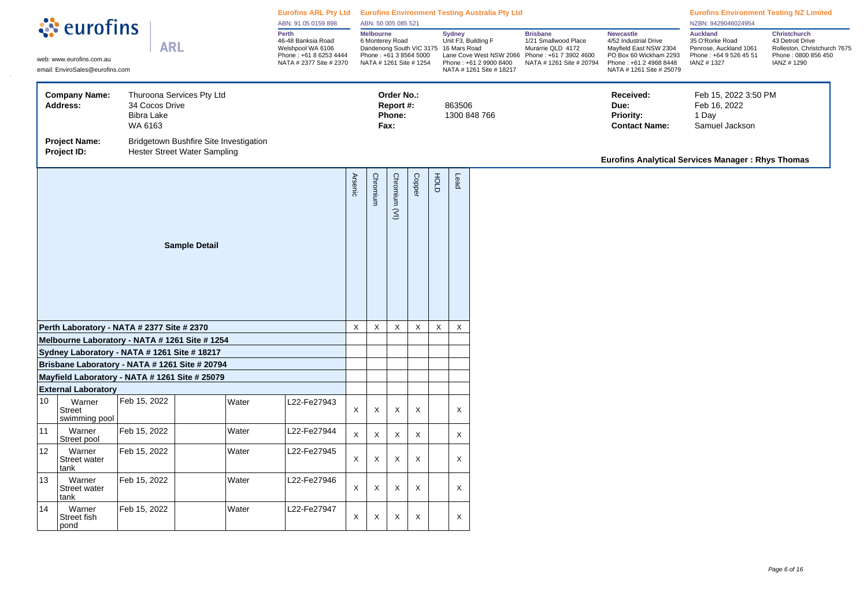| ं eurofins |                                                                                                                                |                                                |                                                                        |                                                                                              | ABN: 91 05 0159 898 |                                                                                                                                   | ABN: 50 005 085 521 |                                           |               |                                                                                                      |                                                                                                                    | Eurofins ARL Pty Ltd Eurofins Environment Testing Australia Pty Ltd                                                                                 |                                                                                                      |                                                                                                              | <b>Eurofins Environment Testing NZ Limited</b><br>NZBN: 9429046024954 |  |
|------------|--------------------------------------------------------------------------------------------------------------------------------|------------------------------------------------|------------------------------------------------------------------------|----------------------------------------------------------------------------------------------|---------------------|-----------------------------------------------------------------------------------------------------------------------------------|---------------------|-------------------------------------------|---------------|------------------------------------------------------------------------------------------------------|--------------------------------------------------------------------------------------------------------------------|-----------------------------------------------------------------------------------------------------------------------------------------------------|------------------------------------------------------------------------------------------------------|--------------------------------------------------------------------------------------------------------------|-----------------------------------------------------------------------|--|
|            | <b>ARL</b><br>web: www.eurofins.com.au<br>email: EnviroSales@eurofins.com<br>Thuroona Services Pty Ltd<br><b>Company Name:</b> |                                                | Perth                                                                  | 46-48 Banksia Road<br>Welshpool WA 6106<br>Phone: +61 8 6253 4444<br>NATA # 2377 Site # 2370 |                     | <b>Melbourne</b><br>6 Monterey Road<br>Dandenong South VIC 3175 16 Mars Road<br>Phone: +61 3 8564 5000<br>NATA # 1261 Site # 1254 |                     |                                           | <b>Sydney</b> | Unit F3, Building F<br>Lane Cove West NSW 2066<br>Phone: +61 2 9900 8400<br>NATA # 1261 Site # 18217 | <b>Brisbane</b><br>1/21 Smallwood Place<br>Murarrie QLD 4172<br>Phone: +61 7 3902 4600<br>NATA # 1261 Site # 20794 | <b>Newcastle</b><br>4/52 Industrial Drive<br>Mayfield East NSW 2304<br>PO Box 60 Wickham 2293<br>Phone: +61 2 4968 8448<br>NATA # 1261 Site # 25079 | <b>Auckland</b><br>35 O'Rorke Road<br>Penrose, Auckland 1061<br>Phone: +64 9 526 45 51<br>IANZ #1327 | <b>Christchurch</b><br>43 Detroit Drive<br>Rolleston, Christchurch 7675<br>Phone: 0800 856 450<br>IANZ #1290 |                                                                       |  |
|            | Address:                                                                                                                       | 34 Cocos Drive<br><b>Bibra Lake</b><br>WA 6163 |                                                                        |                                                                                              |                     |                                                                                                                                   |                     | Order No.:<br>Report #:<br>Phone:<br>Fax: |               |                                                                                                      | 863506                                                                                                             | 1300 848 766                                                                                                                                        |                                                                                                      | Received:<br>Due:<br><b>Priority:</b><br><b>Contact Name:</b>                                                | Feb 15, 2022 3:50 PM<br>Feb 16, 2022<br>1 Day<br>Samuel Jackson       |  |
|            | <b>Project Name:</b><br>Project ID:                                                                                            |                                                | Bridgetown Bushfire Site Investigation<br>Hester Street Water Sampling |                                                                                              |                     |                                                                                                                                   |                     |                                           |               |                                                                                                      |                                                                                                                    |                                                                                                                                                     |                                                                                                      | <b>Eurofins Analytical Services Manager: Rhys Thomas</b>                                                     |                                                                       |  |
|            | <b>Sample Detail</b><br>Perth Laboratory - NATA # 2377 Site # 2370                                                             |                                                |                                                                        |                                                                                              |                     |                                                                                                                                   | Chromium            | Chromium (VI)                             | Copper        | FOLD                                                                                                 | Lead                                                                                                               |                                                                                                                                                     |                                                                                                      |                                                                                                              |                                                                       |  |
|            |                                                                                                                                |                                                |                                                                        |                                                                                              |                     | $\mathsf X$                                                                                                                       | $\mathsf X$         | $\mathsf X$                               | $\mathsf X$   | $\mathsf{X}$                                                                                         | $\mathsf X$                                                                                                        |                                                                                                                                                     |                                                                                                      |                                                                                                              |                                                                       |  |
|            | Melbourne Laboratory - NATA # 1261 Site # 1254                                                                                 |                                                |                                                                        |                                                                                              |                     |                                                                                                                                   |                     |                                           |               |                                                                                                      |                                                                                                                    |                                                                                                                                                     |                                                                                                      |                                                                                                              |                                                                       |  |
|            | Sydney Laboratory - NATA # 1261 Site # 18217                                                                                   |                                                |                                                                        |                                                                                              |                     |                                                                                                                                   |                     |                                           |               |                                                                                                      |                                                                                                                    |                                                                                                                                                     |                                                                                                      |                                                                                                              |                                                                       |  |
|            | Brisbane Laboratory - NATA # 1261 Site # 20794                                                                                 |                                                |                                                                        |                                                                                              |                     |                                                                                                                                   |                     |                                           |               |                                                                                                      |                                                                                                                    |                                                                                                                                                     |                                                                                                      |                                                                                                              |                                                                       |  |
|            | Mayfield Laboratory - NATA # 1261 Site # 25079                                                                                 |                                                |                                                                        |                                                                                              |                     |                                                                                                                                   |                     |                                           |               |                                                                                                      |                                                                                                                    |                                                                                                                                                     |                                                                                                      |                                                                                                              |                                                                       |  |
| 10         | <b>External Laboratory</b><br>Warner<br><b>Street</b><br>swimming pool                                                         | Feb 15, 2022                                   | Water                                                                  |                                                                                              | L22-Fe27943         | X                                                                                                                                 | X                   | X                                         | X             |                                                                                                      | X                                                                                                                  |                                                                                                                                                     |                                                                                                      |                                                                                                              |                                                                       |  |
| 11         | Warner<br>Street pool                                                                                                          | Feb 15, 2022                                   | Water                                                                  |                                                                                              | L22-Fe27944         | X                                                                                                                                 | X                   | X                                         | X             |                                                                                                      | X                                                                                                                  |                                                                                                                                                     |                                                                                                      |                                                                                                              |                                                                       |  |
| 12         | Warner<br>Street water<br>tank                                                                                                 | Feb 15, 2022                                   | Water                                                                  |                                                                                              | L22-Fe27945         | X                                                                                                                                 | X                   | Χ                                         | X             |                                                                                                      | X                                                                                                                  |                                                                                                                                                     |                                                                                                      |                                                                                                              |                                                                       |  |
| 13         | Warner<br><b>Street water</b><br>tank                                                                                          | Feb 15, 2022                                   | Water                                                                  |                                                                                              | L22-Fe27946         | X                                                                                                                                 | X                   | $\boldsymbol{\mathsf{X}}$                 | X             |                                                                                                      | X                                                                                                                  |                                                                                                                                                     |                                                                                                      |                                                                                                              |                                                                       |  |
| 14         | Warner<br>Street fish<br>pond                                                                                                  | Feb 15, 2022                                   | Water                                                                  |                                                                                              | L22-Fe27947         | X                                                                                                                                 | Χ                   | $\times$                                  | X             |                                                                                                      | X                                                                                                                  |                                                                                                                                                     |                                                                                                      |                                                                                                              |                                                                       |  |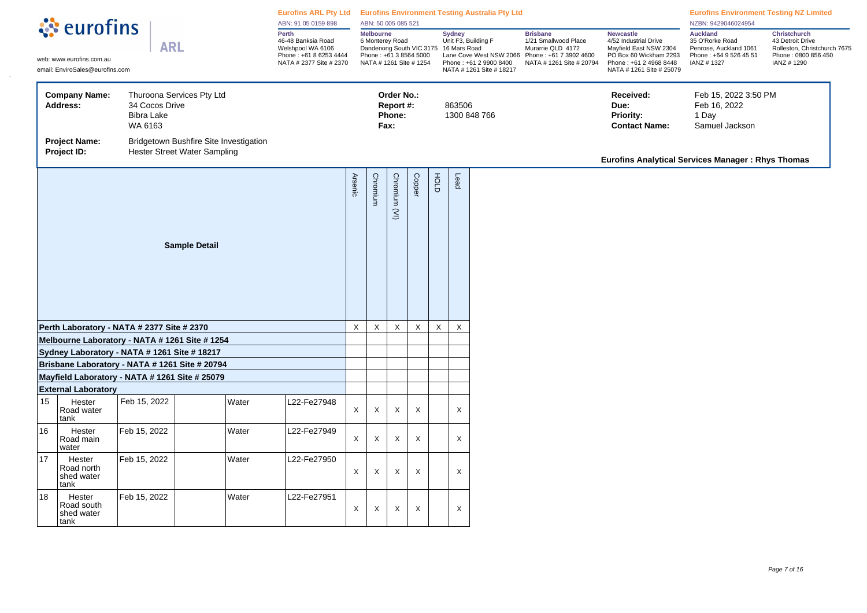| े eurofins |                                                                                                                                |                                                |                                                                               |                                                                                                       | Eurofins ARL Pty Ltd Eurofins Environment Testing Australia Pty Ltd<br>ABN: 91 05 0159 898 |                                                                                                                                   | ABN: 50 005 085 521 |                                           |               |                                                                                                      |                                                                                                                    |                                                                                                                                                     |                                                                                                      |                                                                                                       | <b>Eurofins Environment Testing NZ Limited</b><br>NZBN: 9429046024954 |  |
|------------|--------------------------------------------------------------------------------------------------------------------------------|------------------------------------------------|-------------------------------------------------------------------------------|-------------------------------------------------------------------------------------------------------|--------------------------------------------------------------------------------------------|-----------------------------------------------------------------------------------------------------------------------------------|---------------------|-------------------------------------------|---------------|------------------------------------------------------------------------------------------------------|--------------------------------------------------------------------------------------------------------------------|-----------------------------------------------------------------------------------------------------------------------------------------------------|------------------------------------------------------------------------------------------------------|-------------------------------------------------------------------------------------------------------|-----------------------------------------------------------------------|--|
|            | <b>ARL</b><br>web: www.eurofins.com.au<br>email: EnviroSales@eurofins.com<br>Thuroona Services Pty Ltd<br><b>Company Name:</b> |                                                |                                                                               | Perth<br>46-48 Banksia Road<br>Welshpool WA 6106<br>Phone: +61 8 6253 4444<br>NATA # 2377 Site # 2370 |                                                                                            | <b>Melbourne</b><br>6 Monterey Road<br>Dandenong South VIC 3175 16 Mars Road<br>Phone: +61 3 8564 5000<br>NATA # 1261 Site # 1254 |                     |                                           | <b>Sydney</b> | Unit F3, Building F<br>Lane Cove West NSW 2066<br>Phone: +61 2 9900 8400<br>NATA # 1261 Site # 18217 | <b>Brisbane</b><br>1/21 Smallwood Place<br>Murarrie QLD 4172<br>Phone: +61 7 3902 4600<br>NATA # 1261 Site # 20794 | <b>Newcastle</b><br>4/52 Industrial Drive<br>Mayfield East NSW 2304<br>PO Box 60 Wickham 2293<br>Phone: +61 2 4968 8448<br>NATA # 1261 Site # 25079 | <b>Auckland</b><br>35 O'Rorke Road<br>Penrose, Auckland 1061<br>Phone: +64 9 526 45 51<br>IANZ #1327 | Christchurch<br>43 Detroit Drive<br>Rolleston, Christchurch 7675<br>Phone: 0800 856 450<br>IANZ #1290 |                                                                       |  |
|            | <b>Address:</b>                                                                                                                | 34 Cocos Drive<br><b>Bibra Lake</b><br>WA 6163 |                                                                               |                                                                                                       |                                                                                            |                                                                                                                                   |                     | Order No.:<br>Report #:<br>Phone:<br>Fax: |               |                                                                                                      | 863506                                                                                                             | 1300 848 766                                                                                                                                        |                                                                                                      | Received:<br>Due:<br>Priority:<br><b>Contact Name:</b>                                                | Feb 15, 2022 3:50 PM<br>Feb 16, 2022<br>1 Day<br>Samuel Jackson       |  |
|            | <b>Project Name:</b><br>Project ID:                                                                                            |                                                | Bridgetown Bushfire Site Investigation<br><b>Hester Street Water Sampling</b> |                                                                                                       |                                                                                            |                                                                                                                                   |                     |                                           |               |                                                                                                      |                                                                                                                    |                                                                                                                                                     |                                                                                                      | Eurofins Analytical Services Manager: Rhys Thomas                                                     |                                                                       |  |
|            |                                                                                                                                |                                                |                                                                               | <b>Arsenic</b>                                                                                        | Chromium                                                                                   | Chromium (VI)                                                                                                                     | Copper              | HOLD                                      | Lead          |                                                                                                      |                                                                                                                    |                                                                                                                                                     |                                                                                                      |                                                                                                       |                                                                       |  |
|            | Perth Laboratory - NATA # 2377 Site # 2370                                                                                     |                                                |                                                                               |                                                                                                       |                                                                                            | $\times$                                                                                                                          | X                   | X                                         | $\mathsf{X}$  | $\boldsymbol{\mathsf{X}}$                                                                            | X                                                                                                                  |                                                                                                                                                     |                                                                                                      |                                                                                                       |                                                                       |  |
|            | Melbourne Laboratory - NATA # 1261 Site # 1254                                                                                 |                                                |                                                                               |                                                                                                       |                                                                                            |                                                                                                                                   |                     |                                           |               |                                                                                                      |                                                                                                                    |                                                                                                                                                     |                                                                                                      |                                                                                                       |                                                                       |  |
|            | Sydney Laboratory - NATA # 1261 Site # 18217                                                                                   |                                                |                                                                               |                                                                                                       |                                                                                            |                                                                                                                                   |                     |                                           |               |                                                                                                      |                                                                                                                    |                                                                                                                                                     |                                                                                                      |                                                                                                       |                                                                       |  |
|            | Brisbane Laboratory - NATA # 1261 Site # 20794                                                                                 |                                                |                                                                               |                                                                                                       |                                                                                            |                                                                                                                                   |                     |                                           |               |                                                                                                      |                                                                                                                    |                                                                                                                                                     |                                                                                                      |                                                                                                       |                                                                       |  |
|            | Mayfield Laboratory - NATA # 1261 Site # 25079<br><b>External Laboratory</b>                                                   |                                                |                                                                               |                                                                                                       |                                                                                            |                                                                                                                                   |                     |                                           |               |                                                                                                      |                                                                                                                    |                                                                                                                                                     |                                                                                                      |                                                                                                       |                                                                       |  |
| 15         | Hester<br>Road water<br>tank                                                                                                   | Feb 15, 2022                                   |                                                                               | Water                                                                                                 | L22-Fe27948                                                                                | $\mathsf X$                                                                                                                       | X                   | X                                         | X             |                                                                                                      | X                                                                                                                  |                                                                                                                                                     |                                                                                                      |                                                                                                       |                                                                       |  |
| 16         | Hester<br>Road main<br>water                                                                                                   | Feb 15, 2022                                   | Water                                                                         |                                                                                                       | L22-Fe27949                                                                                | $\mathsf{X}$                                                                                                                      | X                   | X                                         | X             |                                                                                                      | X                                                                                                                  |                                                                                                                                                     |                                                                                                      |                                                                                                       |                                                                       |  |
| 17         | Hester<br>Road north<br>shed water<br>∣tank                                                                                    | Feb 15, 2022                                   |                                                                               | Water                                                                                                 | L22-Fe27950                                                                                | X                                                                                                                                 | Χ                   | Χ                                         | X             |                                                                                                      | X                                                                                                                  |                                                                                                                                                     |                                                                                                      |                                                                                                       |                                                                       |  |
| 18         | Hester<br>Road south<br>shed water<br>tank                                                                                     | Feb 15, 2022                                   | Water                                                                         |                                                                                                       | L22-Fe27951                                                                                | X                                                                                                                                 | Χ                   | Χ                                         | X             |                                                                                                      | X                                                                                                                  |                                                                                                                                                     |                                                                                                      |                                                                                                       |                                                                       |  |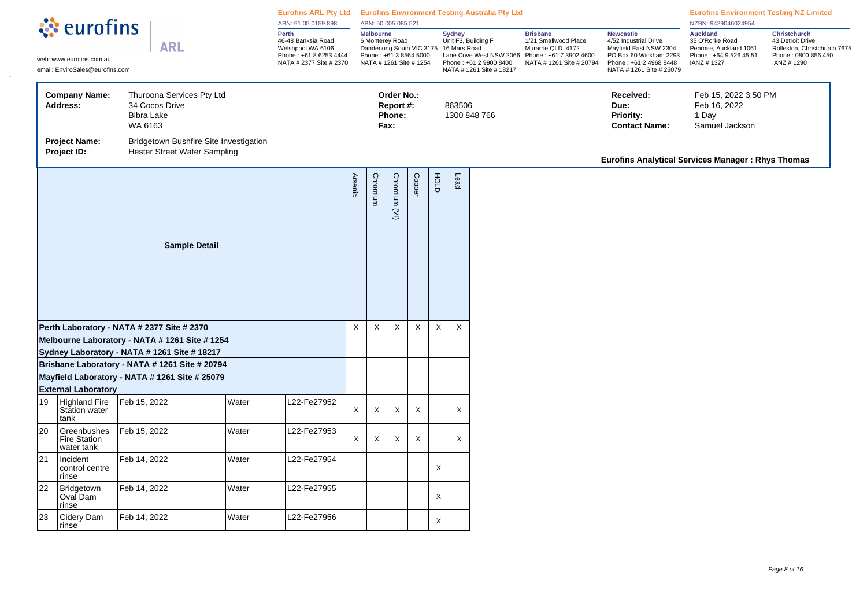| े eurofins |                                                                                                                                |                                                |                                                                                                       | Eurofins ARL Pty Ltd Eurofins Environment Testing Australia Pty Ltd<br>ABN: 91 05 0159 898 |                                                                                                                                   | ABN: 50 005 085 521 |                                           |             |                                                                                                                       |             |                                                                                                                    |                                                                                                                                                     |                                                                                                      | <b>Eurofins Environment Testing NZ Limited</b><br>NZBN: 9429046024954                                        |  |
|------------|--------------------------------------------------------------------------------------------------------------------------------|------------------------------------------------|-------------------------------------------------------------------------------------------------------|--------------------------------------------------------------------------------------------|-----------------------------------------------------------------------------------------------------------------------------------|---------------------|-------------------------------------------|-------------|-----------------------------------------------------------------------------------------------------------------------|-------------|--------------------------------------------------------------------------------------------------------------------|-----------------------------------------------------------------------------------------------------------------------------------------------------|------------------------------------------------------------------------------------------------------|--------------------------------------------------------------------------------------------------------------|--|
|            | <b>ARL</b><br>web: www.eurofins.com.au<br>email: EnviroSales@eurofins.com<br><b>Company Name:</b><br>Thuroona Services Pty Ltd |                                                | Perth<br>46-48 Banksia Road<br>Welshpool WA 6106<br>Phone: +61 8 6253 4444<br>NATA # 2377 Site # 2370 |                                                                                            | <b>Melbourne</b><br>6 Monterey Road<br>Dandenong South VIC 3175 16 Mars Road<br>Phone: +61 3 8564 5000<br>NATA # 1261 Site # 1254 |                     |                                           |             | <b>Sydney</b><br>Unit F3, Building F<br>Lane Cove West NSW 2066<br>Phone: +61 2 9900 8400<br>NATA # 1261 Site # 18217 |             | <b>Brisbane</b><br>1/21 Smallwood Place<br>Murarrie QLD 4172<br>Phone: +61 7 3902 4600<br>NATA # 1261 Site # 20794 | <b>Newcastle</b><br>4/52 Industrial Drive<br>Mayfield East NSW 2304<br>PO Box 60 Wickham 2293<br>Phone: +61 2 4968 8448<br>NATA # 1261 Site # 25079 | <b>Auckland</b><br>35 O'Rorke Road<br>Penrose, Auckland 1061<br>Phone: +64 9 526 45 51<br>IANZ #1327 | <b>Christchurch</b><br>43 Detroit Drive<br>Rolleston, Christchurch 7675<br>Phone: 0800 856 450<br>IANZ #1290 |  |
|            | Address:                                                                                                                       | 34 Cocos Drive<br><b>Bibra Lake</b><br>WA 6163 |                                                                                                       |                                                                                            |                                                                                                                                   |                     | Order No.:<br>Report #:<br>Phone:<br>Fax: |             |                                                                                                                       | 863506      | 1300 848 766                                                                                                       |                                                                                                                                                     | Received:<br>Due:<br>Priority:<br><b>Contact Name:</b>                                               | Feb 15, 2022 3:50 PM<br>Feb 16, 2022<br>1 Day<br>Samuel Jackson                                              |  |
|            | <b>Project Name:</b><br>Project ID:                                                                                            |                                                | Bridgetown Bushfire Site Investigation<br><b>Hester Street Water Sampling</b>                         |                                                                                            |                                                                                                                                   |                     |                                           |             |                                                                                                                       |             |                                                                                                                    |                                                                                                                                                     | <b>Eurofins Analytical Services Manager: Rhys Thomas</b>                                             |                                                                                                              |  |
|            |                                                                                                                                |                                                | <b>Arsenic</b>                                                                                        | Chromium                                                                                   | Chromium (VI)                                                                                                                     | Copper              | FOLD                                      | Lead        |                                                                                                                       |             |                                                                                                                    |                                                                                                                                                     |                                                                                                      |                                                                                                              |  |
|            | Perth Laboratory - NATA # 2377 Site # 2370                                                                                     |                                                |                                                                                                       |                                                                                            | $\mathsf{X}$                                                                                                                      | $\mathsf X$         | X                                         | $\mathsf X$ | $\mathsf X$                                                                                                           | $\mathsf X$ |                                                                                                                    |                                                                                                                                                     |                                                                                                      |                                                                                                              |  |
|            | Melbourne Laboratory - NATA # 1261 Site # 1254                                                                                 |                                                |                                                                                                       |                                                                                            |                                                                                                                                   |                     |                                           |             |                                                                                                                       |             |                                                                                                                    |                                                                                                                                                     |                                                                                                      |                                                                                                              |  |
|            | Sydney Laboratory - NATA # 1261 Site # 18217<br>Brisbane Laboratory - NATA # 1261 Site # 20794                                 |                                                |                                                                                                       |                                                                                            |                                                                                                                                   |                     |                                           |             |                                                                                                                       |             |                                                                                                                    |                                                                                                                                                     |                                                                                                      |                                                                                                              |  |
|            | Mayfield Laboratory - NATA # 1261 Site # 25079                                                                                 |                                                |                                                                                                       |                                                                                            |                                                                                                                                   |                     |                                           |             |                                                                                                                       |             |                                                                                                                    |                                                                                                                                                     |                                                                                                      |                                                                                                              |  |
|            | <b>External Laboratory</b>                                                                                                     |                                                |                                                                                                       |                                                                                            |                                                                                                                                   |                     |                                           |             |                                                                                                                       |             |                                                                                                                    |                                                                                                                                                     |                                                                                                      |                                                                                                              |  |
| 19         | <b>Highland Fire</b><br>Station water<br>tank                                                                                  | Feb 15, 2022                                   | Water                                                                                                 | 22-Fe27952                                                                                 | $\mathsf X$                                                                                                                       | X                   | Χ                                         | X           |                                                                                                                       | X           |                                                                                                                    |                                                                                                                                                     |                                                                                                      |                                                                                                              |  |
| 20         | Greenbushes<br><b>Fire Station</b><br>water tank                                                                               | Feb 15, 2022                                   | Water                                                                                                 | L22-Fe27953                                                                                | X                                                                                                                                 | X                   | $\times$                                  | X           |                                                                                                                       | $\times$    |                                                                                                                    |                                                                                                                                                     |                                                                                                      |                                                                                                              |  |
| 21         | Incident<br>control centre<br>rinse                                                                                            | Feb 14, 2022                                   | Water                                                                                                 | L22-Fe27954                                                                                |                                                                                                                                   |                     |                                           |             | X                                                                                                                     |             |                                                                                                                    |                                                                                                                                                     |                                                                                                      |                                                                                                              |  |
| 22         | Bridgetown<br>Oval Dam<br>rinse                                                                                                | Feb 14, 2022                                   | Water                                                                                                 | L22-Fe27955                                                                                |                                                                                                                                   |                     |                                           |             | X                                                                                                                     |             |                                                                                                                    |                                                                                                                                                     |                                                                                                      |                                                                                                              |  |
| 23         | Cidery Dam<br>rinse                                                                                                            | Feb 14, 2022                                   | Water                                                                                                 | L22-Fe27956                                                                                |                                                                                                                                   |                     |                                           |             | X                                                                                                                     |             |                                                                                                                    |                                                                                                                                                     |                                                                                                      |                                                                                                              |  |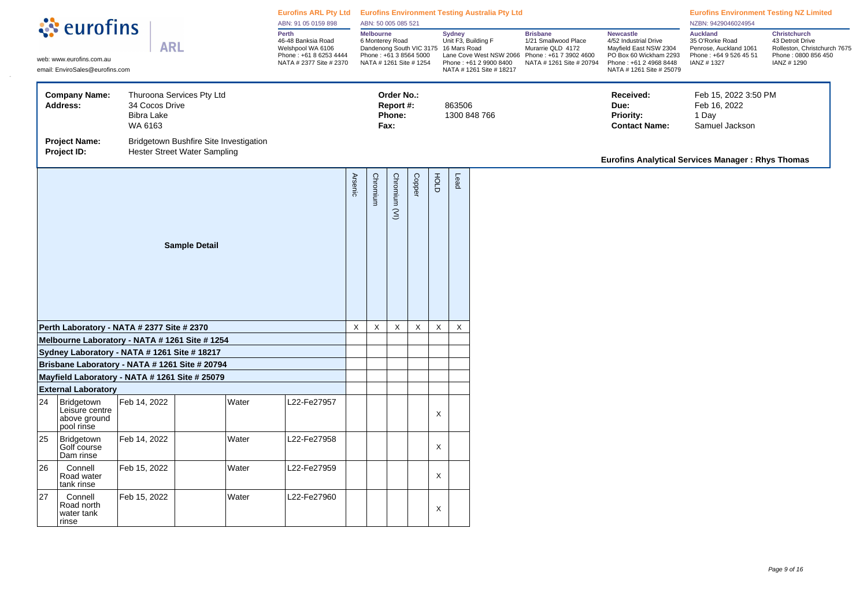| <b><i><u>A</u></i></b> eurofins |                                                                                                                                |                                                |                                                                        |                                                                                                       | Eurofins ARL Pty Ltd Eurofins Environment Testing Australia Pty Ltd<br>ABN: 91 05 0159 898 |                                                                                                                                   | ABN: 50 005 085 521 |                                           |              |               |                                                                                                      |                                                                                                                    |                                                                                                                                                     |                                                                                                       | <b>Eurofins Environment Testing NZ Limited</b><br>NZBN: 9429046024954                                         |  |
|---------------------------------|--------------------------------------------------------------------------------------------------------------------------------|------------------------------------------------|------------------------------------------------------------------------|-------------------------------------------------------------------------------------------------------|--------------------------------------------------------------------------------------------|-----------------------------------------------------------------------------------------------------------------------------------|---------------------|-------------------------------------------|--------------|---------------|------------------------------------------------------------------------------------------------------|--------------------------------------------------------------------------------------------------------------------|-----------------------------------------------------------------------------------------------------------------------------------------------------|-------------------------------------------------------------------------------------------------------|---------------------------------------------------------------------------------------------------------------|--|
|                                 | <b>ARL</b><br>web: www.eurofins.com.au<br>email: EnviroSales@eurofins.com<br><b>Company Name:</b><br>Thuroona Services Pty Ltd |                                                |                                                                        | Perth<br>46-48 Banksia Road<br>Welshpool WA 6106<br>Phone: +61 8 6253 4444<br>NATA # 2377 Site # 2370 |                                                                                            | <b>Melbourne</b><br>6 Monterey Road<br>Dandenong South VIC 3175 16 Mars Road<br>Phone: +61 3 8564 5000<br>NATA # 1261 Site # 1254 |                     |                                           |              | <b>Sydney</b> | Unit F3, Building F<br>Lane Cove West NSW 2066<br>Phone: +61 2 9900 8400<br>NATA # 1261 Site # 18217 | <b>Brisbane</b><br>1/21 Smallwood Place<br>Murarrie QLD 4172<br>Phone: +61 7 3902 4600<br>NATA # 1261 Site # 20794 | <b>Newcastle</b><br>4/52 Industrial Drive<br>Mayfield East NSW 2304<br>PO Box 60 Wickham 2293<br>Phone: +61 2 4968 8448<br>NATA # 1261 Site # 25079 | <b>Auckland</b><br>35 O'Rorke Road<br>Penrose, Auckland 1061<br>Phone: +64 9 526 45 51<br>IANZ # 1327 | <b>Christchurch</b><br>43 Detroit Drive<br>Rolleston, Christchurch 7675<br>Phone: 0800 856 450<br>IANZ # 1290 |  |
|                                 | Address:                                                                                                                       | 34 Cocos Drive<br><b>Bibra Lake</b><br>WA 6163 |                                                                        |                                                                                                       |                                                                                            |                                                                                                                                   |                     | Order No.:<br>Report #:<br>Phone:<br>Fax: |              |               | 863506                                                                                               | 1300 848 766                                                                                                       |                                                                                                                                                     | Received:<br>Due:<br><b>Priority:</b><br><b>Contact Name:</b>                                         | Feb 15, 2022 3:50 PM<br>Feb 16, 2022<br>1 Day<br>Samuel Jackson                                               |  |
|                                 | <b>Project Name:</b><br>Project ID:                                                                                            |                                                | Bridgetown Bushfire Site Investigation<br>Hester Street Water Sampling |                                                                                                       |                                                                                            |                                                                                                                                   |                     |                                           |              |               |                                                                                                      |                                                                                                                    |                                                                                                                                                     | <b>Eurofins Analytical Services Manager: Rhys Thomas</b>                                              |                                                                                                               |  |
|                                 |                                                                                                                                |                                                | <b>Arsenic</b>                                                         | Chromium                                                                                              | Chromium (VI)                                                                              | Copper                                                                                                                            | FOLD                | Lead                                      |              |               |                                                                                                      |                                                                                                                    |                                                                                                                                                     |                                                                                                       |                                                                                                               |  |
|                                 | Perth Laboratory - NATA # 2377 Site # 2370                                                                                     |                                                |                                                                        |                                                                                                       |                                                                                            | $\mathsf{X}$                                                                                                                      | $\mathsf X$         | X                                         | $\mathsf{X}$ | $\mathsf X$   | $\mathsf X$                                                                                          |                                                                                                                    |                                                                                                                                                     |                                                                                                       |                                                                                                               |  |
|                                 | Melbourne Laboratory - NATA # 1261 Site # 1254                                                                                 |                                                |                                                                        |                                                                                                       |                                                                                            |                                                                                                                                   |                     |                                           |              |               |                                                                                                      |                                                                                                                    |                                                                                                                                                     |                                                                                                       |                                                                                                               |  |
|                                 | Sydney Laboratory - NATA # 1261 Site # 18217                                                                                   |                                                |                                                                        |                                                                                                       |                                                                                            |                                                                                                                                   |                     |                                           |              |               |                                                                                                      |                                                                                                                    |                                                                                                                                                     |                                                                                                       |                                                                                                               |  |
|                                 | Brisbane Laboratory - NATA # 1261 Site # 20794                                                                                 |                                                |                                                                        |                                                                                                       |                                                                                            |                                                                                                                                   |                     |                                           |              |               |                                                                                                      |                                                                                                                    |                                                                                                                                                     |                                                                                                       |                                                                                                               |  |
|                                 | Mayfield Laboratory - NATA # 1261 Site # 25079                                                                                 |                                                |                                                                        |                                                                                                       |                                                                                            |                                                                                                                                   |                     |                                           |              |               |                                                                                                      |                                                                                                                    |                                                                                                                                                     |                                                                                                       |                                                                                                               |  |
| 24                              | <b>External Laboratory</b><br>Bridgetown<br>Leisure centre<br>above ground<br>pool rinse                                       | Feb 14, 2022                                   | Water                                                                  |                                                                                                       | L22-Fe27957                                                                                |                                                                                                                                   |                     |                                           |              | X             |                                                                                                      |                                                                                                                    |                                                                                                                                                     |                                                                                                       |                                                                                                               |  |
| 25                              | Bridgetown<br>Golf course<br>Dam rinse                                                                                         | Feb 14, 2022                                   | Water                                                                  |                                                                                                       | L22-Fe27958                                                                                |                                                                                                                                   |                     |                                           |              | X             |                                                                                                      |                                                                                                                    |                                                                                                                                                     |                                                                                                       |                                                                                                               |  |
| 26                              | Connell<br>Road water<br>tank rinse                                                                                            | Feb 15, 2022                                   | Water                                                                  |                                                                                                       | L22-Fe27959                                                                                |                                                                                                                                   |                     |                                           |              | X             |                                                                                                      |                                                                                                                    |                                                                                                                                                     |                                                                                                       |                                                                                                               |  |
| 27                              | Connell<br>Road north<br>water tank<br>rinse                                                                                   | Feb 15, 2022                                   | Water                                                                  |                                                                                                       | L22-Fe27960                                                                                |                                                                                                                                   |                     |                                           |              | X             |                                                                                                      |                                                                                                                    |                                                                                                                                                     |                                                                                                       |                                                                                                               |  |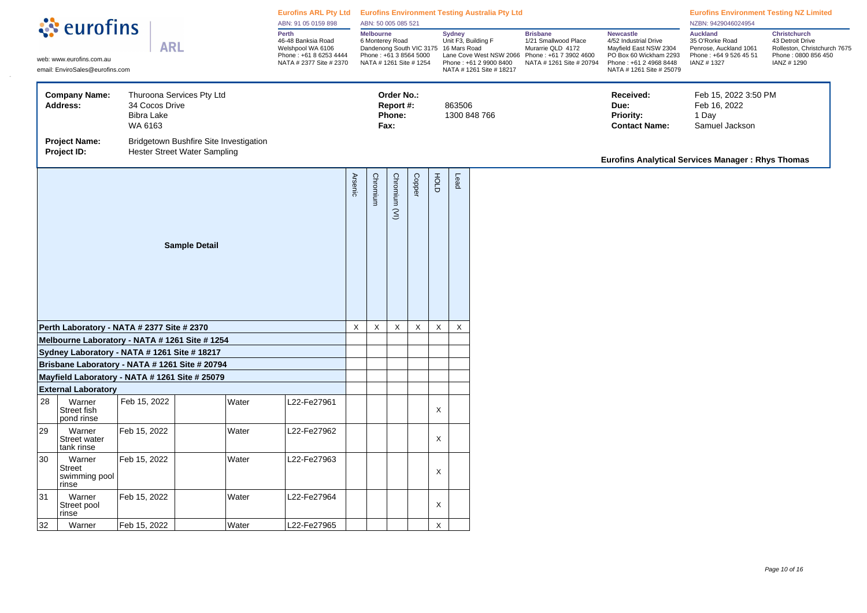| े eurofins                                                                                                           |                                                                           |                                                |                           | Eurofins ARL Pty Ltd Eurofins Environment Testing Australia Pty Ltd<br>ABN: 91 05 0159 898 |                                                                                                       | ABN: 50 005 085 521 |                                                                                                                            |                                           |             |             |                                                                                                                       |              | <b>Eurofins Environment Testing NZ Limited</b><br>NZBN: 9429046024954                                              |                                                                                                                                                     |                                                                                                      |                                                                                                        |
|----------------------------------------------------------------------------------------------------------------------|---------------------------------------------------------------------------|------------------------------------------------|---------------------------|--------------------------------------------------------------------------------------------|-------------------------------------------------------------------------------------------------------|---------------------|----------------------------------------------------------------------------------------------------------------------------|-------------------------------------------|-------------|-------------|-----------------------------------------------------------------------------------------------------------------------|--------------|--------------------------------------------------------------------------------------------------------------------|-----------------------------------------------------------------------------------------------------------------------------------------------------|------------------------------------------------------------------------------------------------------|--------------------------------------------------------------------------------------------------------|
|                                                                                                                      | <b>ARL</b><br>web: www.eurofins.com.au<br>email: EnviroSales@eurofins.com |                                                |                           |                                                                                            | Perth<br>46-48 Banksia Road<br>Welshpool WA 6106<br>Phone: +61 8 6253 4444<br>NATA # 2377 Site # 2370 |                     | Melbourne<br>6 Monterey Road<br>Dandenong South VIC 3175 16 Mars Road<br>Phone: +61 3 8564 5000<br>NATA # 1261 Site # 1254 |                                           |             |             | <b>Sydney</b><br>Unit F3, Building F<br>Lane Cove West NSW 2066<br>Phone: +61 2 9900 8400<br>NATA # 1261 Site # 18217 |              | <b>Brisbane</b><br>1/21 Smallwood Place<br>Murarrie QLD 4172<br>Phone: +61 7 3902 4600<br>NATA # 1261 Site # 20794 | <b>Newcastle</b><br>4/52 Industrial Drive<br>Mayfield East NSW 2304<br>PO Box 60 Wickham 2293<br>Phone: +61 2 4968 8448<br>NATA # 1261 Site # 25079 | <b>Auckland</b><br>35 O'Rorke Road<br>Penrose, Auckland 1061<br>Phone: +64 9 526 45 51<br>IANZ #1327 | Christchurch<br>43 Detroit Drive<br>Rolleston, Christchurch 7675<br>Phone: 0800 856 450<br>IANZ # 1290 |
|                                                                                                                      | <b>Company Name:</b><br><b>Address:</b>                                   | 34 Cocos Drive<br><b>Bibra Lake</b><br>WA 6163 | Thuroona Services Pty Ltd |                                                                                            |                                                                                                       |                     |                                                                                                                            | Order No.:<br>Report #:<br>Phone:<br>Fax: |             |             | 863506                                                                                                                | 1300 848 766 |                                                                                                                    | Received:<br>Due:<br><b>Priority:</b><br><b>Contact Name:</b>                                                                                       | Feb 15, 2022 3:50 PM<br>Feb 16, 2022<br>1 Day<br>Samuel Jackson                                      |                                                                                                        |
| Bridgetown Bushfire Site Investigation<br><b>Project Name:</b><br><b>Hester Street Water Sampling</b><br>Project ID: |                                                                           |                                                |                           |                                                                                            |                                                                                                       |                     |                                                                                                                            |                                           |             |             |                                                                                                                       |              | Eurofins Analytical Services Manager: Rhys Thomas                                                                  |                                                                                                                                                     |                                                                                                      |                                                                                                        |
|                                                                                                                      |                                                                           |                                                | <b>Sample Detail</b>      |                                                                                            |                                                                                                       | <b>Arsenic</b>      | Chromium                                                                                                                   | Chromium (VI)                             | Copper      | HOLD        | Lead                                                                                                                  |              |                                                                                                                    |                                                                                                                                                     |                                                                                                      |                                                                                                        |
|                                                                                                                      | Perth Laboratory - NATA # 2377 Site # 2370                                |                                                |                           |                                                                                            |                                                                                                       | $\mathsf X$         | X                                                                                                                          | $\mathsf X$                               | $\mathsf X$ | $\mathsf X$ | $\mathsf X$                                                                                                           |              |                                                                                                                    |                                                                                                                                                     |                                                                                                      |                                                                                                        |
|                                                                                                                      | Melbourne Laboratory - NATA # 1261 Site # 1254                            |                                                |                           |                                                                                            |                                                                                                       |                     |                                                                                                                            |                                           |             |             |                                                                                                                       |              |                                                                                                                    |                                                                                                                                                     |                                                                                                      |                                                                                                        |
|                                                                                                                      | Sydney Laboratory - NATA # 1261 Site # 18217                              |                                                |                           |                                                                                            |                                                                                                       |                     |                                                                                                                            |                                           |             |             |                                                                                                                       |              |                                                                                                                    |                                                                                                                                                     |                                                                                                      |                                                                                                        |
|                                                                                                                      | Brisbane Laboratory - NATA # 1261 Site # 20794                            |                                                |                           |                                                                                            |                                                                                                       |                     |                                                                                                                            |                                           |             |             |                                                                                                                       |              |                                                                                                                    |                                                                                                                                                     |                                                                                                      |                                                                                                        |
|                                                                                                                      | Mayfield Laboratory - NATA # 1261 Site # 25079                            |                                                |                           |                                                                                            |                                                                                                       |                     |                                                                                                                            |                                           |             |             |                                                                                                                       |              |                                                                                                                    |                                                                                                                                                     |                                                                                                      |                                                                                                        |
| 28                                                                                                                   | <b>External Laboratory</b><br>Warner<br>Street fish<br>pond rinse         | Feb 15, 2022                                   | Water                     |                                                                                            | L22-Fe27961                                                                                           |                     |                                                                                                                            |                                           |             | X           |                                                                                                                       |              |                                                                                                                    |                                                                                                                                                     |                                                                                                      |                                                                                                        |
| 29                                                                                                                   | Warner<br>Street water<br>tank rinse                                      | Feb 15, 2022                                   | Water                     |                                                                                            | L22-Fe27962                                                                                           |                     |                                                                                                                            |                                           |             | X           |                                                                                                                       |              |                                                                                                                    |                                                                                                                                                     |                                                                                                      |                                                                                                        |
| $ 30\rangle$                                                                                                         | Warner<br><b>Street</b><br>swimming pool<br>rinse                         | Feb 15, 2022                                   | Water                     |                                                                                            | L22-Fe27963                                                                                           |                     |                                                                                                                            |                                           |             | $\mathsf X$ |                                                                                                                       |              |                                                                                                                    |                                                                                                                                                     |                                                                                                      |                                                                                                        |
| 31                                                                                                                   | Warner<br>Street pool<br>rinse                                            | Feb 15, 2022                                   | Water                     |                                                                                            | L22-Fe27964                                                                                           |                     |                                                                                                                            |                                           |             | X           |                                                                                                                       |              |                                                                                                                    |                                                                                                                                                     |                                                                                                      |                                                                                                        |
| 32                                                                                                                   | Warner                                                                    | Feb 15, 2022                                   | Water                     |                                                                                            | L22-Fe27965                                                                                           |                     |                                                                                                                            |                                           |             | $\mathsf X$ |                                                                                                                       |              |                                                                                                                    |                                                                                                                                                     |                                                                                                      |                                                                                                        |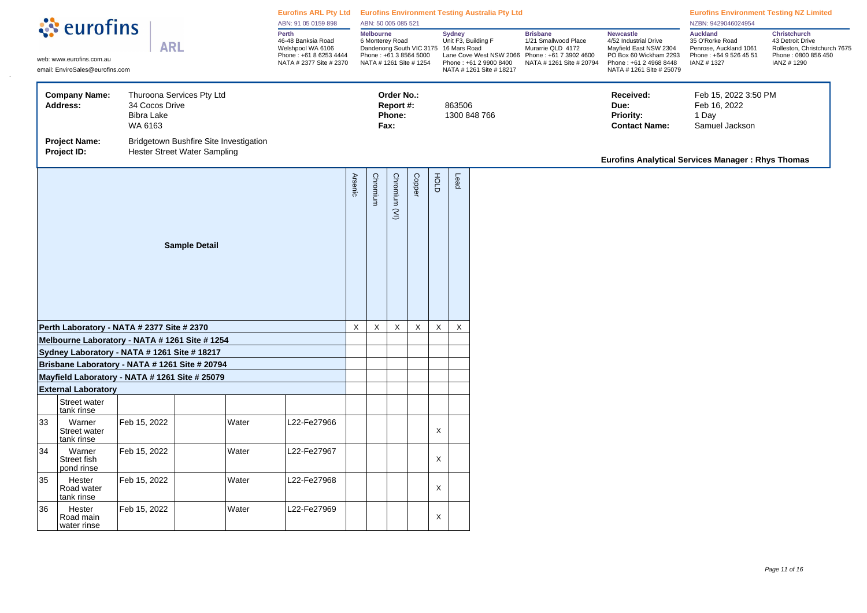| ं eurofins<br><b>ARL</b><br>web: www.eurofins.com.au<br>email: EnviroSales@eurofins.com                              |                                                                                                |                                                |                                                                                                       | Eurofins ARL Pty Ltd Eurofins Environment Testing Australia Pty Ltd<br>ABN: 91 05 0159 898 |                                                                                                                                   | ABN: 50 005 085 521 |          |                                                                                                                                          |             |                                                                                                 |                                                                                                                                                     |                                                                                                       | <b>Eurofins Environment Testing NZ Limited</b><br>NZBN: 9429046024954                                        |                                                               |                                                                 |  |
|----------------------------------------------------------------------------------------------------------------------|------------------------------------------------------------------------------------------------|------------------------------------------------|-------------------------------------------------------------------------------------------------------|--------------------------------------------------------------------------------------------|-----------------------------------------------------------------------------------------------------------------------------------|---------------------|----------|------------------------------------------------------------------------------------------------------------------------------------------|-------------|-------------------------------------------------------------------------------------------------|-----------------------------------------------------------------------------------------------------------------------------------------------------|-------------------------------------------------------------------------------------------------------|--------------------------------------------------------------------------------------------------------------|---------------------------------------------------------------|-----------------------------------------------------------------|--|
|                                                                                                                      |                                                                                                |                                                | Perth<br>46-48 Banksia Road<br>Welshpool WA 6106<br>Phone: +61 8 6253 4444<br>NATA # 2377 Site # 2370 |                                                                                            | <b>Melbourne</b><br>6 Monterey Road<br>Dandenong South VIC 3175 16 Mars Road<br>Phone: +61 3 8564 5000<br>NATA # 1261 Site # 1254 |                     |          | <b>Brisbane</b><br><b>Sydney</b><br>Unit F3, Building F<br>Lane Cove West NSW 2066<br>Phone: +61 2 9900 8400<br>NATA # 1261 Site # 18217 |             | 1/21 Smallwood Place<br>Murarrie QLD 4172<br>Phone: +61 7 3902 4600<br>NATA # 1261 Site # 20794 | <b>Newcastle</b><br>4/52 Industrial Drive<br>Mayfield East NSW 2304<br>PO Box 60 Wickham 2293<br>Phone: +61 2 4968 8448<br>NATA # 1261 Site # 25079 | <b>Auckland</b><br>35 O'Rorke Road<br>Penrose, Auckland 1061<br>Phone: +64 9 526 45 51<br>IANZ # 1327 | <b>Christchurch</b><br>43 Detroit Drive<br>Rolleston, Christchurch 7675<br>Phone: 0800 856 450<br>IANZ #1290 |                                                               |                                                                 |  |
|                                                                                                                      | <b>Company Name:</b><br>Address:                                                               | 34 Cocos Drive<br><b>Bibra Lake</b><br>WA 6163 | Thuroona Services Pty Ltd                                                                             |                                                                                            |                                                                                                                                   |                     |          | Order No.:<br>Report #:<br>Phone:<br>Fax:                                                                                                |             |                                                                                                 | 863506                                                                                                                                              | 1300 848 766                                                                                          |                                                                                                              | Received:<br>Due:<br><b>Priority:</b><br><b>Contact Name:</b> | Feb 15, 2022 3:50 PM<br>Feb 16, 2022<br>1 Day<br>Samuel Jackson |  |
| <b>Project Name:</b><br>Bridgetown Bushfire Site Investigation<br><b>Hester Street Water Sampling</b><br>Project ID: |                                                                                                |                                                |                                                                                                       |                                                                                            |                                                                                                                                   |                     |          |                                                                                                                                          |             |                                                                                                 |                                                                                                                                                     | <b>Eurofins Analytical Services Manager: Rhys Thomas</b>                                              |                                                                                                              |                                                               |                                                                 |  |
|                                                                                                                      |                                                                                                |                                                | <b>Sample Detail</b>                                                                                  |                                                                                            |                                                                                                                                   | <b>Arsenic</b>      | Chromium | Chromium (VI)                                                                                                                            | Copper      | HOLD                                                                                            | Lead                                                                                                                                                |                                                                                                       |                                                                                                              |                                                               |                                                                 |  |
|                                                                                                                      | Perth Laboratory - NATA # 2377 Site # 2370                                                     |                                                |                                                                                                       |                                                                                            |                                                                                                                                   | X                   | X        | X                                                                                                                                        | $\mathsf X$ | $\boldsymbol{\mathsf{X}}$                                                                       | $\mathsf X$                                                                                                                                         |                                                                                                       |                                                                                                              |                                                               |                                                                 |  |
|                                                                                                                      | Melbourne Laboratory - NATA # 1261 Site # 1254<br>Sydney Laboratory - NATA # 1261 Site # 18217 |                                                |                                                                                                       |                                                                                            |                                                                                                                                   |                     |          |                                                                                                                                          |             |                                                                                                 |                                                                                                                                                     |                                                                                                       |                                                                                                              |                                                               |                                                                 |  |
|                                                                                                                      | Brisbane Laboratory - NATA # 1261 Site # 20794                                                 |                                                |                                                                                                       |                                                                                            |                                                                                                                                   |                     |          |                                                                                                                                          |             |                                                                                                 |                                                                                                                                                     |                                                                                                       |                                                                                                              |                                                               |                                                                 |  |
|                                                                                                                      | Mayfield Laboratory - NATA # 1261 Site # 25079                                                 |                                                |                                                                                                       |                                                                                            |                                                                                                                                   |                     |          |                                                                                                                                          |             |                                                                                                 |                                                                                                                                                     |                                                                                                       |                                                                                                              |                                                               |                                                                 |  |
|                                                                                                                      | <b>External Laboratory</b>                                                                     |                                                |                                                                                                       |                                                                                            |                                                                                                                                   |                     |          |                                                                                                                                          |             |                                                                                                 |                                                                                                                                                     |                                                                                                       |                                                                                                              |                                                               |                                                                 |  |
|                                                                                                                      | Street water<br>tank rinse                                                                     |                                                |                                                                                                       |                                                                                            |                                                                                                                                   |                     |          |                                                                                                                                          |             |                                                                                                 |                                                                                                                                                     |                                                                                                       |                                                                                                              |                                                               |                                                                 |  |
| 33                                                                                                                   | Warner<br>Street water<br>tank rinse                                                           | Feb 15, 2022                                   |                                                                                                       | Water                                                                                      | L22-Fe27966                                                                                                                       |                     |          |                                                                                                                                          |             | X                                                                                               |                                                                                                                                                     |                                                                                                       |                                                                                                              |                                                               |                                                                 |  |
| 34                                                                                                                   | Warner<br>Street fish<br>pond rinse                                                            | Feb 15, 2022                                   |                                                                                                       | Water                                                                                      | L22-Fe27967                                                                                                                       |                     |          |                                                                                                                                          |             | X                                                                                               |                                                                                                                                                     |                                                                                                       |                                                                                                              |                                                               |                                                                 |  |
| 35                                                                                                                   | Hester<br>Road water<br>tank rinse                                                             | Feb 15, 2022                                   |                                                                                                       | Water                                                                                      | L22-Fe27968                                                                                                                       |                     |          |                                                                                                                                          |             | X                                                                                               |                                                                                                                                                     |                                                                                                       |                                                                                                              |                                                               |                                                                 |  |
| 36                                                                                                                   | Hester<br>Road main<br>water rinse                                                             | Feb 15, 2022                                   |                                                                                                       | Water                                                                                      | L22-Fe27969                                                                                                                       |                     |          |                                                                                                                                          |             | X                                                                                               |                                                                                                                                                     |                                                                                                       |                                                                                                              |                                                               |                                                                 |  |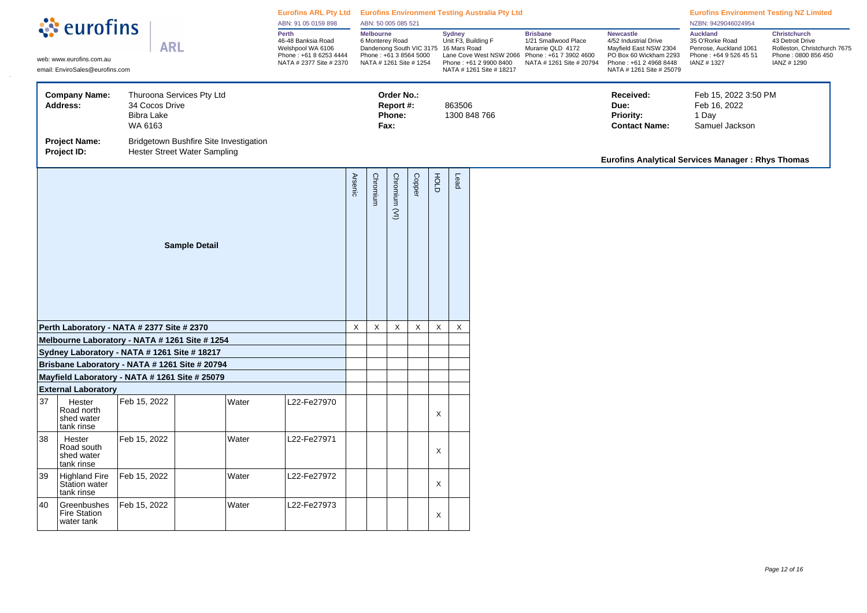| ं eurofins<br><b>ARL</b><br>web: www.eurofins.com.au<br>email: EnviroSales@eurofins.com |                                                                                                  |                                                | Eurofins ARL Pty Ltd Eurofins Environment Testing Australia Pty Ltd<br>ABN: 91 05 0159 898            |             | ABN: 50 005 085 521                                                                                                               |             |                                           |                                                                                                                       |                           |                                                                                                                    |                                                                                                                                                     | <b>Eurofins Environment Testing NZ Limited</b><br>NZBN: 9429046024954                                 |                                                                                                              |                                                                 |  |
|-----------------------------------------------------------------------------------------|--------------------------------------------------------------------------------------------------|------------------------------------------------|-------------------------------------------------------------------------------------------------------|-------------|-----------------------------------------------------------------------------------------------------------------------------------|-------------|-------------------------------------------|-----------------------------------------------------------------------------------------------------------------------|---------------------------|--------------------------------------------------------------------------------------------------------------------|-----------------------------------------------------------------------------------------------------------------------------------------------------|-------------------------------------------------------------------------------------------------------|--------------------------------------------------------------------------------------------------------------|-----------------------------------------------------------------|--|
|                                                                                         |                                                                                                  |                                                | Perth<br>46-48 Banksia Road<br>Welshpool WA 6106<br>Phone: +61 8 6253 4444<br>NATA # 2377 Site # 2370 |             | <b>Melbourne</b><br>6 Monterey Road<br>Dandenong South VIC 3175 16 Mars Road<br>Phone: +61 3 8564 5000<br>NATA # 1261 Site # 1254 |             |                                           | <b>Sydney</b><br>Unit F3, Building F<br>Lane Cove West NSW 2066<br>Phone: +61 2 9900 8400<br>NATA # 1261 Site # 18217 |                           | <b>Brisbane</b><br>1/21 Smallwood Place<br>Murarrie QLD 4172<br>Phone: +61 7 3902 4600<br>NATA # 1261 Site # 20794 | <b>Newcastle</b><br>4/52 Industrial Drive<br>Mayfield East NSW 2304<br>PO Box 60 Wickham 2293<br>Phone: +61 2 4968 8448<br>NATA # 1261 Site # 25079 | <b>Auckland</b><br>35 O'Rorke Road<br>Penrose, Auckland 1061<br>Phone: +64 9 526 45 51<br>IANZ # 1327 | <b>Christchurch</b><br>43 Detroit Drive<br>Rolleston, Christchurch 7675<br>Phone: 0800 856 450<br>IANZ #1290 |                                                                 |  |
|                                                                                         | <b>Company Name:</b><br>Address:                                                                 | 34 Cocos Drive<br><b>Bibra Lake</b><br>WA 6163 | Thuroona Services Pty Ltd                                                                             |             |                                                                                                                                   |             | Order No.:<br>Report #:<br>Phone:<br>Fax: |                                                                                                                       |                           | 863506                                                                                                             | 1300 848 766                                                                                                                                        |                                                                                                       | Received:<br>Due:<br><b>Priority:</b><br><b>Contact Name:</b>                                                | Feb 15, 2022 3:50 PM<br>Feb 16, 2022<br>1 Day<br>Samuel Jackson |  |
|                                                                                         | <b>Project Name:</b><br>Project ID:                                                              |                                                | Bridgetown Bushfire Site Investigation<br><b>Hester Street Water Sampling</b>                         |             |                                                                                                                                   |             |                                           |                                                                                                                       |                           |                                                                                                                    |                                                                                                                                                     |                                                                                                       | <b>Eurofins Analytical Services Manager: Rhys Thomas</b>                                                     |                                                                 |  |
|                                                                                         |                                                                                                  |                                                | <b>Sample Detail</b>                                                                                  |             | <b>Arsenic</b>                                                                                                                    | Chromium    | Chromium (VI)                             | Copper                                                                                                                | HOLD                      | Lead                                                                                                               |                                                                                                                                                     |                                                                                                       |                                                                                                              |                                                                 |  |
|                                                                                         | Perth Laboratory - NATA # 2377 Site # 2370                                                       |                                                |                                                                                                       |             | $\mathsf X$                                                                                                                       | $\mathsf X$ | X                                         | $\mathsf X$                                                                                                           | $\boldsymbol{\mathsf{X}}$ | $\mathsf X$                                                                                                        |                                                                                                                                                     |                                                                                                       |                                                                                                              |                                                                 |  |
|                                                                                         | Melbourne Laboratory - NATA # 1261 Site # 1254                                                   |                                                |                                                                                                       |             |                                                                                                                                   |             |                                           |                                                                                                                       |                           |                                                                                                                    |                                                                                                                                                     |                                                                                                       |                                                                                                              |                                                                 |  |
|                                                                                         | Sydney Laboratory - NATA # 1261 Site # 18217                                                     |                                                |                                                                                                       |             |                                                                                                                                   |             |                                           |                                                                                                                       |                           |                                                                                                                    |                                                                                                                                                     |                                                                                                       |                                                                                                              |                                                                 |  |
|                                                                                         | Brisbane Laboratory - NATA # 1261 Site # 20794<br>Mayfield Laboratory - NATA # 1261 Site # 25079 |                                                |                                                                                                       |             |                                                                                                                                   |             |                                           |                                                                                                                       |                           |                                                                                                                    |                                                                                                                                                     |                                                                                                       |                                                                                                              |                                                                 |  |
|                                                                                         | <b>External Laboratory</b>                                                                       |                                                |                                                                                                       |             |                                                                                                                                   |             |                                           |                                                                                                                       |                           |                                                                                                                    |                                                                                                                                                     |                                                                                                       |                                                                                                              |                                                                 |  |
| 37                                                                                      | Hester<br>Road north<br>shed water<br>tank rinse                                                 | Feb 15, 2022                                   | Water                                                                                                 | L22-Fe27970 |                                                                                                                                   |             |                                           |                                                                                                                       | $\mathsf X$               |                                                                                                                    |                                                                                                                                                     |                                                                                                       |                                                                                                              |                                                                 |  |
| 38                                                                                      | Hester<br>Road south<br>shed water<br>tank rinse                                                 | Feb 15, 2022                                   | Water                                                                                                 | L22-Fe27971 |                                                                                                                                   |             |                                           |                                                                                                                       | $\pmb{\times}$            |                                                                                                                    |                                                                                                                                                     |                                                                                                       |                                                                                                              |                                                                 |  |
| 39                                                                                      | <b>Highland Fire</b><br>Station water<br>tank rinse                                              | Feb 15, 2022                                   | Water                                                                                                 | L22-Fe27972 |                                                                                                                                   |             |                                           |                                                                                                                       | $\boldsymbol{\mathsf{X}}$ |                                                                                                                    |                                                                                                                                                     |                                                                                                       |                                                                                                              |                                                                 |  |
| 40                                                                                      | Greenbushes<br><b>Fire Station</b><br>water tank                                                 | Feb 15, 2022                                   | Water                                                                                                 | L22-Fe27973 |                                                                                                                                   |             |                                           |                                                                                                                       | X                         |                                                                                                                    |                                                                                                                                                     |                                                                                                       |                                                                                                              |                                                                 |  |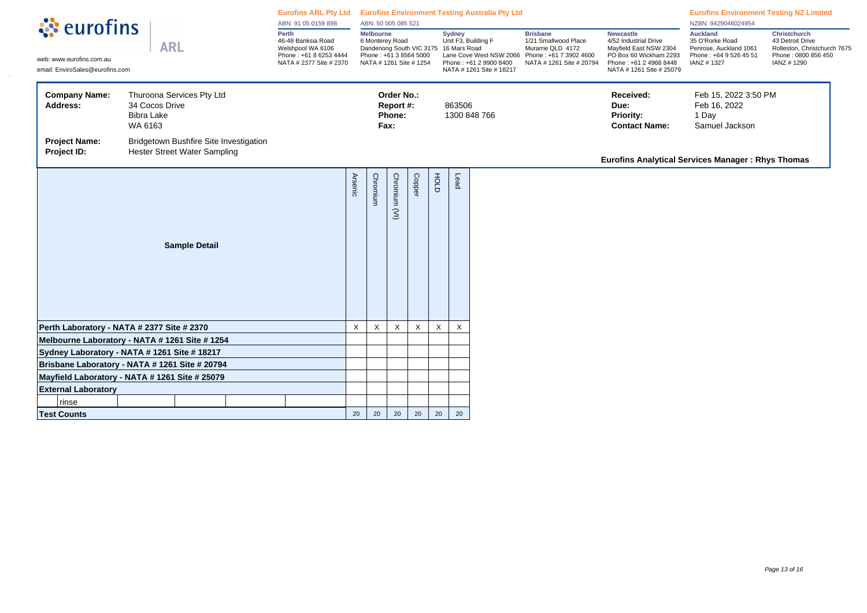| <b><i><u></u></i></b> eurofins                                          | Eurofins ARL Pty Ltd Eurofins Environment Testing Australia Pty Ltd<br>ABN: 91 05 0159 898                                                            |                                                                                                       | ABN: 50 005 085 521       |                                                                                                                                   |                                           |        |                                                                                                                                                                                                                 | <b>Eurofins Environment Testing NZ Limited</b><br>NZBN: 9429046024954 |                          |                                                                                                                                                     |                                                                                                       |                                                                                                              |  |
|-------------------------------------------------------------------------|-------------------------------------------------------------------------------------------------------------------------------------------------------|-------------------------------------------------------------------------------------------------------|---------------------------|-----------------------------------------------------------------------------------------------------------------------------------|-------------------------------------------|--------|-----------------------------------------------------------------------------------------------------------------------------------------------------------------------------------------------------------------|-----------------------------------------------------------------------|--------------------------|-----------------------------------------------------------------------------------------------------------------------------------------------------|-------------------------------------------------------------------------------------------------------|--------------------------------------------------------------------------------------------------------------|--|
| web: www.eurofins.com.au<br>email: EnviroSales@eurofins.com             | <b>ARL</b>                                                                                                                                            | Perth<br>46-48 Banksia Road<br>Welshpool WA 6106<br>Phone: +61 8 6253 4444<br>NATA # 2377 Site # 2370 |                           | <b>Melbourne</b><br>6 Monterey Road<br>Dandenong South VIC 3175 16 Mars Road<br>Phone: +61 3 8564 5000<br>NATA # 1261 Site # 1254 |                                           |        | <b>Brisbane</b><br><b>Sydney</b><br>Unit F3, Building F<br>1/21 Smallwood Place<br>Murarrie QLD 4172<br>Lane Cove West NSW 2066<br>Phone: +61 7 3902 4600<br>Phone: +61 2 9900 8400<br>NATA # 1261 Site # 18217 |                                                                       | NATA # 1261 Site # 20794 | <b>Newcastle</b><br>4/52 Industrial Drive<br>Mayfield East NSW 2304<br>PO Box 60 Wickham 2293<br>Phone: +61 2 4968 8448<br>NATA # 1261 Site # 25079 | <b>Auckland</b><br>35 O'Rorke Road<br>Penrose, Auckland 1061<br>Phone: +64 9 526 45 51<br>IANZ # 1327 | <b>Christchurch</b><br>43 Detroit Drive<br>Rolleston, Christchurch 7675<br>Phone: 0800 856 450<br>IANZ #1290 |  |
| <b>Company Name:</b><br>Address:<br><b>Project Name:</b><br>Project ID: | Thuroona Services Pty Ltd<br>34 Cocos Drive<br><b>Bibra Lake</b><br>WA 6163<br>Bridgetown Bushfire Site Investigation<br>Hester Street Water Sampling |                                                                                                       |                           |                                                                                                                                   | Order No.:<br>Report #:<br>Phone:<br>Fax: |        |                                                                                                                                                                                                                 | 863506                                                                | 1300 848 766             |                                                                                                                                                     | Received:<br>Due:<br>Priority:<br><b>Contact Name:</b>                                                | Feb 15, 2022 3:50 PM<br>Feb 16, 2022<br>1 Day<br>Samuel Jackson                                              |  |
|                                                                         |                                                                                                                                                       |                                                                                                       |                           |                                                                                                                                   |                                           |        |                                                                                                                                                                                                                 |                                                                       |                          |                                                                                                                                                     | Eurofins Analytical Services Manager: Rhys Thomas                                                     |                                                                                                              |  |
|                                                                         | <b>Sample Detail</b>                                                                                                                                  |                                                                                                       | Arsenic                   | Chromium                                                                                                                          | Chromium<br>$\widehat{\leq}$              | Copper | FOLD                                                                                                                                                                                                            | Lead                                                                  |                          |                                                                                                                                                     |                                                                                                       |                                                                                                              |  |
|                                                                         | Perth Laboratory - NATA # 2377 Site # 2370                                                                                                            |                                                                                                       | $\boldsymbol{\mathsf{X}}$ | X                                                                                                                                 | X                                         | X      | X                                                                                                                                                                                                               | X                                                                     |                          |                                                                                                                                                     |                                                                                                       |                                                                                                              |  |
|                                                                         | Melbourne Laboratory - NATA # 1261 Site # 1254                                                                                                        |                                                                                                       |                           |                                                                                                                                   |                                           |        |                                                                                                                                                                                                                 |                                                                       |                          |                                                                                                                                                     |                                                                                                       |                                                                                                              |  |
|                                                                         | Sydney Laboratory - NATA # 1261 Site # 18217                                                                                                          |                                                                                                       |                           |                                                                                                                                   |                                           |        |                                                                                                                                                                                                                 |                                                                       |                          |                                                                                                                                                     |                                                                                                       |                                                                                                              |  |
|                                                                         | Brisbane Laboratory - NATA # 1261 Site # 20794                                                                                                        |                                                                                                       |                           |                                                                                                                                   |                                           |        |                                                                                                                                                                                                                 |                                                                       |                          |                                                                                                                                                     |                                                                                                       |                                                                                                              |  |
|                                                                         | Mayfield Laboratory - NATA # 1261 Site # 25079                                                                                                        |                                                                                                       |                           |                                                                                                                                   |                                           |        |                                                                                                                                                                                                                 |                                                                       |                          |                                                                                                                                                     |                                                                                                       |                                                                                                              |  |
| <b>External Laboratory</b>                                              |                                                                                                                                                       |                                                                                                       |                           |                                                                                                                                   |                                           |        |                                                                                                                                                                                                                 |                                                                       |                          |                                                                                                                                                     |                                                                                                       |                                                                                                              |  |
| rinse                                                                   |                                                                                                                                                       |                                                                                                       |                           |                                                                                                                                   |                                           |        |                                                                                                                                                                                                                 |                                                                       |                          |                                                                                                                                                     |                                                                                                       |                                                                                                              |  |
| <b>Test Counts</b>                                                      |                                                                                                                                                       |                                                                                                       | 20                        | 20                                                                                                                                | 20                                        | 20     | 20                                                                                                                                                                                                              | 20 <sub>2</sub>                                                       |                          |                                                                                                                                                     |                                                                                                       |                                                                                                              |  |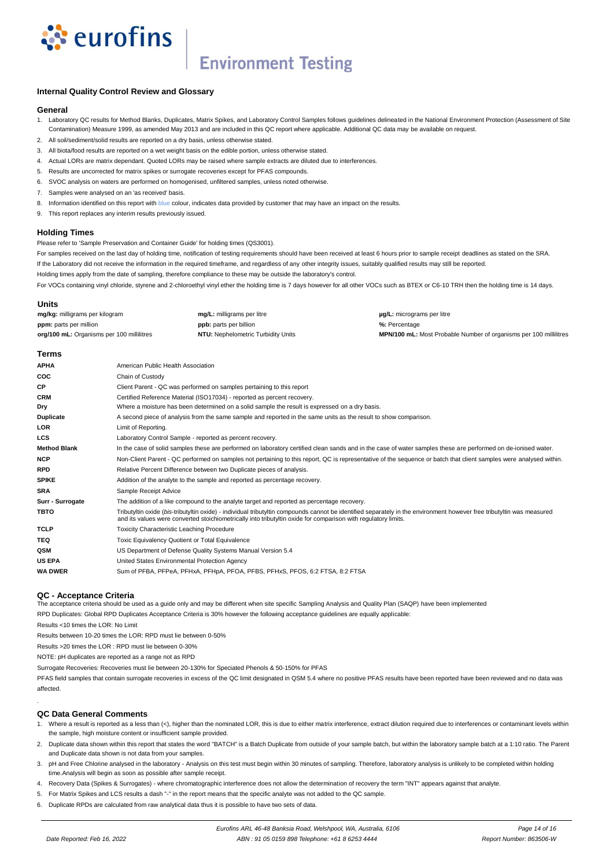

# **Environment Testing**

## **Internal Quality Control Review and Glossary**

### **General**

- 1. Laboratory QC results for Method Blanks, Duplicates, Matrix Spikes, and Laboratory Control Samples follows guidelines delineated in the National Environment Protection (Assessment of Site Contamination) Measure 1999, as amended May 2013 and are included in this QC report where applicable. Additional QC data may be available on request.
- 2. All soil/sediment/solid results are reported on a dry basis, unless otherwise stated.
- 3. All biota/food results are reported on a wet weight basis on the edible portion, unless otherwise stated.
- 4. Actual LORs are matrix dependant. Quoted LORs may be raised where sample extracts are diluted due to interferences.
- 5. Results are uncorrected for matrix spikes or surrogate recoveries except for PFAS compounds.
- 6. SVOC analysis on waters are performed on homogenised, unfiltered samples, unless noted otherwise.
- 7. Samples were analysed on an 'as received' basis.
- 8. Information identified on this report with blue colour, indicates data provided by customer that may have an impact on the results.
- 9. This report replaces any interim results previously issued.

### **Holding Times**

Please refer to 'Sample Preservation and Container Guide' for holding times (QS3001).

For samples received on the last day of holding time, notification of testing requirements should have been received at least 6 hours prior to sample receipt deadlines as stated on the SRA.

If the Laboratory did not receive the information in the required timeframe, and regardless of any other integrity issues, suitably qualified results may still be reported.

Holding times apply from the date of sampling, therefore compliance to these may be outside the laboratory's control. For VOCs containing vinyl chloride, styrene and 2-chloroethyl vinyl ether the holding time is 7 days however for all other VOCs such as BTEX or C6-10 TRH then the holding time is 14 days.

### **Units**

| -----                                     |                                    |                                                                          |
|-------------------------------------------|------------------------------------|--------------------------------------------------------------------------|
| mg/kg: milligrams per kilogram            | mg/L: milligrams per litre         | <b>µg/L:</b> micrograms per litre                                        |
| ppm: parts per million                    | <b>ppb:</b> parts per billion      | %: Percentage                                                            |
| org/100 mL: Organisms per 100 millilitres | NTU: Nephelometric Turbidity Units | <b>MPN/100 mL:</b> Most Probable Number of organisms per 100 millilitres |
|                                           |                                    |                                                                          |

### **Terms**

| <b>APHA</b>         | American Public Health Association                                                                                                                                                                                                                                                      |
|---------------------|-----------------------------------------------------------------------------------------------------------------------------------------------------------------------------------------------------------------------------------------------------------------------------------------|
| coc                 | Chain of Custody                                                                                                                                                                                                                                                                        |
| СP                  | Client Parent - QC was performed on samples pertaining to this report                                                                                                                                                                                                                   |
| <b>CRM</b>          | Certified Reference Material (ISO17034) - reported as percent recovery.                                                                                                                                                                                                                 |
| Dry                 | Where a moisture has been determined on a solid sample the result is expressed on a dry basis.                                                                                                                                                                                          |
| Duplicate           | A second piece of analysis from the same sample and reported in the same units as the result to show comparison.                                                                                                                                                                        |
| LOR                 | Limit of Reporting.                                                                                                                                                                                                                                                                     |
| LCS                 | Laboratory Control Sample - reported as percent recovery.                                                                                                                                                                                                                               |
| <b>Method Blank</b> | In the case of solid samples these are performed on laboratory certified clean sands and in the case of water samples these are performed on de-ionised water.                                                                                                                          |
| <b>NCP</b>          | Non-Client Parent - QC performed on samples not pertaining to this report, QC is representative of the sequence or batch that client samples were analysed within.                                                                                                                      |
| <b>RPD</b>          | Relative Percent Difference between two Duplicate pieces of analysis.                                                                                                                                                                                                                   |
| <b>SPIKE</b>        | Addition of the analyte to the sample and reported as percentage recovery.                                                                                                                                                                                                              |
| <b>SRA</b>          | Sample Receipt Advice                                                                                                                                                                                                                                                                   |
| Surr - Surrogate    | The addition of a like compound to the analyte target and reported as percentage recovery.                                                                                                                                                                                              |
| <b>TBTO</b>         | Tributyltin oxide (bis-tributyltin oxide) - individual tributyltin compounds cannot be identified separately in the environment however free tributyltin was measured<br>and its values were converted stoichiometrically into tributyltin oxide for comparison with regulatory limits. |
| TCLP                | <b>Toxicity Characteristic Leaching Procedure</b>                                                                                                                                                                                                                                       |
| TEQ                 | Toxic Equivalency Quotient or Total Equivalence                                                                                                                                                                                                                                         |
| QSM                 | US Department of Defense Quality Systems Manual Version 5.4                                                                                                                                                                                                                             |
| <b>US EPA</b>       | United States Environmental Protection Agency                                                                                                                                                                                                                                           |
| <b>WA DWER</b>      | Sum of PFBA, PFPeA, PFHxA, PFHpA, PFOA, PFBS, PFHxS, PFOS, 6:2 FTSA, 8:2 FTSA                                                                                                                                                                                                           |

### **QC - Acceptance Criteria**

The acceptance criteria should be used as a guide only and may be different when site specific Sampling Analysis and Quality Plan (SAQP) have been implemented

RPD Duplicates: Global RPD Duplicates Acceptance Criteria is 30% however the following acceptance guidelines are equally applicable:

Results <10 times the LOR: No Limit

Results between 10-20 times the LOR: RPD must lie between 0-50%

Results >20 times the LOR : RPD must lie between 0-30%

NOTE: pH duplicates are reported as a range not as RPD

Surrogate Recoveries: Recoveries must lie between 20-130% for Speciated Phenols & 50-150% for PFAS

PFAS field samples that contain surrogate recoveries in excess of the QC limit designated in QSM 5.4 where no positive PFAS results have been reported have been reviewed and no data was affected.

## **QC Data General Comments**

.

- 1. Where a result is reported as a less than (<), higher than the nominated LOR, this is due to either matrix interference, extract dilution required due to interferences or contaminant levels within the sample, high moisture content or insufficient sample provided.
- 2. Duplicate data shown within this report that states the word "BATCH" is a Batch Duplicate from outside of your sample batch, but within the laboratory sample batch at a 1:10 ratio. The Parent and Duplicate data shown is not data from your samples.
- 3. pH and Free Chlorine analysed in the laboratory Analysis on this test must begin within 30 minutes of sampling. Therefore, laboratory analysis is unlikely to be completed within holding time.Analysis will begin as soon as possible after sample receipt.
- 4. Recovery Data (Spikes & Surrogates) where chromatographic interference does not allow the determination of recovery the term "INT" appears against that analyte.
- 5. For Matrix Spikes and LCS results a dash "-" in the report means that the specific analyte was not added to the QC sample.
- 6. Duplicate RPDs are calculated from raw analytical data thus it is possible to have two sets of data.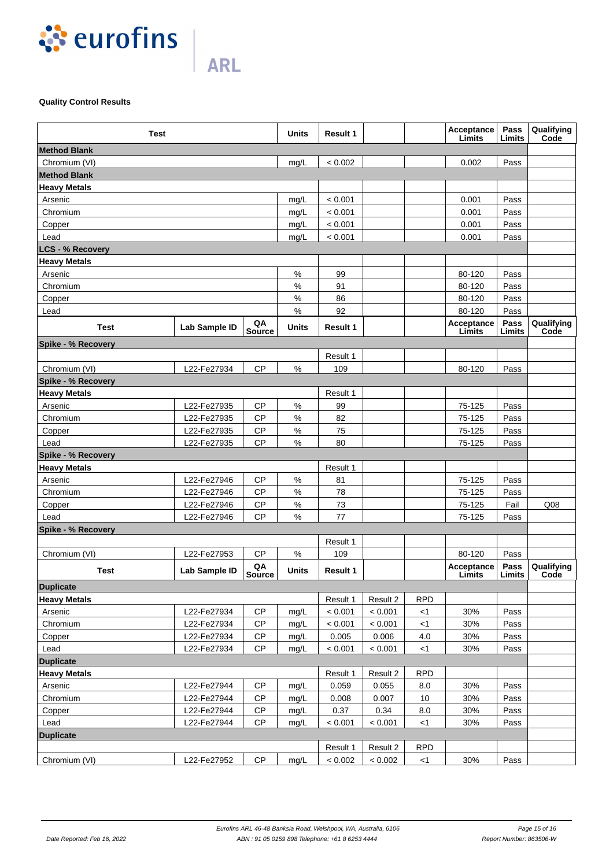

# **Quality Control Results**

| <b>Test</b>               |               |                     | Units | <b>Result 1</b> |          |            | Acceptance<br>Limits | Pass<br>Limits | Qualifying<br>Code |
|---------------------------|---------------|---------------------|-------|-----------------|----------|------------|----------------------|----------------|--------------------|
| <b>Method Blank</b>       |               |                     |       |                 |          |            |                      |                |                    |
| Chromium (VI)             |               |                     | mg/L  | < 0.002         |          |            | 0.002                | Pass           |                    |
| <b>Method Blank</b>       |               |                     |       |                 |          |            |                      |                |                    |
| <b>Heavy Metals</b>       |               |                     |       |                 |          |            |                      |                |                    |
| Arsenic                   |               |                     | mg/L  | < 0.001         |          |            | 0.001                | Pass           |                    |
| Chromium                  |               |                     | mg/L  | < 0.001         |          |            | 0.001                | Pass           |                    |
| Copper                    |               |                     | mg/L  | < 0.001         |          |            | 0.001                | Pass           |                    |
| Lead                      |               |                     | mg/L  | < 0.001         |          |            | 0.001                | Pass           |                    |
| <b>LCS - % Recovery</b>   |               |                     |       |                 |          |            |                      |                |                    |
| <b>Heavy Metals</b>       |               |                     |       |                 |          |            |                      |                |                    |
| Arsenic                   |               |                     | $\%$  | 99              |          |            | 80-120               | Pass           |                    |
| Chromium                  |               |                     | $\%$  | 91              |          |            | 80-120               | Pass           |                    |
| Copper                    |               |                     | $\%$  | 86              |          |            | 80-120               | Pass           |                    |
| Lead                      |               |                     | %     | 92              |          |            | 80-120               | Pass           |                    |
| <b>Test</b>               | Lab Sample ID | QA<br><b>Source</b> | Units | <b>Result 1</b> |          |            | Acceptance<br>Limits | Pass<br>Limits | Qualifying<br>Code |
| <b>Spike - % Recovery</b> |               |                     |       |                 |          |            |                      |                |                    |
|                           |               |                     |       | Result 1        |          |            |                      |                |                    |
| Chromium (VI)             | L22-Fe27934   | <b>CP</b>           | $\%$  | 109             |          |            | 80-120               | Pass           |                    |
| Spike - % Recovery        |               |                     |       |                 |          |            |                      |                |                    |
| <b>Heavy Metals</b>       |               |                     |       | Result 1        |          |            |                      |                |                    |
| Arsenic                   | L22-Fe27935   | CP                  | $\%$  | 99              |          |            | 75-125               | Pass           |                    |
| Chromium                  | L22-Fe27935   | CP                  | $\%$  | 82              |          |            | 75-125               | Pass           |                    |
| Copper                    | L22-Fe27935   | CP                  | $\%$  | 75              |          |            | 75-125               | Pass           |                    |
| Lead                      | L22-Fe27935   | CP                  | $\%$  | 80              |          |            | 75-125               | Pass           |                    |
| Spike - % Recovery        |               |                     |       |                 |          |            |                      |                |                    |
| <b>Heavy Metals</b>       |               |                     |       | Result 1        |          |            |                      |                |                    |
| Arsenic                   | L22-Fe27946   | CP                  | $\%$  | 81              |          |            | 75-125               | Pass           |                    |
| Chromium                  | L22-Fe27946   | CP                  | $\%$  | 78              |          |            | 75-125               | Pass           |                    |
| Copper                    | L22-Fe27946   | CP                  | $\%$  | 73              |          |            | 75-125               | Fail           | Q <sub>08</sub>    |
| Lead                      | L22-Fe27946   | CP                  | $\%$  | 77              |          |            | 75-125               | Pass           |                    |
| Spike - % Recovery        |               |                     |       |                 |          |            |                      |                |                    |
|                           |               |                     |       | Result 1        |          |            |                      |                |                    |
| Chromium (VI)             | L22-Fe27953   | <b>CP</b>           | %     | 109             |          |            | 80-120               | Pass           |                    |
| Test                      | Lab Sample ID | QA<br><b>Source</b> | Units | Result 1        |          |            | Acceptance<br>Limits | Pass<br>Limits | Qualifying<br>Code |
| Duplicate                 |               |                     |       |                 |          |            |                      |                |                    |
| <b>Heavy Metals</b>       |               |                     |       | Result 1        | Result 2 | <b>RPD</b> |                      |                |                    |
| Arsenic                   | L22-Fe27934   | CP                  | mg/L  | < 0.001         | < 0.001  | <1         | 30%                  | Pass           |                    |
| Chromium                  | L22-Fe27934   | CP                  | mg/L  | < 0.001         | < 0.001  | <1         | 30%                  | Pass           |                    |
| Copper                    | L22-Fe27934   | <b>CP</b>           | mg/L  | 0.005           | 0.006    | 4.0        | 30%                  | Pass           |                    |
| Lead                      | L22-Fe27934   | CP                  | mg/L  | < 0.001         | < 0.001  | $<$ 1      | 30%                  | Pass           |                    |
| <b>Duplicate</b>          |               |                     |       |                 |          |            |                      |                |                    |
| <b>Heavy Metals</b>       |               |                     |       | Result 1        | Result 2 | <b>RPD</b> |                      |                |                    |
| Arsenic                   | L22-Fe27944   | CP                  | mg/L  | 0.059           | 0.055    | 8.0        | 30%                  | Pass           |                    |
| Chromium                  | L22-Fe27944   | <b>CP</b>           | mg/L  | 0.008           | 0.007    | 10         | 30%                  | Pass           |                    |
| Copper                    | L22-Fe27944   | <b>CP</b>           | mg/L  | 0.37            | 0.34     | 8.0        | 30%                  | Pass           |                    |
| Lead                      | L22-Fe27944   | <b>CP</b>           | mg/L  | < 0.001         | < 0.001  | <1         | 30%                  | Pass           |                    |
| <b>Duplicate</b>          |               |                     |       |                 |          |            |                      |                |                    |
|                           |               |                     |       | Result 1        | Result 2 | <b>RPD</b> |                      |                |                    |
| Chromium (VI)             | L22-Fe27952   | CP                  | mg/L  | < 0.002         | < 0.002  | <1         | 30%                  | Pass           |                    |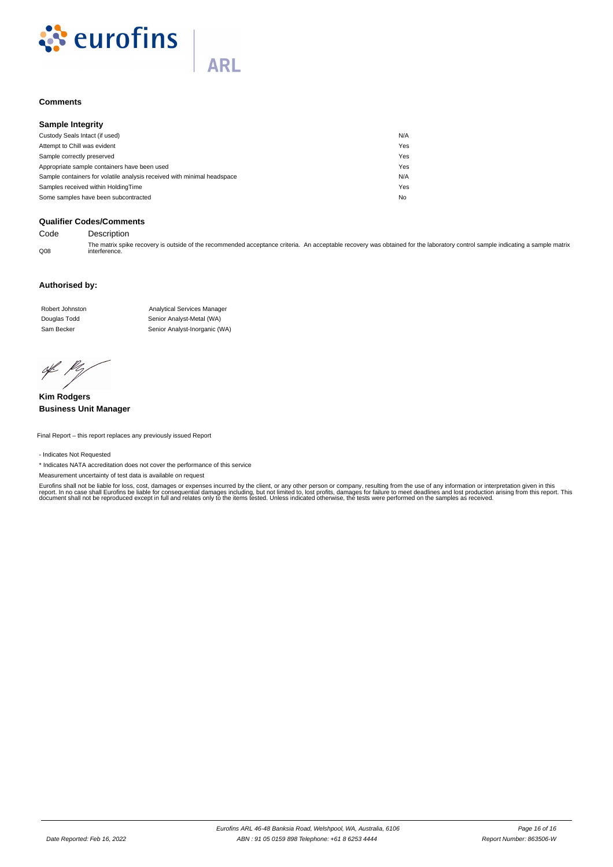

# **ARI**

# **Comments**

| <b>Sample Integrity</b>                                                 |     |
|-------------------------------------------------------------------------|-----|
| Custody Seals Intact (if used)                                          | N/A |
| Attempt to Chill was evident                                            | Yes |
| Sample correctly preserved                                              | Yes |
| Appropriate sample containers have been used                            | Yes |
| Sample containers for volatile analysis received with minimal headspace | N/A |
| Samples received within HoldingTime                                     | Yes |
| Some samples have been subcontracted                                    | No  |

# **Qualifier Codes/Comments**

Code Description

 $O<sub>08</sub>$ The matrix spike recovery is outside of the recommended acceptance criteria. An acceptable recovery was obtained for the laboratory control sample indicating a sample matrix interference.

# **Authorised by:**

Douglas Todd Senior Analyst-Metal (WA) Sam Becker Senior Analyst-Inorganic (WA) Robert Johnston **Analytical Services Manager** 

of Pr

**Kim Rodgers Business Unit Manager**

Final Report – this report replaces any previously issued Report

#### - Indicates Not Requested

\* Indicates NATA accreditation does not cover the performance of this service

Measurement uncertainty of test data is available on request

Eurofins shall not be liable for loss, cost, damages or expenses incurred by the client, or any other person or company, resulting from the use of any information or interpretation given in this<br>report. In no case shall Eu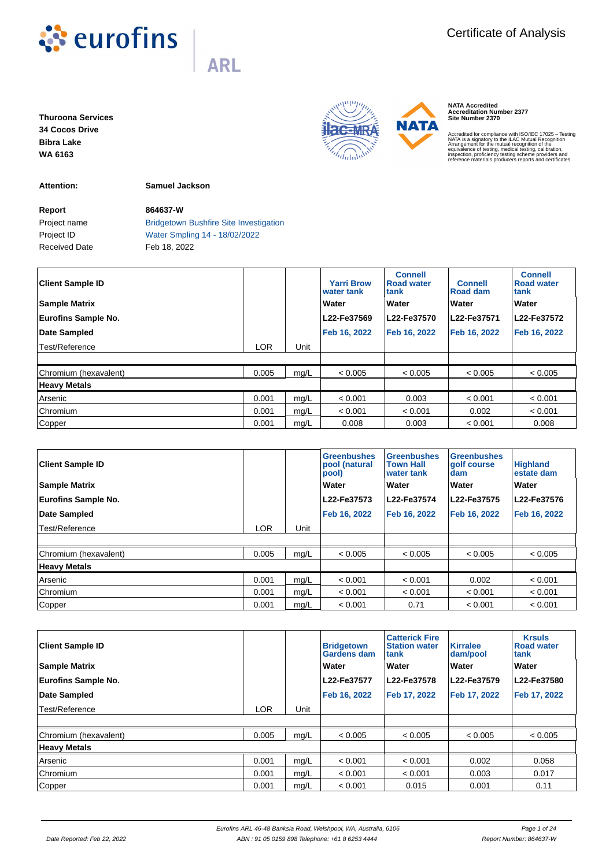

**Thuroona Services 34 Cocos Drive Bibra Lake WA 6163**

**Attention: Samuel Jackson**

**Report 864637-W**

Project name **Bridgetown Bushfire Site Investigation** Project ID Water Smpling 14 - 18/02/2022 Received Date Feb 18, 2022

| <b>Client Sample ID</b><br><b>Sample Matrix</b> |            |      | <b>Yarri Brow</b><br>water tank<br>Water | <b>Connell</b><br><b>Road water</b><br>tank<br>Water | <b>Connell</b><br><b>Road dam</b><br>Water | <b>Connell</b><br><b>Road water</b><br>tank<br>Water |
|-------------------------------------------------|------------|------|------------------------------------------|------------------------------------------------------|--------------------------------------------|------------------------------------------------------|
|                                                 |            |      |                                          |                                                      |                                            |                                                      |
| <b>Eurofins Sample No.</b>                      |            |      | L22-Fe37569                              | L22-Fe37570                                          | L22-Fe37571                                | L22-Fe37572                                          |
| Date Sampled                                    |            |      | Feb 16, 2022                             | Feb 16, 2022                                         | Feb 16, 2022                               | Feb 16, 2022                                         |
| Test/Reference                                  | <b>LOR</b> | Unit |                                          |                                                      |                                            |                                                      |
|                                                 |            |      |                                          |                                                      |                                            |                                                      |
| Chromium (hexavalent)                           | 0.005      | mg/L | < 0.005                                  | < 0.005                                              | < 0.005                                    | < 0.005                                              |
| <b>Heavy Metals</b>                             |            |      |                                          |                                                      |                                            |                                                      |
| Arsenic                                         | 0.001      | mg/L | < 0.001                                  | 0.003                                                | < 0.001                                    | < 0.001                                              |
| Chromium                                        | 0.001      | mg/L | < 0.001                                  | < 0.001                                              | 0.002                                      | < 0.001                                              |
| Copper                                          | 0.001      | mg/L | 0.008                                    | 0.003                                                | < 0.001                                    | 0.008                                                |

| <b>Client Sample ID</b>    |            |      | <b>Greenbushes</b><br>pool (natural<br>pool) | <b>Greenbushes</b><br><b>Town Hall</b><br>water tank | <b>Greenbushes</b><br>aolf course<br><b>dam</b> | <b>Highland</b><br>estate dam |
|----------------------------|------------|------|----------------------------------------------|------------------------------------------------------|-------------------------------------------------|-------------------------------|
| <b>Sample Matrix</b>       |            |      | Water                                        | Water                                                | <b>Water</b>                                    | Water                         |
| <b>Eurofins Sample No.</b> |            |      | L22-Fe37573                                  | L22-Fe37574                                          | L22-Fe37575                                     | L22-Fe37576                   |
| Date Sampled               |            |      | Feb 16, 2022                                 | Feb 16, 2022                                         | Feb 16, 2022                                    | Feb 16, 2022                  |
| Test/Reference             | <b>LOR</b> | Unit |                                              |                                                      |                                                 |                               |
|                            |            |      |                                              |                                                      |                                                 |                               |
| Chromium (hexavalent)      | 0.005      | mq/L | < 0.005                                      | < 0.005                                              | < 0.005                                         | < 0.005                       |
| <b>Heavy Metals</b>        |            |      |                                              |                                                      |                                                 |                               |
| Arsenic                    | 0.001      | mg/L | < 0.001                                      | < 0.001                                              | 0.002                                           | < 0.001                       |
| Chromium                   | 0.001      | mg/L | < 0.001                                      | < 0.001                                              | < 0.001                                         | < 0.001                       |
| Copper                     | 0.001      | mq/L | < 0.001                                      | 0.71                                                 | < 0.001                                         | < 0.001                       |

| <b>Client Sample ID</b><br><b>Sample Matrix</b><br><b>Eurofins Sample No.</b> |            |      | <b>Bridgetown</b><br>Gardens dam<br>Water<br>L22-Fe37577 | <b>Catterick Fire</b><br><b>Station water</b><br>tank<br>Water<br>L22-Fe37578 | <b>Kirralee</b><br>dam/pool<br>Water<br>L22-Fe37579 | <b>Krsuls</b><br><b>Road water</b><br>ltank<br><b>Water</b><br>L22-Fe37580 |
|-------------------------------------------------------------------------------|------------|------|----------------------------------------------------------|-------------------------------------------------------------------------------|-----------------------------------------------------|----------------------------------------------------------------------------|
| Date Sampled                                                                  |            |      | Feb 16, 2022                                             | Feb 17, 2022                                                                  | Feb 17, 2022                                        | Feb 17, 2022                                                               |
| Test/Reference                                                                | <b>LOR</b> | Unit |                                                          |                                                                               |                                                     |                                                                            |
|                                                                               |            |      |                                                          |                                                                               |                                                     |                                                                            |
| Chromium (hexavalent)                                                         | 0.005      | mg/L | < 0.005                                                  | < 0.005                                                                       | < 0.005                                             | < 0.005                                                                    |
| <b>Heavy Metals</b>                                                           |            |      |                                                          |                                                                               |                                                     |                                                                            |
| Arsenic                                                                       | 0.001      | mg/L | < 0.001                                                  | < 0.001                                                                       | 0.002                                               | 0.058                                                                      |
| Chromium                                                                      | 0.001      | mg/L | < 0.001                                                  | < 0.001                                                                       | 0.003                                               | 0.017                                                                      |
| Copper                                                                        | 0.001      | mg/L | < 0.001                                                  | 0.015                                                                         | 0.001                                               | 0.11                                                                       |

**NATA Accredited Accreditation Number 2377 Site Number 2370**

Accredited for compliance with ISO/IEC 17025 – Testing<br>ANATA is a signatory to the ILAC Mutual Recognition<br>Arrangement for the mutual recognition of the<br>equivalence of testing, medical testing, calibration,<br>inspection, pro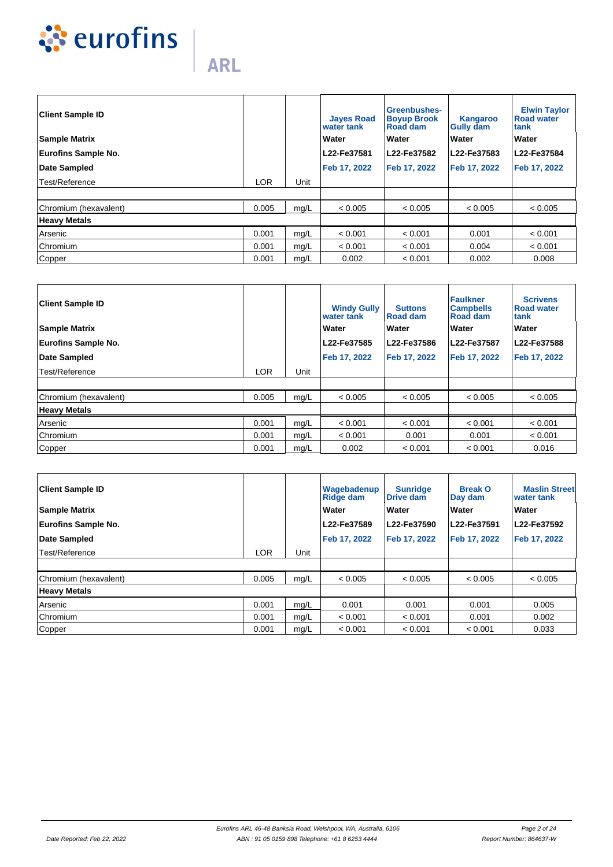

| <b>Client Sample ID</b>    |            |      | <b>Jayes Road</b><br>water tank | Greenbushes-<br><b>Boyup Brook</b><br>Road dam | <b>Kangaroo</b><br><b>Gully dam</b> | <b>Elwin Taylor</b><br><b>Road water</b><br>ltank |
|----------------------------|------------|------|---------------------------------|------------------------------------------------|-------------------------------------|---------------------------------------------------|
| <b>Sample Matrix</b>       |            |      | Water                           | Water                                          | Water                               | <b>Water</b>                                      |
| <b>Eurofins Sample No.</b> |            |      | L22-Fe37581                     | L22-Fe37582                                    | L22-Fe37583                         | L22-Fe37584                                       |
| Date Sampled               |            |      | Feb 17, 2022                    | Feb 17, 2022                                   | Feb 17, 2022                        | Feb 17, 2022                                      |
| Test/Reference             | <b>LOR</b> | Unit |                                 |                                                |                                     |                                                   |
|                            |            |      |                                 |                                                |                                     |                                                   |
| Chromium (hexavalent)      | 0.005      | mg/L | < 0.005                         | < 0.005                                        | < 0.005                             | < 0.005                                           |
| <b>Heavy Metals</b>        |            |      |                                 |                                                |                                     |                                                   |
| Arsenic                    | 0.001      | mg/L | < 0.001                         | < 0.001                                        | 0.001                               | < 0.001                                           |
| Chromium                   | 0.001      | mg/L | < 0.001                         | < 0.001                                        | 0.004                               | < 0.001                                           |
| Copper                     | 0.001      | mg/L | 0.002                           | < 0.001                                        | 0.002                               | 0.008                                             |

| <b>Client Sample ID</b><br><b>Sample Matrix</b><br><b>Eurofins Sample No.</b><br>Date Sampled |            |      | <b>Windy Gully</b><br>water tank<br>Water<br>L22-Fe37585<br>Feb 17, 2022 | <b>Suttons</b><br><b>Road dam</b><br>Water<br>L22-Fe37586<br>Feb 17, 2022 | <b>Faulkner</b><br><b>Campbells</b><br><b>Road dam</b><br>Water<br>L22-Fe37587<br>Feb 17, 2022 | <b>Scrivens</b><br><b>Road water</b><br>tank<br>Water<br>L22-Fe37588<br>Feb 17, 2022 |
|-----------------------------------------------------------------------------------------------|------------|------|--------------------------------------------------------------------------|---------------------------------------------------------------------------|------------------------------------------------------------------------------------------------|--------------------------------------------------------------------------------------|
| Test/Reference                                                                                | <b>LOR</b> | Unit |                                                                          |                                                                           |                                                                                                |                                                                                      |
|                                                                                               |            |      |                                                                          |                                                                           |                                                                                                |                                                                                      |
| Chromium (hexavalent)                                                                         | 0.005      | mg/L | < 0.005                                                                  | < 0.005                                                                   | < 0.005                                                                                        | < 0.005                                                                              |
| <b>Heavy Metals</b>                                                                           |            |      |                                                                          |                                                                           |                                                                                                |                                                                                      |
| Arsenic                                                                                       | 0.001      | mg/L | < 0.001                                                                  | < 0.001                                                                   | < 0.001                                                                                        | < 0.001                                                                              |
| Chromium                                                                                      | 0.001      | mg/L | < 0.001                                                                  | 0.001                                                                     | 0.001                                                                                          | < 0.001                                                                              |
| Copper                                                                                        | 0.001      | mg/L | 0.002                                                                    | < 0.001                                                                   | < 0.001                                                                                        | 0.016                                                                                |

| <b>Client Sample ID</b><br><b>Sample Matrix</b><br><b>Eurofins Sample No.</b> |            |      | Wagebadenup<br><b>Ridge dam</b><br>Water<br>L22-Fe37589 | <b>Sunridge</b><br>Drive dam<br>Water<br>L22-Fe37590 | <b>Break O</b><br>Day dam<br><b>Water</b><br>L22-Fe37591 | <b>Maslin Street</b><br>water tank<br>Water<br>L22-Fe37592 |
|-------------------------------------------------------------------------------|------------|------|---------------------------------------------------------|------------------------------------------------------|----------------------------------------------------------|------------------------------------------------------------|
| Date Sampled                                                                  |            |      | Feb 17, 2022                                            | Feb 17, 2022                                         | Feb 17, 2022                                             | Feb 17, 2022                                               |
| Test/Reference                                                                | <b>LOR</b> | Unit |                                                         |                                                      |                                                          |                                                            |
|                                                                               |            |      |                                                         |                                                      |                                                          |                                                            |
| Chromium (hexavalent)                                                         | 0.005      | mg/L | < 0.005                                                 | < 0.005                                              | < 0.005                                                  | < 0.005                                                    |
| <b>Heavy Metals</b>                                                           |            |      |                                                         |                                                      |                                                          |                                                            |
| Arsenic                                                                       | 0.001      | mq/L | 0.001                                                   | 0.001                                                | 0.001                                                    | 0.005                                                      |
| Chromium                                                                      | 0.001      | mg/L | < 0.001                                                 | < 0.001                                              | 0.001                                                    | 0.002                                                      |
| Copper                                                                        | 0.001      | mg/L | < 0.001                                                 | < 0.001                                              | < 0.001                                                  | 0.033                                                      |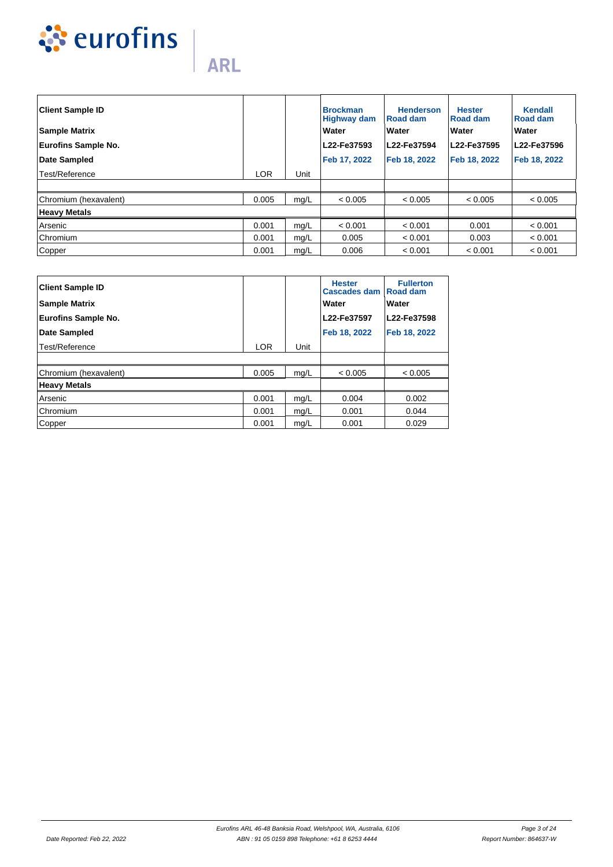

| <b>Client Sample ID</b><br><b>Sample Matrix</b> |            |      | <b>Brockman</b><br><b>Highway dam</b><br>Water | <b>Henderson</b><br>Road dam<br>Water | <b>Hester</b><br><b>Road dam</b><br><b>Water</b> | Kendall<br><b>Road dam</b><br>Water |
|-------------------------------------------------|------------|------|------------------------------------------------|---------------------------------------|--------------------------------------------------|-------------------------------------|
| <b>Eurofins Sample No.</b>                      |            |      | L22-Fe37593                                    | L22-Fe37594                           | L22-Fe37595                                      | L22-Fe37596                         |
| Date Sampled                                    |            |      | Feb 17, 2022                                   | Feb 18, 2022                          | Feb 18, 2022                                     | Feb 18, 2022                        |
| Test/Reference                                  | <b>LOR</b> | Unit |                                                |                                       |                                                  |                                     |
|                                                 |            |      |                                                |                                       |                                                  |                                     |
| Chromium (hexavalent)                           | 0.005      | mg/L | < 0.005                                        | < 0.005                               | < 0.005                                          | < 0.005                             |
| <b>Heavy Metals</b>                             |            |      |                                                |                                       |                                                  |                                     |
| Arsenic                                         | 0.001      | mg/L | < 0.001                                        | < 0.001                               | 0.001                                            | < 0.001                             |
| Chromium                                        | 0.001      | mg/L | 0.005                                          | < 0.001                               | 0.003                                            | < 0.001                             |
| Copper                                          | 0.001      | mg/L | 0.006                                          | < 0.001                               | < 0.001                                          | < 0.001                             |

| <b>Client Sample ID</b><br><b>Sample Matrix</b><br><b>Eurofins Sample No.</b> |            |      | <b>Hester</b><br>Cascades dam   Road dam<br>Water<br>L22-Fe37597 | <b>Fullerton</b><br>Water<br>L22-Fe37598 |
|-------------------------------------------------------------------------------|------------|------|------------------------------------------------------------------|------------------------------------------|
| Date Sampled                                                                  |            |      | Feb 18, 2022                                                     | Feb 18, 2022                             |
| Test/Reference                                                                | <b>LOR</b> | Unit |                                                                  |                                          |
|                                                                               |            |      |                                                                  |                                          |
| Chromium (hexavalent)                                                         | 0.005      | mg/L | < 0.005                                                          | < 0.005                                  |
| <b>Heavy Metals</b>                                                           |            |      |                                                                  |                                          |
| Arsenic                                                                       | 0.001      | mg/L | 0.004                                                            | 0.002                                    |
| Chromium                                                                      | 0.001      | mg/L | 0.001                                                            | 0.044                                    |
| Copper                                                                        | 0.001      | mg/L | 0.001                                                            | 0.029                                    |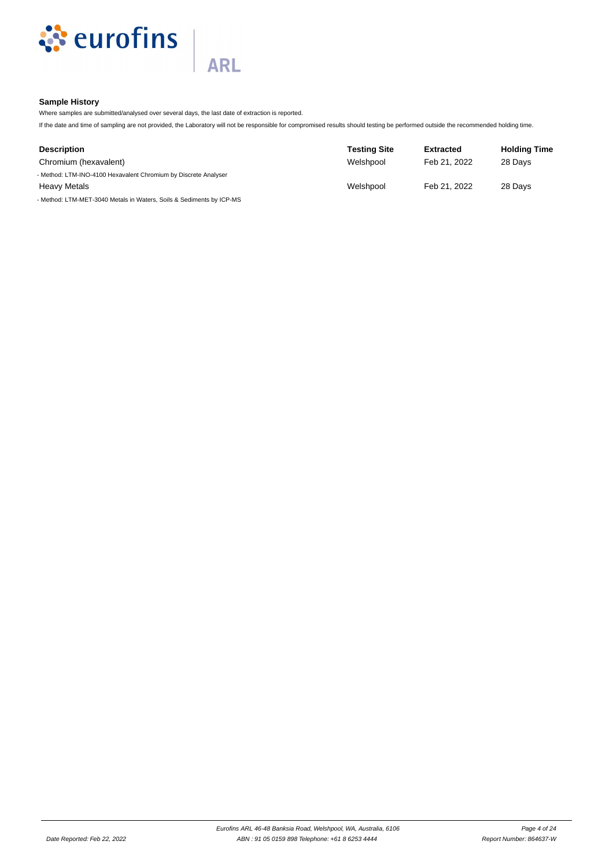

# **Sample History**

Where samples are submitted/analysed over several days, the last date of extraction is reported.

**ARL** 

If the date and time of sampling are not provided, the Laboratory will not be responsible for compromised results should testing be performed outside the recommended holding time.

| <b>Description</b>                                                   | <b>Testing Site</b> | <b>Extracted</b> | <b>Holding Time</b> |
|----------------------------------------------------------------------|---------------------|------------------|---------------------|
| Chromium (hexavalent)                                                | Welshpool           | Feb 21, 2022     | 28 Days             |
| - Method: LTM-INO-4100 Hexavalent Chromium by Discrete Analyser      |                     |                  |                     |
| <b>Heavy Metals</b>                                                  | Welshpool           | Feb 21, 2022     | 28 Days             |
| - Method: LTM-MET-3040 Metals in Waters, Soils & Sediments by ICP-MS |                     |                  |                     |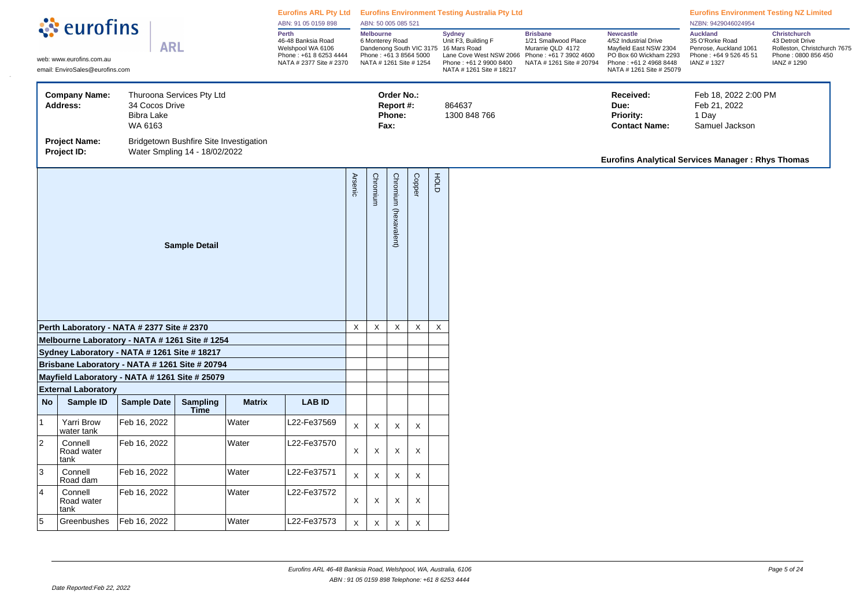|                                                                    |                                                                                                |                                                |                                                                         | ABN: 91 05 0159 898 | Eurofins ARL Pty Ltd Eurofins Environment Testing Australia Pty Ltd<br>ABN: 50 005 085 521<br><b>Melbourne</b> |                                                                                                               |          |                                   |                           |              |                                                                                            |                                                                                                                                            | <b>Eurofins Environment Testing NZ Limited</b><br>NZBN: 9429046024954                                                                               |                                                                                                      |                                                                                                               |
|--------------------------------------------------------------------|------------------------------------------------------------------------------------------------|------------------------------------------------|-------------------------------------------------------------------------|---------------------|----------------------------------------------------------------------------------------------------------------|---------------------------------------------------------------------------------------------------------------|----------|-----------------------------------|---------------------------|--------------|--------------------------------------------------------------------------------------------|--------------------------------------------------------------------------------------------------------------------------------------------|-----------------------------------------------------------------------------------------------------------------------------------------------------|------------------------------------------------------------------------------------------------------|---------------------------------------------------------------------------------------------------------------|
|                                                                    | ं eurofins<br>web: www.eurofins.com.au<br>email: EnviroSales@eurofins.com                      | <b>ARL</b>                                     |                                                                         |                     | Perth<br>46-48 Banksia Road<br>Welshpool WA 6106<br>Phone: +61 8 6253 4444<br>NATA # 2377 Site # 2370          | 6 Monterey Road<br>Dandenong South VIC 3175 16 Mars Road<br>Phone: +61 3 8564 5000<br>NATA # 1261 Site # 1254 |          |                                   |                           |              | <b>Sydney</b><br>Unit F3, Building F<br>Phone: +61 2 9900 8400<br>NATA # 1261 Site # 18217 | <b>Brisbane</b><br>1/21 Smallwood Place<br>Murarrie QLD 4172<br>Lane Cove West NSW 2066 Phone: +61 7 3902 4600<br>NATA # 1261 Site # 20794 | <b>Newcastle</b><br>4/52 Industrial Drive<br>Mayfield East NSW 2304<br>PO Box 60 Wickham 2293<br>Phone: +61 2 4968 8448<br>NATA # 1261 Site # 25079 | <b>Auckland</b><br>35 O'Rorke Road<br>Penrose, Auckland 1061<br>Phone: +64 9 526 45 51<br>IANZ #1327 | <b>Christchurch</b><br>43 Detroit Drive<br>Rolleston, Christchurch 7675<br>Phone: 0800 856 450<br>IANZ # 1290 |
|                                                                    | <b>Company Name:</b><br>Address:                                                               | 34 Cocos Drive<br><b>Bibra Lake</b><br>WA 6163 | Thuroona Services Pty Ltd                                               |                     |                                                                                                                |                                                                                                               | Fax:     | Order No.:<br>Report #:<br>Phone: |                           |              | 864637<br>1300 848 766                                                                     |                                                                                                                                            | Received:<br>Due:<br>Priority:<br><b>Contact Name:</b>                                                                                              | Feb 18, 2022 2:00 PM<br>Feb 21, 2022<br>1 Day<br>Samuel Jackson                                      |                                                                                                               |
|                                                                    | <b>Project Name:</b><br>Project ID:                                                            |                                                | Bridgetown Bushfire Site Investigation<br>Water Smpling 14 - 18/02/2022 |                     |                                                                                                                |                                                                                                               |          |                                   |                           |              |                                                                                            |                                                                                                                                            | <b>Eurofins Analytical Services Manager: Rhys Thomas</b>                                                                                            |                                                                                                      |                                                                                                               |
| <b>Sample Detail</b><br>Perth Laboratory - NATA # 2377 Site # 2370 |                                                                                                |                                                |                                                                         |                     |                                                                                                                |                                                                                                               | Chromium | Chromium (hexavalent)             | Copper                    | доц          |                                                                                            |                                                                                                                                            |                                                                                                                                                     |                                                                                                      |                                                                                                               |
|                                                                    |                                                                                                |                                                |                                                                         |                     |                                                                                                                | X                                                                                                             | X        | X                                 | $\mathsf X$               | $\mathsf{X}$ |                                                                                            |                                                                                                                                            |                                                                                                                                                     |                                                                                                      |                                                                                                               |
|                                                                    | Melbourne Laboratory - NATA # 1261 Site # 1254                                                 |                                                |                                                                         |                     |                                                                                                                |                                                                                                               |          |                                   |                           |              |                                                                                            |                                                                                                                                            |                                                                                                                                                     |                                                                                                      |                                                                                                               |
|                                                                    | Sydney Laboratory - NATA # 1261 Site # 18217<br>Brisbane Laboratory - NATA # 1261 Site # 20794 |                                                |                                                                         |                     |                                                                                                                |                                                                                                               |          |                                   |                           |              |                                                                                            |                                                                                                                                            |                                                                                                                                                     |                                                                                                      |                                                                                                               |
|                                                                    | Mayfield Laboratory - NATA # 1261 Site # 25079                                                 |                                                |                                                                         |                     |                                                                                                                |                                                                                                               |          |                                   |                           |              |                                                                                            |                                                                                                                                            |                                                                                                                                                     |                                                                                                      |                                                                                                               |
|                                                                    | <b>External Laboratory</b>                                                                     |                                                |                                                                         |                     |                                                                                                                |                                                                                                               |          |                                   |                           |              |                                                                                            |                                                                                                                                            |                                                                                                                                                     |                                                                                                      |                                                                                                               |
| <b>No</b>                                                          | Sample ID                                                                                      | <b>Sample Date</b>                             | <b>Sampling</b><br>Time                                                 | <b>Matrix</b>       | <b>LAB ID</b>                                                                                                  |                                                                                                               |          |                                   |                           |              |                                                                                            |                                                                                                                                            |                                                                                                                                                     |                                                                                                      |                                                                                                               |
| $\mathbf{1}$                                                       | Yarri Brow<br>water tank                                                                       | Feb 16, 2022                                   |                                                                         | Water               | L22-Fe37569                                                                                                    | X                                                                                                             | X        | X                                 | $\mathsf X$               |              |                                                                                            |                                                                                                                                            |                                                                                                                                                     |                                                                                                      |                                                                                                               |
| $\vert$ <sub>2</sub>                                               | Connell<br>Road water<br>tank                                                                  | Feb 16, 2022                                   |                                                                         | Water               | L22-Fe37570                                                                                                    | X                                                                                                             | X        | X                                 | X                         |              |                                                                                            |                                                                                                                                            |                                                                                                                                                     |                                                                                                      |                                                                                                               |
| 3                                                                  | Connell<br>Road dam                                                                            | Feb 16, 2022                                   |                                                                         | Water               | L22-Fe37571                                                                                                    | $\mathsf X$                                                                                                   | X        | X                                 | $\boldsymbol{\mathsf{X}}$ |              |                                                                                            |                                                                                                                                            |                                                                                                                                                     |                                                                                                      |                                                                                                               |
| $\overline{4}$                                                     | Connell<br>Road water<br>tank                                                                  | Feb 16, 2022                                   |                                                                         | Water               | L22-Fe37572                                                                                                    | X                                                                                                             | Χ        | X                                 | $\mathsf X$               |              |                                                                                            |                                                                                                                                            |                                                                                                                                                     |                                                                                                      |                                                                                                               |
| 5                                                                  | Greenbushes                                                                                    | Feb 16, 2022                                   |                                                                         | Water               | L22-Fe37573                                                                                                    | X                                                                                                             | X        | X                                 | X                         |              |                                                                                            |                                                                                                                                            |                                                                                                                                                     |                                                                                                      |                                                                                                               |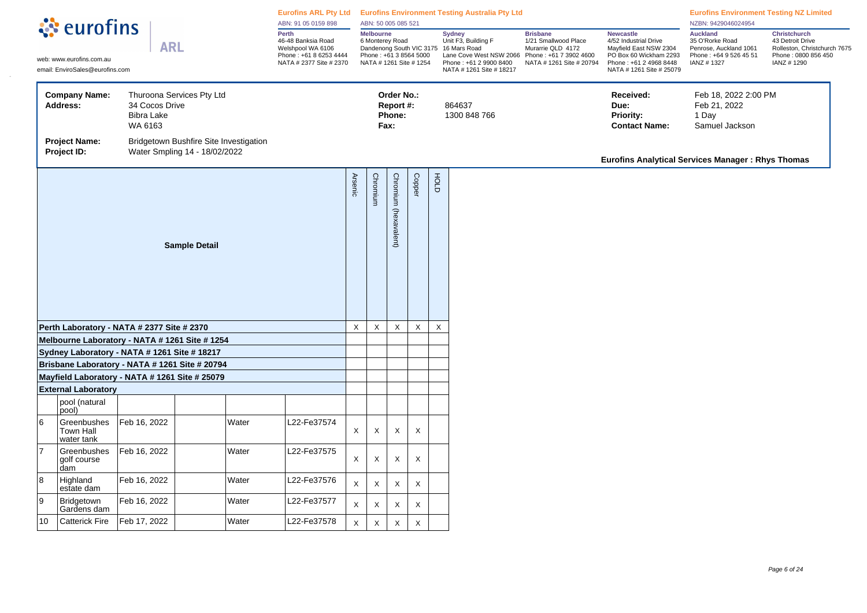| Perth<br><b>Melbourne</b><br><b>Sydney</b><br><b>Brisbane</b><br><b>Newcastle</b><br>Unit F3, Building F<br>46-48 Banksia Road<br>6 Monterey Road<br>1/21 Smallwood Place<br>4/52 Industrial Drive<br><b>ARL</b><br>Welshpool WA 6106<br>Dandenong South VIC 3175 16 Mars Road<br>Mayfield East NSW 2304<br>Murarrie QLD 4172<br>Lane Cove West NSW 2066<br>Phone: +61 8 6253 4444<br>Phone: +61 3 8564 5000<br>Phone: +61 7 3902 4600<br>PO Box 60 Wickham 2293<br>web: www.eurofins.com.au<br>NATA # 2377 Site # 2370<br>NATA # 1261 Site # 1254<br>Phone: +61 2 9900 8400<br>NATA # 1261 Site # 20794<br>Phone: +61 2 4968 8448<br>email: EnviroSales@eurofins.com<br>NATA # 1261 Site # 18217<br>NATA # 1261 Site # 25079<br>Thuroona Services Pty Ltd<br><b>Company Name:</b><br>Order No.:<br>Received:<br>34 Cocos Drive<br>Report #:<br>864637<br><b>Address:</b><br>Due:<br><b>Bibra Lake</b><br>Phone:<br>1300 848 766<br><b>Priority:</b><br>1 Day<br>WA 6163<br>Fax:<br><b>Contact Name:</b><br><b>Project Name:</b><br>Bridgetown Bushfire Site Investigation<br>Project ID:<br>Water Smpling 14 - 18/02/2022<br><b>Eurofins Analytical Services Manager: Rhys Thomas</b><br><b>Arsenic</b><br>Copper<br>FOLD<br>Chromium<br>Chromium (hexavalent)<br><b>Sample Detail</b><br>$\mathsf X$<br>$\mathsf X$<br>$\mathsf X$<br>$\mathsf X$<br>$\mathsf X$<br>Perth Laboratory - NATA # 2377 Site # 2370<br>Melbourne Laboratory - NATA # 1261 Site # 1254<br>Sydney Laboratory - NATA # 1261 Site # 18217<br>Brisbane Laboratory - NATA # 1261 Site # 20794<br>Mayfield Laboratory - NATA # 1261 Site # 25079<br><b>External Laboratory</b><br>pool (natural<br>pool)<br>6<br>Feb 16, 2022<br>Water<br>L22-Fe37574<br>Greenbushes<br><b>Town Hall</b><br>$\times$<br>X<br>Χ<br>Χ<br>water tank<br> 7<br>Feb 16, 2022<br>Greenbushes<br>Water<br>L22-Fe37575<br>$\times$<br>X<br>Χ<br>X<br>golf course<br>dam<br>8<br>Feb 16, 2022<br>Water<br>22-Fe37576<br>Highland<br>$\mathsf X$<br>X<br>X<br>X<br>estate dam<br>9<br>Feb 16, 2022<br>Bridgetown<br>Water<br>L22-Fe37577<br>X<br>X<br>X<br>X<br>Gardens dam | ं eurofins |  |  |  |       | ABN: 91 05 0159 898 |  | ABN: 50 005 085 521 |  |  | Eurofins ARL Pty Ltd Eurofins Environment Testing Australia Pty Ltd |  | <b>Eurofins Environment Testing NZ Limited</b><br>NZBN: 9429046024954                                |                                                                                                              |
|-------------------------------------------------------------------------------------------------------------------------------------------------------------------------------------------------------------------------------------------------------------------------------------------------------------------------------------------------------------------------------------------------------------------------------------------------------------------------------------------------------------------------------------------------------------------------------------------------------------------------------------------------------------------------------------------------------------------------------------------------------------------------------------------------------------------------------------------------------------------------------------------------------------------------------------------------------------------------------------------------------------------------------------------------------------------------------------------------------------------------------------------------------------------------------------------------------------------------------------------------------------------------------------------------------------------------------------------------------------------------------------------------------------------------------------------------------------------------------------------------------------------------------------------------------------------------------------------------------------------------------------------------------------------------------------------------------------------------------------------------------------------------------------------------------------------------------------------------------------------------------------------------------------------------------------------------------------------------------------------------------------------------------------------------------------------------------------------------------------------------|------------|--|--|--|-------|---------------------|--|---------------------|--|--|---------------------------------------------------------------------|--|------------------------------------------------------------------------------------------------------|--------------------------------------------------------------------------------------------------------------|
|                                                                                                                                                                                                                                                                                                                                                                                                                                                                                                                                                                                                                                                                                                                                                                                                                                                                                                                                                                                                                                                                                                                                                                                                                                                                                                                                                                                                                                                                                                                                                                                                                                                                                                                                                                                                                                                                                                                                                                                                                                                                                                                         |            |  |  |  |       |                     |  |                     |  |  |                                                                     |  | <b>Auckland</b><br>35 O'Rorke Road<br>Penrose, Auckland 1061<br>Phone: +64 9 526 45 51<br>IANZ #1327 | <b>Christchurch</b><br>43 Detroit Drive<br>Rolleston, Christchurch 7675<br>Phone: 0800 856 450<br>IANZ #1290 |
|                                                                                                                                                                                                                                                                                                                                                                                                                                                                                                                                                                                                                                                                                                                                                                                                                                                                                                                                                                                                                                                                                                                                                                                                                                                                                                                                                                                                                                                                                                                                                                                                                                                                                                                                                                                                                                                                                                                                                                                                                                                                                                                         |            |  |  |  |       |                     |  |                     |  |  |                                                                     |  | Feb 18, 2022 2:00 PM<br>Feb 21, 2022<br>Samuel Jackson                                               |                                                                                                              |
|                                                                                                                                                                                                                                                                                                                                                                                                                                                                                                                                                                                                                                                                                                                                                                                                                                                                                                                                                                                                                                                                                                                                                                                                                                                                                                                                                                                                                                                                                                                                                                                                                                                                                                                                                                                                                                                                                                                                                                                                                                                                                                                         |            |  |  |  |       |                     |  |                     |  |  |                                                                     |  |                                                                                                      |                                                                                                              |
|                                                                                                                                                                                                                                                                                                                                                                                                                                                                                                                                                                                                                                                                                                                                                                                                                                                                                                                                                                                                                                                                                                                                                                                                                                                                                                                                                                                                                                                                                                                                                                                                                                                                                                                                                                                                                                                                                                                                                                                                                                                                                                                         |            |  |  |  |       |                     |  |                     |  |  |                                                                     |  |                                                                                                      |                                                                                                              |
|                                                                                                                                                                                                                                                                                                                                                                                                                                                                                                                                                                                                                                                                                                                                                                                                                                                                                                                                                                                                                                                                                                                                                                                                                                                                                                                                                                                                                                                                                                                                                                                                                                                                                                                                                                                                                                                                                                                                                                                                                                                                                                                         |            |  |  |  |       |                     |  |                     |  |  |                                                                     |  |                                                                                                      |                                                                                                              |
|                                                                                                                                                                                                                                                                                                                                                                                                                                                                                                                                                                                                                                                                                                                                                                                                                                                                                                                                                                                                                                                                                                                                                                                                                                                                                                                                                                                                                                                                                                                                                                                                                                                                                                                                                                                                                                                                                                                                                                                                                                                                                                                         |            |  |  |  |       |                     |  |                     |  |  |                                                                     |  |                                                                                                      |                                                                                                              |
|                                                                                                                                                                                                                                                                                                                                                                                                                                                                                                                                                                                                                                                                                                                                                                                                                                                                                                                                                                                                                                                                                                                                                                                                                                                                                                                                                                                                                                                                                                                                                                                                                                                                                                                                                                                                                                                                                                                                                                                                                                                                                                                         |            |  |  |  |       |                     |  |                     |  |  |                                                                     |  |                                                                                                      |                                                                                                              |
|                                                                                                                                                                                                                                                                                                                                                                                                                                                                                                                                                                                                                                                                                                                                                                                                                                                                                                                                                                                                                                                                                                                                                                                                                                                                                                                                                                                                                                                                                                                                                                                                                                                                                                                                                                                                                                                                                                                                                                                                                                                                                                                         |            |  |  |  |       |                     |  |                     |  |  |                                                                     |  |                                                                                                      |                                                                                                              |
|                                                                                                                                                                                                                                                                                                                                                                                                                                                                                                                                                                                                                                                                                                                                                                                                                                                                                                                                                                                                                                                                                                                                                                                                                                                                                                                                                                                                                                                                                                                                                                                                                                                                                                                                                                                                                                                                                                                                                                                                                                                                                                                         |            |  |  |  |       |                     |  |                     |  |  |                                                                     |  |                                                                                                      |                                                                                                              |
|                                                                                                                                                                                                                                                                                                                                                                                                                                                                                                                                                                                                                                                                                                                                                                                                                                                                                                                                                                                                                                                                                                                                                                                                                                                                                                                                                                                                                                                                                                                                                                                                                                                                                                                                                                                                                                                                                                                                                                                                                                                                                                                         |            |  |  |  |       |                     |  |                     |  |  |                                                                     |  |                                                                                                      |                                                                                                              |
|                                                                                                                                                                                                                                                                                                                                                                                                                                                                                                                                                                                                                                                                                                                                                                                                                                                                                                                                                                                                                                                                                                                                                                                                                                                                                                                                                                                                                                                                                                                                                                                                                                                                                                                                                                                                                                                                                                                                                                                                                                                                                                                         |            |  |  |  |       |                     |  |                     |  |  |                                                                     |  |                                                                                                      |                                                                                                              |
|                                                                                                                                                                                                                                                                                                                                                                                                                                                                                                                                                                                                                                                                                                                                                                                                                                                                                                                                                                                                                                                                                                                                                                                                                                                                                                                                                                                                                                                                                                                                                                                                                                                                                                                                                                                                                                                                                                                                                                                                                                                                                                                         |            |  |  |  |       |                     |  |                     |  |  |                                                                     |  |                                                                                                      |                                                                                                              |
|                                                                                                                                                                                                                                                                                                                                                                                                                                                                                                                                                                                                                                                                                                                                                                                                                                                                                                                                                                                                                                                                                                                                                                                                                                                                                                                                                                                                                                                                                                                                                                                                                                                                                                                                                                                                                                                                                                                                                                                                                                                                                                                         |            |  |  |  |       |                     |  |                     |  |  |                                                                     |  |                                                                                                      |                                                                                                              |
|                                                                                                                                                                                                                                                                                                                                                                                                                                                                                                                                                                                                                                                                                                                                                                                                                                                                                                                                                                                                                                                                                                                                                                                                                                                                                                                                                                                                                                                                                                                                                                                                                                                                                                                                                                                                                                                                                                                                                                                                                                                                                                                         |            |  |  |  |       |                     |  |                     |  |  |                                                                     |  |                                                                                                      |                                                                                                              |
| <b>Catterick Fire</b><br>Feb 17, 2022<br>10<br>X<br>X<br>X<br>X                                                                                                                                                                                                                                                                                                                                                                                                                                                                                                                                                                                                                                                                                                                                                                                                                                                                                                                                                                                                                                                                                                                                                                                                                                                                                                                                                                                                                                                                                                                                                                                                                                                                                                                                                                                                                                                                                                                                                                                                                                                         |            |  |  |  | Water | L22-Fe37578         |  |                     |  |  |                                                                     |  |                                                                                                      |                                                                                                              |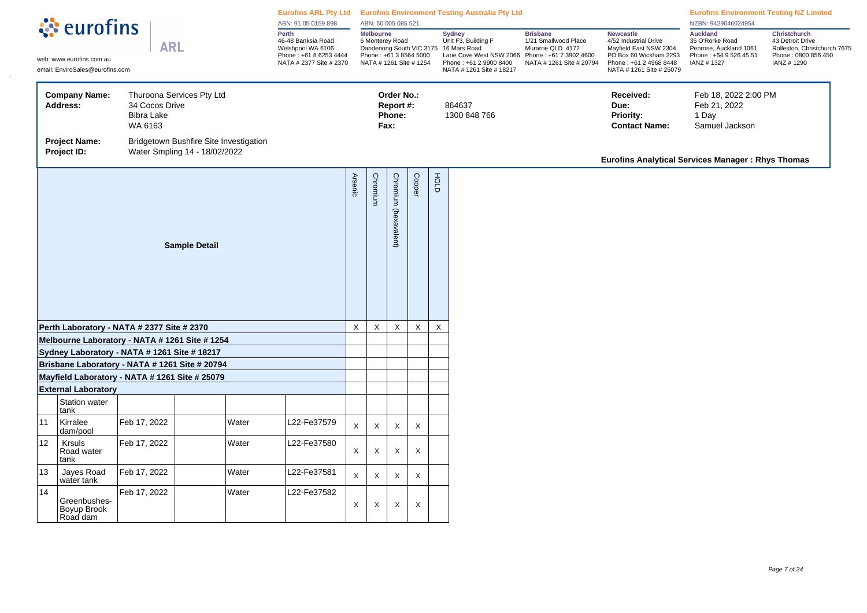|    | <b><i><u>A</u></i></b> eurofins                                                                                                |                                                |                                                                         | ABN: 91 05 0159 898 | Eurofins ARL Pty Ltd Eurofins Environment Testing Australia Pty Ltd<br>ABN: 50 005 085 521            |              |                                                                                          |                                           |             |                           |                                                                                                                                                         |                                                                                                                    | <b>Eurofins Environment Testing NZ Limited</b><br>NZBN: 9429046024954                                                                               |                                                                                                      |                                                                                                               |
|----|--------------------------------------------------------------------------------------------------------------------------------|------------------------------------------------|-------------------------------------------------------------------------|---------------------|-------------------------------------------------------------------------------------------------------|--------------|------------------------------------------------------------------------------------------|-------------------------------------------|-------------|---------------------------|---------------------------------------------------------------------------------------------------------------------------------------------------------|--------------------------------------------------------------------------------------------------------------------|-----------------------------------------------------------------------------------------------------------------------------------------------------|------------------------------------------------------------------------------------------------------|---------------------------------------------------------------------------------------------------------------|
|    | <b>ARL</b><br>web: www.eurofins.com.au<br>email: EnviroSales@eurofins.com<br><b>Company Name:</b><br>Thuroona Services Pty Ltd |                                                |                                                                         |                     | Perth<br>46-48 Banksia Road<br>Welshpool WA 6106<br>Phone: +61 8 6253 4444<br>NATA # 2377 Site # 2370 |              | <b>Melbourne</b><br>6 Monterey Road<br>Phone: +61 3 8564 5000<br>NATA # 1261 Site # 1254 |                                           |             |                           | Sydney<br>Unit F3, Building F<br>Dandenong South VIC 3175 16 Mars Road<br>Lane Cove West NSW 2066<br>Phone: +61 2 9900 8400<br>NATA # 1261 Site # 18217 | <b>Brisbane</b><br>1/21 Smallwood Place<br>Murarrie QLD 4172<br>Phone: +61 7 3902 4600<br>NATA # 1261 Site # 20794 | <b>Newcastle</b><br>4/52 Industrial Drive<br>Mayfield East NSW 2304<br>PO Box 60 Wickham 2293<br>Phone: +61 2 4968 8448<br>NATA # 1261 Site # 25079 | <b>Auckland</b><br>35 O'Rorke Road<br>Penrose, Auckland 1061<br>Phone: +64 9 526 45 51<br>IANZ #1327 | <b>Christchurch</b><br>43 Detroit Drive<br>Rolleston, Christchurch 7675<br>Phone: 0800 856 450<br>IANZ # 1290 |
|    | <b>Address:</b>                                                                                                                | 34 Cocos Drive<br><b>Bibra Lake</b><br>WA 6163 |                                                                         |                     |                                                                                                       |              |                                                                                          | Order No.:<br>Report #:<br>Phone:<br>Fax: |             |                           | 864637<br>1300 848 766                                                                                                                                  |                                                                                                                    | Received:<br>Due:<br>Priority:<br><b>Contact Name:</b>                                                                                              | Feb 18, 2022 2:00 PM<br>Feb 21, 2022<br>1 Day<br>Samuel Jackson                                      |                                                                                                               |
|    | <b>Project Name:</b><br>Project ID:                                                                                            |                                                | Bridgetown Bushfire Site Investigation<br>Water Smpling 14 - 18/02/2022 |                     |                                                                                                       |              |                                                                                          |                                           |             |                           |                                                                                                                                                         |                                                                                                                    | Eurofins Analytical Services Manager: Rhys Thomas                                                                                                   |                                                                                                      |                                                                                                               |
|    |                                                                                                                                |                                                | <b>Arsenic</b>                                                          | Chromium            | Chromium (hexavalent)                                                                                 | Copper       | доц                                                                                      |                                           |             |                           |                                                                                                                                                         |                                                                                                                    |                                                                                                                                                     |                                                                                                      |                                                                                                               |
|    | Perth Laboratory - NATA # 2377 Site # 2370                                                                                     |                                                |                                                                         |                     |                                                                                                       | $\mathsf{X}$ | X                                                                                        | X                                         | X           | $\boldsymbol{\mathsf{X}}$ |                                                                                                                                                         |                                                                                                                    |                                                                                                                                                     |                                                                                                      |                                                                                                               |
|    | Melbourne Laboratory - NATA # 1261 Site # 1254                                                                                 |                                                |                                                                         |                     |                                                                                                       |              |                                                                                          |                                           |             |                           |                                                                                                                                                         |                                                                                                                    |                                                                                                                                                     |                                                                                                      |                                                                                                               |
|    | Sydney Laboratory - NATA # 1261 Site # 18217                                                                                   |                                                |                                                                         |                     |                                                                                                       |              |                                                                                          |                                           |             |                           |                                                                                                                                                         |                                                                                                                    |                                                                                                                                                     |                                                                                                      |                                                                                                               |
|    | Brisbane Laboratory - NATA # 1261 Site # 20794<br>Mayfield Laboratory - NATA # 1261 Site # 25079                               |                                                |                                                                         |                     |                                                                                                       |              |                                                                                          |                                           |             |                           |                                                                                                                                                         |                                                                                                                    |                                                                                                                                                     |                                                                                                      |                                                                                                               |
|    | <b>External Laboratory</b>                                                                                                     |                                                |                                                                         |                     |                                                                                                       |              |                                                                                          |                                           |             |                           |                                                                                                                                                         |                                                                                                                    |                                                                                                                                                     |                                                                                                      |                                                                                                               |
|    | Station water<br>tank                                                                                                          |                                                |                                                                         |                     |                                                                                                       |              |                                                                                          |                                           |             |                           |                                                                                                                                                         |                                                                                                                    |                                                                                                                                                     |                                                                                                      |                                                                                                               |
| 11 | Kirralee<br>dam/pool                                                                                                           | Feb 17, 2022                                   |                                                                         | Water               | L22-Fe37579                                                                                           | $\mathsf X$  | X                                                                                        | X                                         | X           |                           |                                                                                                                                                         |                                                                                                                    |                                                                                                                                                     |                                                                                                      |                                                                                                               |
| 12 | <b>Krsuls</b><br>Road water<br>tank                                                                                            | Feb 17, 2022                                   |                                                                         | Water               | L22-Fe37580                                                                                           | $\mathsf X$  | X                                                                                        | X                                         | X           |                           |                                                                                                                                                         |                                                                                                                    |                                                                                                                                                     |                                                                                                      |                                                                                                               |
| 13 | Jayes Road<br>water tank                                                                                                       | Feb 17, 2022                                   |                                                                         | Water               | L22-Fe37581                                                                                           | $\mathsf X$  | X                                                                                        | X                                         | $\mathsf X$ |                           |                                                                                                                                                         |                                                                                                                    |                                                                                                                                                     |                                                                                                      |                                                                                                               |
| 14 | Greenbushes-<br>Boyup Brook<br>Road dam                                                                                        | Feb 17, 2022                                   |                                                                         | Water               | L22-Fe37582                                                                                           | X            | X                                                                                        | X                                         | X           |                           |                                                                                                                                                         |                                                                                                                    |                                                                                                                                                     |                                                                                                      |                                                                                                               |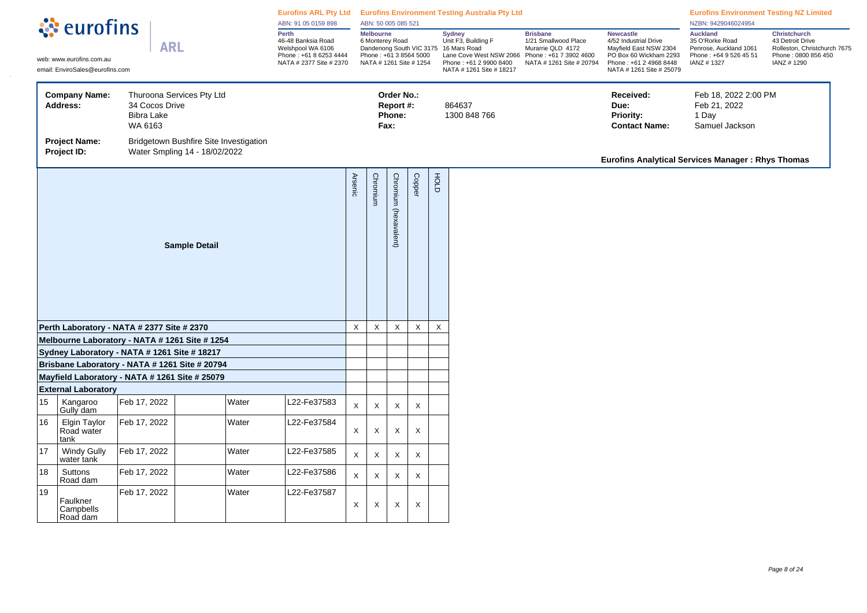|    |                                                                                                 |                                                |                                                                         | ABN: 91 05 0159 898 |                                                                                                       | ABN: 50 005 085 521 |                                                                                                                            |                                           |             | Eurofins ARL Pty Ltd Eurofins Environment Testing Australia Pty Ltd |                                                                                                                       |                                                                                                                    | <b>Eurofins Environment Testing NZ Limited</b><br>NZBN: 9429046024954                                                                               |                                                                                                      |                                                                                                              |
|----|-------------------------------------------------------------------------------------------------|------------------------------------------------|-------------------------------------------------------------------------|---------------------|-------------------------------------------------------------------------------------------------------|---------------------|----------------------------------------------------------------------------------------------------------------------------|-------------------------------------------|-------------|---------------------------------------------------------------------|-----------------------------------------------------------------------------------------------------------------------|--------------------------------------------------------------------------------------------------------------------|-----------------------------------------------------------------------------------------------------------------------------------------------------|------------------------------------------------------------------------------------------------------|--------------------------------------------------------------------------------------------------------------|
|    | <b><i><u></u></i></b> : eurofins<br>web: www.eurofins.com.au<br>email: EnviroSales@eurofins.com | <b>ARL</b>                                     |                                                                         |                     | Perth<br>46-48 Banksia Road<br>Welshpool WA 6106<br>Phone: +61 8 6253 4444<br>NATA # 2377 Site # 2370 |                     | Melbourne<br>6 Monterey Road<br>Dandenong South VIC 3175 16 Mars Road<br>Phone: +61 3 8564 5000<br>NATA # 1261 Site # 1254 |                                           |             |                                                                     | <b>Sydney</b><br>Unit F3, Building F<br>Lane Cove West NSW 2066<br>Phone: +61 2 9900 8400<br>NATA # 1261 Site # 18217 | <b>Brisbane</b><br>1/21 Smallwood Place<br>Murarrie QLD 4172<br>Phone: +61 7 3902 4600<br>NATA # 1261 Site # 20794 | <b>Newcastle</b><br>4/52 Industrial Drive<br>Mayfield East NSW 2304<br>PO Box 60 Wickham 2293<br>Phone: +61 2 4968 8448<br>NATA # 1261 Site # 25079 | <b>Auckland</b><br>35 O'Rorke Road<br>Penrose, Auckland 1061<br>Phone: +64 9 526 45 51<br>IANZ #1327 | <b>Christchurch</b><br>43 Detroit Drive<br>Rolleston, Christchurch 7675<br>Phone: 0800 856 450<br>IANZ #1290 |
|    | <b>Company Name:</b><br><b>Address:</b>                                                         | 34 Cocos Drive<br><b>Bibra Lake</b><br>WA 6163 | Thuroona Services Pty Ltd                                               |                     |                                                                                                       |                     |                                                                                                                            | Order No.:<br>Report #:<br>Phone:<br>Fax: |             |                                                                     | 864637<br>1300 848 766                                                                                                |                                                                                                                    | Received:<br>Due:<br>Priority:<br><b>Contact Name:</b>                                                                                              | Feb 18, 2022 2:00 PM<br>Feb 21, 2022<br>1 Day<br>Samuel Jackson                                      |                                                                                                              |
|    | <b>Project Name:</b><br>Project ID:                                                             |                                                | Bridgetown Bushfire Site Investigation<br>Water Smpling 14 - 18/02/2022 |                     |                                                                                                       |                     |                                                                                                                            |                                           |             |                                                                     |                                                                                                                       |                                                                                                                    | <b>Eurofins Analytical Services Manager: Rhys Thomas</b>                                                                                            |                                                                                                      |                                                                                                              |
|    |                                                                                                 |                                                | <b>Arsenic</b>                                                          | Chromium            | Chromium (hexavalent)                                                                                 | <b>Copper</b>       | HOLD                                                                                                                       |                                           |             |                                                                     |                                                                                                                       |                                                                                                                    |                                                                                                                                                     |                                                                                                      |                                                                                                              |
|    | Perth Laboratory - NATA # 2377 Site # 2370                                                      |                                                |                                                                         |                     |                                                                                                       | $\mathsf X$         | X                                                                                                                          | X                                         | $\mathsf X$ | $\pmb{\times}$                                                      |                                                                                                                       |                                                                                                                    |                                                                                                                                                     |                                                                                                      |                                                                                                              |
|    | Melbourne Laboratory - NATA # 1261 Site # 1254                                                  |                                                |                                                                         |                     |                                                                                                       |                     |                                                                                                                            |                                           |             |                                                                     |                                                                                                                       |                                                                                                                    |                                                                                                                                                     |                                                                                                      |                                                                                                              |
|    | Sydney Laboratory - NATA # 1261 Site # 18217                                                    |                                                |                                                                         |                     |                                                                                                       |                     |                                                                                                                            |                                           |             |                                                                     |                                                                                                                       |                                                                                                                    |                                                                                                                                                     |                                                                                                      |                                                                                                              |
|    | Brisbane Laboratory - NATA # 1261 Site # 20794                                                  |                                                |                                                                         |                     |                                                                                                       |                     |                                                                                                                            |                                           |             |                                                                     |                                                                                                                       |                                                                                                                    |                                                                                                                                                     |                                                                                                      |                                                                                                              |
|    | Mayfield Laboratory - NATA # 1261 Site # 25079                                                  |                                                |                                                                         |                     |                                                                                                       |                     |                                                                                                                            |                                           |             |                                                                     |                                                                                                                       |                                                                                                                    |                                                                                                                                                     |                                                                                                      |                                                                                                              |
| 15 | <b>External Laboratory</b><br>Kangaroo<br>Gully dam                                             | Feb 17, 2022                                   | Water                                                                   |                     | L22-Fe37583                                                                                           | $\mathsf{X}$        | X                                                                                                                          | X                                         | X           |                                                                     |                                                                                                                       |                                                                                                                    |                                                                                                                                                     |                                                                                                      |                                                                                                              |
| 16 | Elgin Taylor<br>Road water<br>tank                                                              | Feb 17, 2022                                   | Water                                                                   |                     | L22-Fe37584                                                                                           | X                   | X                                                                                                                          | X                                         | X           |                                                                     |                                                                                                                       |                                                                                                                    |                                                                                                                                                     |                                                                                                      |                                                                                                              |
| 17 | <b>Windy Gully</b><br>water tank                                                                | Feb 17, 2022                                   | Water                                                                   |                     | L22-Fe37585                                                                                           | $\mathsf X$         | X                                                                                                                          | X                                         | $\mathsf X$ |                                                                     |                                                                                                                       |                                                                                                                    |                                                                                                                                                     |                                                                                                      |                                                                                                              |
| 18 | Suttons<br>Road dam                                                                             | Feb 17, 2022                                   | Water                                                                   |                     | L22-Fe37586                                                                                           | $\mathsf X$         | $\mathsf X$                                                                                                                | X                                         | X           |                                                                     |                                                                                                                       |                                                                                                                    |                                                                                                                                                     |                                                                                                      |                                                                                                              |
| 19 | Faulkner<br>Campbells<br>Road dam                                                               | Feb 17, 2022                                   | Water                                                                   |                     | L22-Fe37587                                                                                           | $\mathsf{X}$        | Χ                                                                                                                          | X                                         | X           |                                                                     |                                                                                                                       |                                                                                                                    |                                                                                                                                                     |                                                                                                      |                                                                                                              |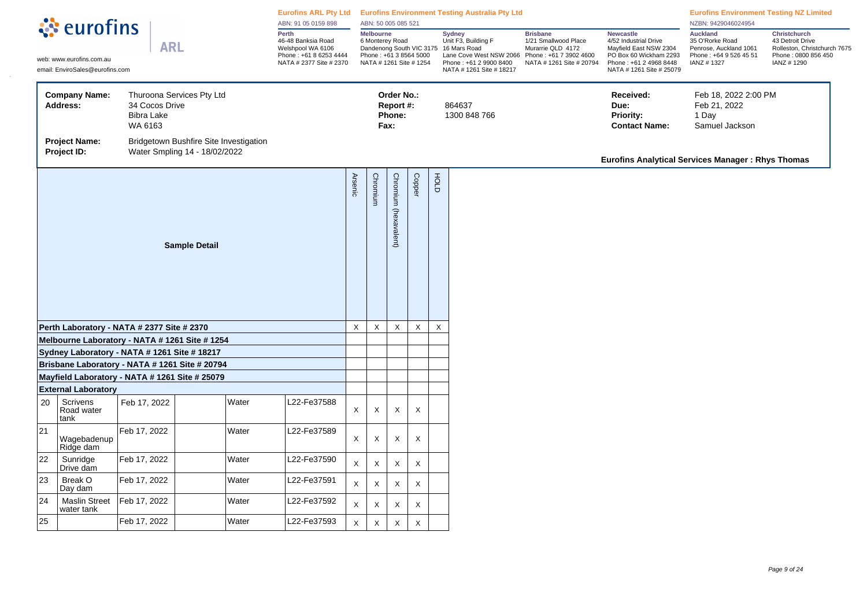| ं eurofins<br>Melbourne<br>Perth<br><b>Brisbane</b><br><b>Sydney</b><br><b>Newcastle</b><br>Unit F3, Building F<br>46-48 Banksia Road<br>6 Monterey Road<br>1/21 Smallwood Place<br>4/52 Industrial Drive<br><b>ARL</b><br>Welshpool WA 6106<br>Dandenong South VIC 3175 16 Mars Road<br>Mayfield East NSW 2304<br>Murarrie QLD 4172<br>Phone: +61 3 8564 5000<br>Phone: +61 8 6253 4444<br>Lane Cove West NSW 2066<br>Phone: +61 7 3902 4600<br>PO Box 60 Wickham 2293<br>web: www.eurofins.com.au<br>NATA # 2377 Site # 2370<br>NATA # 1261 Site # 1254<br>NATA # 1261 Site # 20794<br>Phone: +61 2 4968 8448<br>Phone: +61 2 9900 8400<br>email: EnviroSales@eurofins.com<br>NATA # 1261 Site # 25079<br>NATA # 1261 Site # 18217<br><b>Company Name:</b><br>Thuroona Services Pty Ltd<br>Order No.:<br>Received:<br>34 Cocos Drive<br>864637<br>Address:<br>Report #:<br>Due:<br><b>Bibra Lake</b><br>Phone:<br>1300 848 766<br><b>Priority:</b><br>WA 6163<br>Fax:<br><b>Contact Name:</b><br><b>Project Name:</b><br>Bridgetown Bushfire Site Investigation<br>Project ID:<br>Water Smpling 14 - 18/02/2022<br>FOLD<br><b>Arsenic</b><br>Copper<br>Chromium<br>Chromium<br>(hexavalent)<br><b>Sample Detail</b><br>$\mathsf X$<br>$\mathsf X$<br>X<br>X<br>$\boldsymbol{\mathsf{X}}$<br>Perth Laboratory - NATA # 2377 Site # 2370<br>Melbourne Laboratory - NATA # 1261 Site # 1254<br>Sydney Laboratory - NATA # 1261 Site # 18217<br>Brisbane Laboratory - NATA # 1261 Site # 20794<br>Mayfield Laboratory - NATA # 1261 Site # 25079<br><b>External Laboratory</b> | <b>Auckland</b><br>Christchurch<br>35 O'Rorke Road<br>43 Detroit Drive<br>Rolleston, Christchurch 7675<br>Penrose, Auckland 1061<br>Phone: +64 9 526 45 51<br>Phone: 0800 856 450<br>IANZ # 1290<br>IANZ #1327<br>Feb 18, 2022 2:00 PM<br>Feb 21, 2022<br>1 Day<br>Samuel Jackson<br><b>Eurofins Analytical Services Manager: Rhys Thomas</b> |
|------------------------------------------------------------------------------------------------------------------------------------------------------------------------------------------------------------------------------------------------------------------------------------------------------------------------------------------------------------------------------------------------------------------------------------------------------------------------------------------------------------------------------------------------------------------------------------------------------------------------------------------------------------------------------------------------------------------------------------------------------------------------------------------------------------------------------------------------------------------------------------------------------------------------------------------------------------------------------------------------------------------------------------------------------------------------------------------------------------------------------------------------------------------------------------------------------------------------------------------------------------------------------------------------------------------------------------------------------------------------------------------------------------------------------------------------------------------------------------------------------------------------------------------------------------------------------|-----------------------------------------------------------------------------------------------------------------------------------------------------------------------------------------------------------------------------------------------------------------------------------------------------------------------------------------------|
|                                                                                                                                                                                                                                                                                                                                                                                                                                                                                                                                                                                                                                                                                                                                                                                                                                                                                                                                                                                                                                                                                                                                                                                                                                                                                                                                                                                                                                                                                                                                                                              |                                                                                                                                                                                                                                                                                                                                               |
|                                                                                                                                                                                                                                                                                                                                                                                                                                                                                                                                                                                                                                                                                                                                                                                                                                                                                                                                                                                                                                                                                                                                                                                                                                                                                                                                                                                                                                                                                                                                                                              |                                                                                                                                                                                                                                                                                                                                               |
|                                                                                                                                                                                                                                                                                                                                                                                                                                                                                                                                                                                                                                                                                                                                                                                                                                                                                                                                                                                                                                                                                                                                                                                                                                                                                                                                                                                                                                                                                                                                                                              |                                                                                                                                                                                                                                                                                                                                               |
|                                                                                                                                                                                                                                                                                                                                                                                                                                                                                                                                                                                                                                                                                                                                                                                                                                                                                                                                                                                                                                                                                                                                                                                                                                                                                                                                                                                                                                                                                                                                                                              |                                                                                                                                                                                                                                                                                                                                               |
|                                                                                                                                                                                                                                                                                                                                                                                                                                                                                                                                                                                                                                                                                                                                                                                                                                                                                                                                                                                                                                                                                                                                                                                                                                                                                                                                                                                                                                                                                                                                                                              |                                                                                                                                                                                                                                                                                                                                               |
|                                                                                                                                                                                                                                                                                                                                                                                                                                                                                                                                                                                                                                                                                                                                                                                                                                                                                                                                                                                                                                                                                                                                                                                                                                                                                                                                                                                                                                                                                                                                                                              |                                                                                                                                                                                                                                                                                                                                               |
|                                                                                                                                                                                                                                                                                                                                                                                                                                                                                                                                                                                                                                                                                                                                                                                                                                                                                                                                                                                                                                                                                                                                                                                                                                                                                                                                                                                                                                                                                                                                                                              |                                                                                                                                                                                                                                                                                                                                               |
|                                                                                                                                                                                                                                                                                                                                                                                                                                                                                                                                                                                                                                                                                                                                                                                                                                                                                                                                                                                                                                                                                                                                                                                                                                                                                                                                                                                                                                                                                                                                                                              |                                                                                                                                                                                                                                                                                                                                               |
|                                                                                                                                                                                                                                                                                                                                                                                                                                                                                                                                                                                                                                                                                                                                                                                                                                                                                                                                                                                                                                                                                                                                                                                                                                                                                                                                                                                                                                                                                                                                                                              |                                                                                                                                                                                                                                                                                                                                               |
| Water<br>22-Fe37588<br>20<br><b>Scrivens</b><br>Feb 17, 2022<br>$\times$<br>X<br>X<br>Road water<br>X<br>tank                                                                                                                                                                                                                                                                                                                                                                                                                                                                                                                                                                                                                                                                                                                                                                                                                                                                                                                                                                                                                                                                                                                                                                                                                                                                                                                                                                                                                                                                |                                                                                                                                                                                                                                                                                                                                               |
| 21<br>Feb 17, 2022<br>Water<br>L22-Fe37589<br>$\mathsf{X}$<br>X<br>X<br>X<br>Wagebadenup<br>Ridge dam                                                                                                                                                                                                                                                                                                                                                                                                                                                                                                                                                                                                                                                                                                                                                                                                                                                                                                                                                                                                                                                                                                                                                                                                                                                                                                                                                                                                                                                                        |                                                                                                                                                                                                                                                                                                                                               |
| 22<br>Feb 17, 2022<br>Water<br>Sunridge<br>L22-Fe37590<br>$\mathsf{X}$<br>X<br>X<br>X<br>Drive dam                                                                                                                                                                                                                                                                                                                                                                                                                                                                                                                                                                                                                                                                                                                                                                                                                                                                                                                                                                                                                                                                                                                                                                                                                                                                                                                                                                                                                                                                           |                                                                                                                                                                                                                                                                                                                                               |
| 23<br>Break O<br>Feb 17, 2022<br>Water<br>L22-Fe37591<br>$\mathsf X$<br>X<br>X<br>X<br>Day dam                                                                                                                                                                                                                                                                                                                                                                                                                                                                                                                                                                                                                                                                                                                                                                                                                                                                                                                                                                                                                                                                                                                                                                                                                                                                                                                                                                                                                                                                               |                                                                                                                                                                                                                                                                                                                                               |
| 24<br>Feb 17, 2022<br>Water<br>L22-Fe37592<br><b>Maslin Street</b><br>X<br>X<br>X<br>X<br>water tank                                                                                                                                                                                                                                                                                                                                                                                                                                                                                                                                                                                                                                                                                                                                                                                                                                                                                                                                                                                                                                                                                                                                                                                                                                                                                                                                                                                                                                                                         |                                                                                                                                                                                                                                                                                                                                               |
| 25<br>Feb 17, 2022<br>Water<br>L22-Fe37593<br>X<br>X<br>X<br>X                                                                                                                                                                                                                                                                                                                                                                                                                                                                                                                                                                                                                                                                                                                                                                                                                                                                                                                                                                                                                                                                                                                                                                                                                                                                                                                                                                                                                                                                                                               |                                                                                                                                                                                                                                                                                                                                               |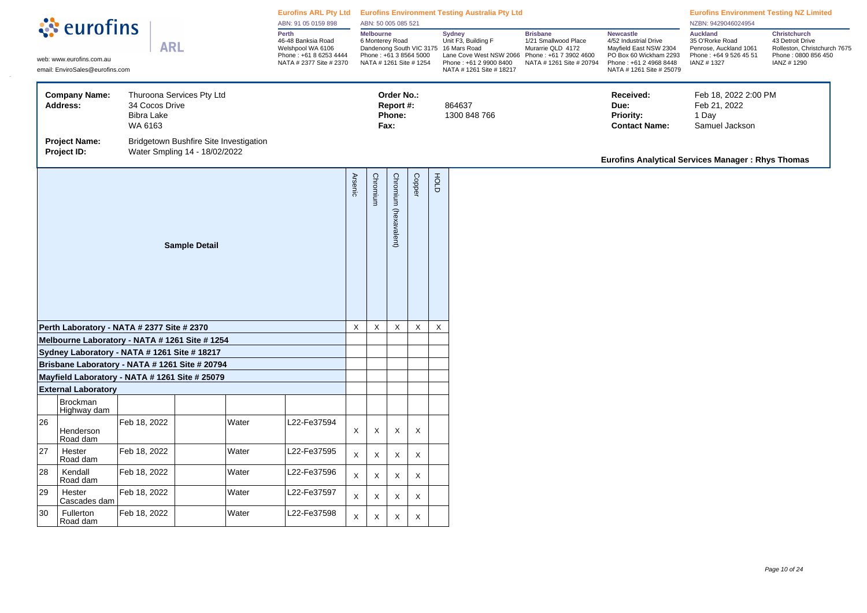|    |                                                                                                |                                                |                                                                         |          | े <b>ं</b> eurofins                                                                                   |                           | ABN: 91 05 0159 898                                                                      |                                           | ABN: 50 005 085 521 |                           |                                                                                                                                                                |                                                                                                                    | Eurofins ARL Pty Ltd Eurofins Environment Testing Australia Pty Ltd                                                                                 |                                                                                                      |                                                                                                       | <b>Eurofins Environment Testing NZ Limited</b><br>NZBN: 9429046024954 |  |
|----|------------------------------------------------------------------------------------------------|------------------------------------------------|-------------------------------------------------------------------------|----------|-------------------------------------------------------------------------------------------------------|---------------------------|------------------------------------------------------------------------------------------|-------------------------------------------|---------------------|---------------------------|----------------------------------------------------------------------------------------------------------------------------------------------------------------|--------------------------------------------------------------------------------------------------------------------|-----------------------------------------------------------------------------------------------------------------------------------------------------|------------------------------------------------------------------------------------------------------|-------------------------------------------------------------------------------------------------------|-----------------------------------------------------------------------|--|
|    | web: www.eurofins.com.au<br>email: EnviroSales@eurofins.com                                    | <b>ARL</b>                                     |                                                                         |          | Perth<br>46-48 Banksia Road<br>Welshpool WA 6106<br>Phone: +61 8 6253 4444<br>NATA # 2377 Site # 2370 |                           | <b>Melbourne</b><br>6 Monterey Road<br>Phone: +61 3 8564 5000<br>NATA # 1261 Site # 1254 |                                           |                     |                           | <b>Sydney</b><br>Unit F3, Building F<br>Dandenong South VIC 3175 16 Mars Road<br>Lane Cove West NSW 2066<br>Phone: +61 2 9900 8400<br>NATA # 1261 Site # 18217 | <b>Brisbane</b><br>1/21 Smallwood Place<br>Murarrie QLD 4172<br>Phone: +61 7 3902 4600<br>NATA # 1261 Site # 20794 | <b>Newcastle</b><br>4/52 Industrial Drive<br>Mayfield East NSW 2304<br>PO Box 60 Wickham 2293<br>Phone: +61 2 4968 8448<br>NATA # 1261 Site # 25079 | <b>Auckland</b><br>35 O'Rorke Road<br>Penrose, Auckland 1061<br>Phone: +64 9 526 45 51<br>IANZ #1327 | Christchurch<br>43 Detroit Drive<br>Rolleston, Christchurch 7675<br>Phone: 0800 856 450<br>IANZ #1290 |                                                                       |  |
|    | <b>Company Name:</b><br><b>Address:</b>                                                        | 34 Cocos Drive<br><b>Bibra Lake</b><br>WA 6163 | Thuroona Services Pty Ltd                                               |          |                                                                                                       |                           |                                                                                          | Order No.:<br>Report #:<br>Phone:<br>Fax: |                     |                           | 864637<br>1300 848 766                                                                                                                                         |                                                                                                                    | Received:<br>Due:<br><b>Priority:</b><br><b>Contact Name:</b>                                                                                       | Feb 18, 2022 2:00 PM<br>Feb 21, 2022<br>1 Day<br>Samuel Jackson                                      |                                                                                                       |                                                                       |  |
|    | <b>Project Name:</b><br>Project ID:                                                            |                                                | Bridgetown Bushfire Site Investigation<br>Water Smpling 14 - 18/02/2022 |          |                                                                                                       |                           |                                                                                          |                                           |                     |                           |                                                                                                                                                                |                                                                                                                    | <b>Eurofins Analytical Services Manager: Rhys Thomas</b>                                                                                            |                                                                                                      |                                                                                                       |                                                                       |  |
|    |                                                                                                |                                                | <b>Arsenic</b>                                                          | Chromium | Chromium (hexavalent)                                                                                 | Copper                    | HOLD                                                                                     |                                           |                     |                           |                                                                                                                                                                |                                                                                                                    |                                                                                                                                                     |                                                                                                      |                                                                                                       |                                                                       |  |
|    | Perth Laboratory - NATA # 2377 Site # 2370                                                     |                                                |                                                                         |          |                                                                                                       | $\boldsymbol{\mathsf{X}}$ | X                                                                                        | X                                         | X                   | $\boldsymbol{\mathsf{X}}$ |                                                                                                                                                                |                                                                                                                    |                                                                                                                                                     |                                                                                                      |                                                                                                       |                                                                       |  |
|    | Melbourne Laboratory - NATA # 1261 Site # 1254                                                 |                                                |                                                                         |          |                                                                                                       |                           |                                                                                          |                                           |                     |                           |                                                                                                                                                                |                                                                                                                    |                                                                                                                                                     |                                                                                                      |                                                                                                       |                                                                       |  |
|    | Sydney Laboratory - NATA # 1261 Site # 18217<br>Brisbane Laboratory - NATA # 1261 Site # 20794 |                                                |                                                                         |          |                                                                                                       |                           |                                                                                          |                                           |                     |                           |                                                                                                                                                                |                                                                                                                    |                                                                                                                                                     |                                                                                                      |                                                                                                       |                                                                       |  |
|    | Mayfield Laboratory - NATA # 1261 Site # 25079                                                 |                                                |                                                                         |          |                                                                                                       |                           |                                                                                          |                                           |                     |                           |                                                                                                                                                                |                                                                                                                    |                                                                                                                                                     |                                                                                                      |                                                                                                       |                                                                       |  |
|    | <b>External Laboratory</b>                                                                     |                                                |                                                                         |          |                                                                                                       |                           |                                                                                          |                                           |                     |                           |                                                                                                                                                                |                                                                                                                    |                                                                                                                                                     |                                                                                                      |                                                                                                       |                                                                       |  |
|    | Brockman<br>Highway dam                                                                        |                                                |                                                                         |          |                                                                                                       |                           |                                                                                          |                                           |                     |                           |                                                                                                                                                                |                                                                                                                    |                                                                                                                                                     |                                                                                                      |                                                                                                       |                                                                       |  |
| 26 | Henderson<br>Road dam                                                                          | Feb 18, 2022                                   |                                                                         | Water    | 22-Fe37594                                                                                            | $\boldsymbol{\mathsf{X}}$ | X                                                                                        | X                                         | X                   |                           |                                                                                                                                                                |                                                                                                                    |                                                                                                                                                     |                                                                                                      |                                                                                                       |                                                                       |  |
| 27 | Hester<br>Road dam                                                                             | Feb 18, 2022                                   |                                                                         | Water    | L22-Fe37595                                                                                           | $\mathsf X$               | X                                                                                        | X                                         | $\mathsf X$         |                           |                                                                                                                                                                |                                                                                                                    |                                                                                                                                                     |                                                                                                      |                                                                                                       |                                                                       |  |
| 28 | Kendall<br>Road dam                                                                            | Feb 18, 2022                                   |                                                                         | Water    | L22-Fe37596                                                                                           | $\mathsf X$               | X                                                                                        | X                                         | X                   |                           |                                                                                                                                                                |                                                                                                                    |                                                                                                                                                     |                                                                                                      |                                                                                                       |                                                                       |  |
| 29 | Hester<br>Cascades dam                                                                         | Feb 18, 2022                                   |                                                                         | Water    | L22-Fe37597                                                                                           | X                         | Χ                                                                                        | X                                         | X                   |                           |                                                                                                                                                                |                                                                                                                    |                                                                                                                                                     |                                                                                                      |                                                                                                       |                                                                       |  |
| 30 | Fullerton<br>Road dam                                                                          | Feb 18, 2022                                   |                                                                         | Water    | 22-Fe37598                                                                                            | X                         | X                                                                                        | X                                         | X                   |                           |                                                                                                                                                                |                                                                                                                    |                                                                                                                                                     |                                                                                                      |                                                                                                       |                                                                       |  |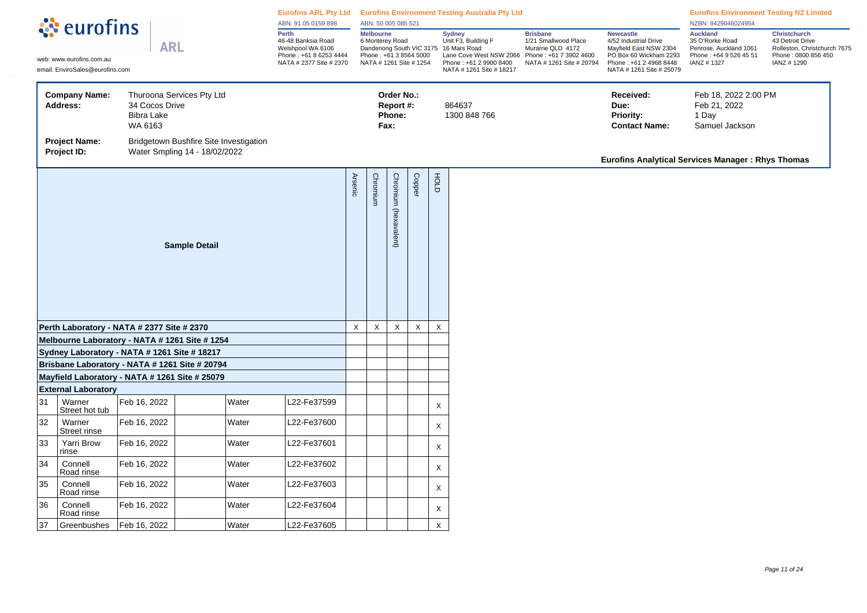|    | ं eurofins                                                                                       |                                                |                                                                         | ABN: 91 05 0159 898                                                                                   |                       | ABN: 50 005 085 521                                                               |                                           |             |             | Eurofins ARL Pty Ltd Eurofins Environment Testing Australia Pty Ltd                                                                                            |                                                                                                                    |                                                                                                                                                     | <b>Eurofins Environment Testing NZ Limited</b><br>NZBN: 9429046024954                                 |                                                                                                        |
|----|--------------------------------------------------------------------------------------------------|------------------------------------------------|-------------------------------------------------------------------------|-------------------------------------------------------------------------------------------------------|-----------------------|-----------------------------------------------------------------------------------|-------------------------------------------|-------------|-------------|----------------------------------------------------------------------------------------------------------------------------------------------------------------|--------------------------------------------------------------------------------------------------------------------|-----------------------------------------------------------------------------------------------------------------------------------------------------|-------------------------------------------------------------------------------------------------------|--------------------------------------------------------------------------------------------------------|
|    | web: www.eurofins.com.au<br>email: EnviroSales@eurofins.com                                      | <b>ARL</b>                                     |                                                                         | Perth<br>46-48 Banksia Road<br>Welshpool WA 6106<br>Phone: +61 8 6253 4444<br>NATA # 2377 Site # 2370 |                       | Melbourne<br>6 Monterey Road<br>Phone: +61 3 8564 5000<br>NATA # 1261 Site # 1254 |                                           |             |             | <b>Sydney</b><br>Unit F3, Building F<br>Dandenong South VIC 3175 16 Mars Road<br>Lane Cove West NSW 2066<br>Phone: +61 2 9900 8400<br>NATA # 1261 Site # 18217 | <b>Brisbane</b><br>1/21 Smallwood Place<br>Murarrie QLD 4172<br>Phone: +61 7 3902 4600<br>NATA # 1261 Site # 20794 | <b>Newcastle</b><br>4/52 Industrial Drive<br>Mayfield East NSW 2304<br>PO Box 60 Wickham 2293<br>Phone: +61 2 4968 8448<br>NATA # 1261 Site # 25079 | <b>Auckland</b><br>35 O'Rorke Road<br>Penrose, Auckland 1061<br>Phone: +64 9 526 45 51<br>IANZ # 1327 | Christchurch<br>43 Detroit Drive<br>Rolleston, Christchurch 7675<br>Phone: 0800 856 450<br>IANZ # 1290 |
|    | <b>Company Name:</b><br><b>Address:</b>                                                          | 34 Cocos Drive<br><b>Bibra Lake</b><br>WA 6163 | Thuroona Services Pty Ltd                                               |                                                                                                       |                       |                                                                                   | Order No.:<br>Report #:<br>Phone:<br>Fax: |             |             | 864637<br>1300 848 766                                                                                                                                         |                                                                                                                    | Received:<br>Due:<br>Priority:<br><b>Contact Name:</b>                                                                                              | Feb 18, 2022 2:00 PM<br>Feb 21, 2022<br>1 Day<br>Samuel Jackson                                       |                                                                                                        |
|    | <b>Project Name:</b><br>Project ID:                                                              |                                                | Bridgetown Bushfire Site Investigation<br>Water Smpling 14 - 18/02/2022 |                                                                                                       |                       |                                                                                   |                                           |             |             |                                                                                                                                                                |                                                                                                                    | Eurofins Analytical Services Manager: Rhys Thomas                                                                                                   |                                                                                                       |                                                                                                        |
|    |                                                                                                  |                                                | <b>Arsenic</b>                                                          | Chromium                                                                                              | Chromium (hexavalent) | Copper                                                                            | FOLD                                      |             |             |                                                                                                                                                                |                                                                                                                    |                                                                                                                                                     |                                                                                                       |                                                                                                        |
|    | Perth Laboratory - NATA # 2377 Site # 2370                                                       |                                                |                                                                         |                                                                                                       | $\mathsf X$           | $\mathsf X$                                                                       | X                                         | $\mathsf X$ | $\mathsf X$ |                                                                                                                                                                |                                                                                                                    |                                                                                                                                                     |                                                                                                       |                                                                                                        |
|    | Melbourne Laboratory - NATA # 1261 Site # 1254                                                   |                                                |                                                                         |                                                                                                       |                       |                                                                                   |                                           |             |             |                                                                                                                                                                |                                                                                                                    |                                                                                                                                                     |                                                                                                       |                                                                                                        |
|    | Sydney Laboratory - NATA # 1261 Site # 18217                                                     |                                                |                                                                         |                                                                                                       |                       |                                                                                   |                                           |             |             |                                                                                                                                                                |                                                                                                                    |                                                                                                                                                     |                                                                                                       |                                                                                                        |
|    | Brisbane Laboratory - NATA # 1261 Site # 20794<br>Mayfield Laboratory - NATA # 1261 Site # 25079 |                                                |                                                                         |                                                                                                       |                       |                                                                                   |                                           |             |             |                                                                                                                                                                |                                                                                                                    |                                                                                                                                                     |                                                                                                       |                                                                                                        |
|    | <b>External Laboratory</b>                                                                       |                                                |                                                                         |                                                                                                       |                       |                                                                                   |                                           |             |             |                                                                                                                                                                |                                                                                                                    |                                                                                                                                                     |                                                                                                       |                                                                                                        |
| 31 | Warner<br>Street hot tub                                                                         | Feb 16, 2022                                   | Water                                                                   | L22-Fe37599                                                                                           |                       |                                                                                   |                                           |             | X           |                                                                                                                                                                |                                                                                                                    |                                                                                                                                                     |                                                                                                       |                                                                                                        |
| 32 | Warner<br>Street rinse                                                                           | Feb 16, 2022                                   | Water                                                                   | L22-Fe37600                                                                                           |                       |                                                                                   |                                           |             | X           |                                                                                                                                                                |                                                                                                                    |                                                                                                                                                     |                                                                                                       |                                                                                                        |
| 33 | Yarri Brow<br>rinse                                                                              | Feb 16, 2022                                   | Water                                                                   | L22-Fe37601                                                                                           |                       |                                                                                   |                                           |             | X           |                                                                                                                                                                |                                                                                                                    |                                                                                                                                                     |                                                                                                       |                                                                                                        |
| 34 | Connell<br>Road rinse                                                                            | Feb 16, 2022                                   | Water                                                                   | L22-Fe37602                                                                                           |                       |                                                                                   |                                           |             | X           |                                                                                                                                                                |                                                                                                                    |                                                                                                                                                     |                                                                                                       |                                                                                                        |
| 35 | Connell<br>Road rinse                                                                            | Feb 16, 2022                                   | Water                                                                   | L22-Fe37603                                                                                           |                       |                                                                                   |                                           |             | X           |                                                                                                                                                                |                                                                                                                    |                                                                                                                                                     |                                                                                                       |                                                                                                        |
| 36 | Connell<br>Road rinse                                                                            | Feb 16, 2022                                   | Water                                                                   | L22-Fe37604                                                                                           |                       |                                                                                   |                                           |             | X           |                                                                                                                                                                |                                                                                                                    |                                                                                                                                                     |                                                                                                       |                                                                                                        |
| 37 | Greenbushes                                                                                      | Feb 16, 2022                                   | Water                                                                   | L22-Fe37605                                                                                           |                       |                                                                                   |                                           |             | $\mathsf X$ |                                                                                                                                                                |                                                                                                                    |                                                                                                                                                     |                                                                                                       |                                                                                                        |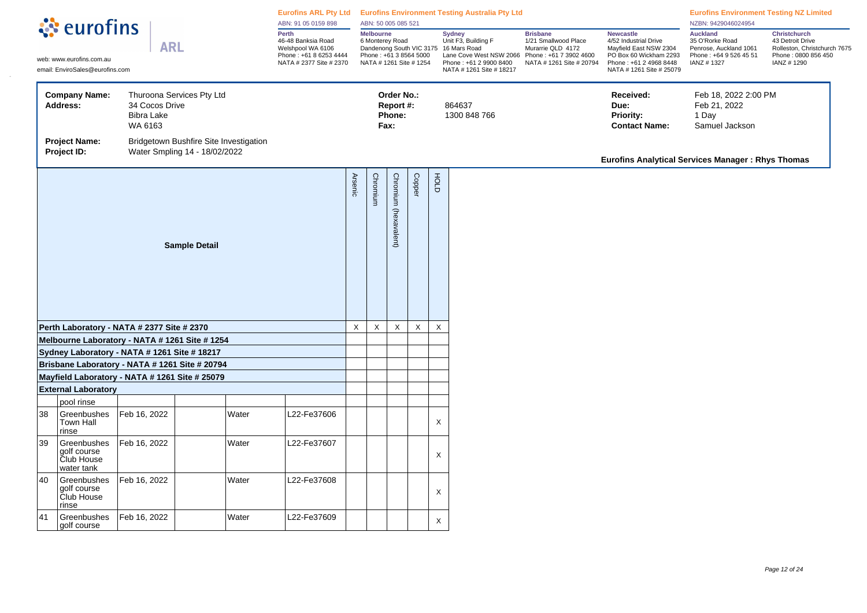|    | ं eurofins                                                                                     |                                                |                                                                         | ABN: 91 05 0159 898                                                                                   |                | ABN: 50 005 085 521                                                                      |                                           |             |             | Eurofins ARL Pty Ltd Eurofins Environment Testing Australia Pty Ltd                                                                                            |                                                                                                                    |                                                                                                                                                     | <b>Eurofins Environment Testing NZ Limited</b><br>NZBN: 9429046024954                                |                                                                                                              |
|----|------------------------------------------------------------------------------------------------|------------------------------------------------|-------------------------------------------------------------------------|-------------------------------------------------------------------------------------------------------|----------------|------------------------------------------------------------------------------------------|-------------------------------------------|-------------|-------------|----------------------------------------------------------------------------------------------------------------------------------------------------------------|--------------------------------------------------------------------------------------------------------------------|-----------------------------------------------------------------------------------------------------------------------------------------------------|------------------------------------------------------------------------------------------------------|--------------------------------------------------------------------------------------------------------------|
|    | web: www.eurofins.com.au<br>email: EnviroSales@eurofins.com                                    | <b>ARL</b>                                     |                                                                         | Perth<br>46-48 Banksia Road<br>Welshpool WA 6106<br>Phone: +61 8 6253 4444<br>NATA # 2377 Site # 2370 |                | <b>Melbourne</b><br>6 Monterey Road<br>Phone: +61 3 8564 5000<br>NATA # 1261 Site # 1254 |                                           |             |             | <b>Sydney</b><br>Unit F3, Building F<br>Dandenong South VIC 3175 16 Mars Road<br>Lane Cove West NSW 2066<br>Phone: +61 2 9900 8400<br>NATA # 1261 Site # 18217 | <b>Brisbane</b><br>1/21 Smallwood Place<br>Murarrie QLD 4172<br>Phone: +61 7 3902 4600<br>NATA # 1261 Site # 20794 | <b>Newcastle</b><br>4/52 Industrial Drive<br>Mayfield East NSW 2304<br>PO Box 60 Wickham 2293<br>Phone: +61 2 4968 8448<br>NATA # 1261 Site # 25079 | <b>Auckland</b><br>35 O'Rorke Road<br>Penrose, Auckland 1061<br>Phone: +64 9 526 45 51<br>IANZ #1327 | <b>Christchurch</b><br>43 Detroit Drive<br>Rolleston, Christchurch 7675<br>Phone: 0800 856 450<br>IANZ #1290 |
|    | <b>Company Name:</b><br><b>Address:</b>                                                        | 34 Cocos Drive<br><b>Bibra Lake</b><br>WA 6163 | Thuroona Services Pty Ltd                                               |                                                                                                       |                |                                                                                          | Order No.:<br>Report #:<br>Phone:<br>Fax: |             |             | 864637<br>1300 848 766                                                                                                                                         |                                                                                                                    | Received:<br>Due:<br><b>Priority:</b><br><b>Contact Name:</b>                                                                                       | Feb 18, 2022 2:00 PM<br>Feb 21, 2022<br>1 Day<br>Samuel Jackson                                      |                                                                                                              |
|    | <b>Project Name:</b><br>Project ID:                                                            |                                                | Bridgetown Bushfire Site Investigation<br>Water Smpling 14 - 18/02/2022 |                                                                                                       |                |                                                                                          |                                           |             |             |                                                                                                                                                                |                                                                                                                    | <b>Eurofins Analytical Services Manager: Rhys Thomas</b>                                                                                            |                                                                                                      |                                                                                                              |
|    |                                                                                                |                                                | <b>Sample Detail</b>                                                    |                                                                                                       | <b>Arsenic</b> | Chromium                                                                                 | Chromium (hexavalent)                     | Copper      | FOLD        |                                                                                                                                                                |                                                                                                                    |                                                                                                                                                     |                                                                                                      |                                                                                                              |
|    | Perth Laboratory - NATA # 2377 Site # 2370                                                     |                                                |                                                                         |                                                                                                       | $\mathsf X$    | $\mathsf X$                                                                              | $\mathsf X$                               | $\mathsf X$ | $\mathsf X$ |                                                                                                                                                                |                                                                                                                    |                                                                                                                                                     |                                                                                                      |                                                                                                              |
|    | Melbourne Laboratory - NATA # 1261 Site # 1254                                                 |                                                |                                                                         |                                                                                                       |                |                                                                                          |                                           |             |             |                                                                                                                                                                |                                                                                                                    |                                                                                                                                                     |                                                                                                      |                                                                                                              |
|    | Sydney Laboratory - NATA # 1261 Site # 18217<br>Brisbane Laboratory - NATA # 1261 Site # 20794 |                                                |                                                                         |                                                                                                       |                |                                                                                          |                                           |             |             |                                                                                                                                                                |                                                                                                                    |                                                                                                                                                     |                                                                                                      |                                                                                                              |
|    | Mayfield Laboratory - NATA # 1261 Site # 25079                                                 |                                                |                                                                         |                                                                                                       |                |                                                                                          |                                           |             |             |                                                                                                                                                                |                                                                                                                    |                                                                                                                                                     |                                                                                                      |                                                                                                              |
|    | <b>External Laboratory</b>                                                                     |                                                |                                                                         |                                                                                                       |                |                                                                                          |                                           |             |             |                                                                                                                                                                |                                                                                                                    |                                                                                                                                                     |                                                                                                      |                                                                                                              |
|    | pool rinse                                                                                     |                                                |                                                                         |                                                                                                       |                |                                                                                          |                                           |             |             |                                                                                                                                                                |                                                                                                                    |                                                                                                                                                     |                                                                                                      |                                                                                                              |
| 38 | Greenbushes<br>Town Hall<br>rinse                                                              | Feb 16, 2022                                   | Water                                                                   | 22-Fe37606                                                                                            |                |                                                                                          |                                           |             | X           |                                                                                                                                                                |                                                                                                                    |                                                                                                                                                     |                                                                                                      |                                                                                                              |
| 39 | Greenbushes<br>golf course<br>Club House<br>water tank                                         | Feb 16, 2022                                   | Water                                                                   | L22-Fe37607                                                                                           |                |                                                                                          |                                           |             | X           |                                                                                                                                                                |                                                                                                                    |                                                                                                                                                     |                                                                                                      |                                                                                                              |
| 40 | Greenbushes<br>golf course<br>Club House<br>rinse                                              | Feb 16, 2022                                   | Water                                                                   | 22-Fe37608                                                                                            |                |                                                                                          |                                           |             | X           |                                                                                                                                                                |                                                                                                                    |                                                                                                                                                     |                                                                                                      |                                                                                                              |
| 41 | Greenbushes<br>golf course                                                                     | Feb 16, 2022                                   | Water                                                                   | L22-Fe37609                                                                                           |                |                                                                                          |                                           |             | X           |                                                                                                                                                                |                                                                                                                    |                                                                                                                                                     |                                                                                                      |                                                                                                              |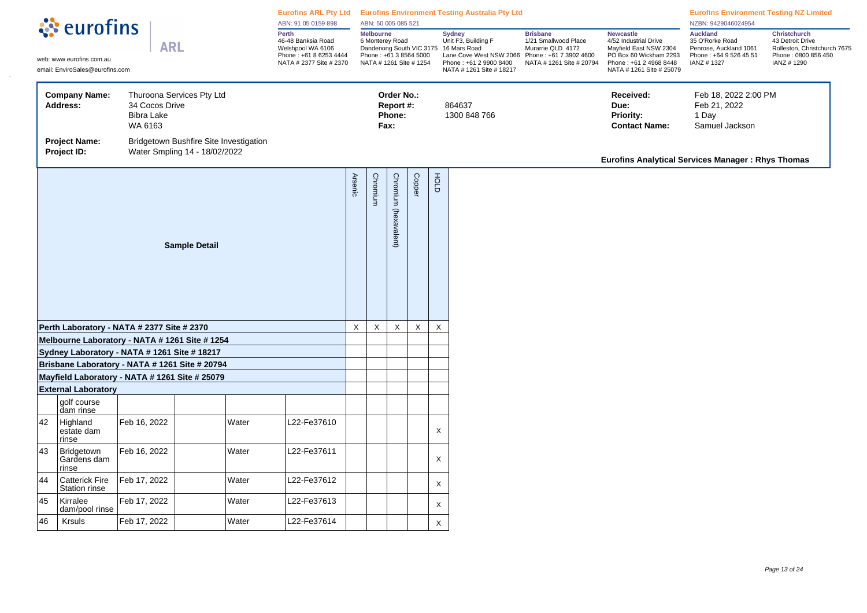|    | ं eurofins                                                                                     |                                                |                                                                         |       | ABN: 91 05 0159 898                                                                                   |                | ABN: 50 005 085 521                 |                                           |                                                   |          | Eurofins ARL Pty Ltd Eurofins Environment Testing Australia Pty Ltd                                                                                            |                                                                                                                    |                                                                                                                                                     | <b>Eurofins Environment Testing NZ Limited</b><br>NZBN: 9429046024954                                |                                                                                                              |
|----|------------------------------------------------------------------------------------------------|------------------------------------------------|-------------------------------------------------------------------------|-------|-------------------------------------------------------------------------------------------------------|----------------|-------------------------------------|-------------------------------------------|---------------------------------------------------|----------|----------------------------------------------------------------------------------------------------------------------------------------------------------------|--------------------------------------------------------------------------------------------------------------------|-----------------------------------------------------------------------------------------------------------------------------------------------------|------------------------------------------------------------------------------------------------------|--------------------------------------------------------------------------------------------------------------|
|    | web: www.eurofins.com.au<br>email: EnviroSales@eurofins.com                                    | <b>ARL</b>                                     |                                                                         |       | Perth<br>46-48 Banksia Road<br>Welshpool WA 6106<br>Phone: +61 8 6253 4444<br>NATA # 2377 Site # 2370 |                | <b>Melbourne</b><br>6 Monterey Road |                                           | Phone: +61 3 8564 5000<br>NATA # 1261 Site # 1254 |          | <b>Sydney</b><br>Unit F3, Building F<br>Dandenong South VIC 3175 16 Mars Road<br>Lane Cove West NSW 2066<br>Phone: +61 2 9900 8400<br>NATA # 1261 Site # 18217 | <b>Brisbane</b><br>1/21 Smallwood Place<br>Murarrie QLD 4172<br>Phone: +61 7 3902 4600<br>NATA # 1261 Site # 20794 | <b>Newcastle</b><br>4/52 Industrial Drive<br>Mayfield East NSW 2304<br>PO Box 60 Wickham 2293<br>Phone: +61 2 4968 8448<br>NATA # 1261 Site # 25079 | <b>Auckland</b><br>35 O'Rorke Road<br>Penrose, Auckland 1061<br>Phone: +64 9 526 45 51<br>IANZ #1327 | <b>Christchurch</b><br>43 Detroit Drive<br>Rolleston, Christchurch 7675<br>Phone: 0800 856 450<br>IANZ #1290 |
|    | <b>Company Name:</b><br><b>Address:</b>                                                        | 34 Cocos Drive<br><b>Bibra Lake</b><br>WA 6163 | Thuroona Services Pty Ltd                                               |       |                                                                                                       |                |                                     | Order No.:<br>Report #:<br>Phone:<br>Fax: |                                                   |          | 864637<br>1300 848 766                                                                                                                                         |                                                                                                                    | Received:<br>Due:<br><b>Priority:</b><br><b>Contact Name:</b>                                                                                       | Feb 18, 2022 2:00 PM<br>Feb 21, 2022<br>1 Day<br>Samuel Jackson                                      |                                                                                                              |
|    | <b>Project Name:</b><br>Project ID:                                                            |                                                | Bridgetown Bushfire Site Investigation<br>Water Smpling 14 - 18/02/2022 |       |                                                                                                       |                |                                     |                                           |                                                   |          |                                                                                                                                                                |                                                                                                                    | <b>Eurofins Analytical Services Manager: Rhys Thomas</b>                                                                                            |                                                                                                      |                                                                                                              |
|    |                                                                                                |                                                | <b>Sample Detail</b>                                                    |       |                                                                                                       | <b>Arsenic</b> | Chromium                            | Chromium (hexavalent)                     | Copper                                            | FOLD     |                                                                                                                                                                |                                                                                                                    |                                                                                                                                                     |                                                                                                      |                                                                                                              |
|    | Perth Laboratory - NATA # 2377 Site # 2370                                                     |                                                |                                                                         |       |                                                                                                       | $\mathsf X$    | $\mathsf X$                         | X                                         | $\mathsf X$                                       | $\times$ |                                                                                                                                                                |                                                                                                                    |                                                                                                                                                     |                                                                                                      |                                                                                                              |
|    | Melbourne Laboratory - NATA # 1261 Site # 1254                                                 |                                                |                                                                         |       |                                                                                                       |                |                                     |                                           |                                                   |          |                                                                                                                                                                |                                                                                                                    |                                                                                                                                                     |                                                                                                      |                                                                                                              |
|    | Sydney Laboratory - NATA # 1261 Site # 18217<br>Brisbane Laboratory - NATA # 1261 Site # 20794 |                                                |                                                                         |       |                                                                                                       |                |                                     |                                           |                                                   |          |                                                                                                                                                                |                                                                                                                    |                                                                                                                                                     |                                                                                                      |                                                                                                              |
|    | Mayfield Laboratory - NATA # 1261 Site # 25079                                                 |                                                |                                                                         |       |                                                                                                       |                |                                     |                                           |                                                   |          |                                                                                                                                                                |                                                                                                                    |                                                                                                                                                     |                                                                                                      |                                                                                                              |
|    | <b>External Laboratory</b>                                                                     |                                                |                                                                         |       |                                                                                                       |                |                                     |                                           |                                                   |          |                                                                                                                                                                |                                                                                                                    |                                                                                                                                                     |                                                                                                      |                                                                                                              |
|    | golf course<br>dam rinse                                                                       |                                                |                                                                         |       |                                                                                                       |                |                                     |                                           |                                                   |          |                                                                                                                                                                |                                                                                                                    |                                                                                                                                                     |                                                                                                      |                                                                                                              |
| 42 | Highland<br>estate dam<br>rinse                                                                | Feb 16, 2022                                   |                                                                         | Water | L22-Fe37610                                                                                           |                |                                     |                                           |                                                   | X        |                                                                                                                                                                |                                                                                                                    |                                                                                                                                                     |                                                                                                      |                                                                                                              |
| 43 | Bridgetown<br>Gardens dam<br>rinse                                                             | Feb 16, 2022                                   |                                                                         | Water | L22-Fe37611                                                                                           |                |                                     |                                           |                                                   | X        |                                                                                                                                                                |                                                                                                                    |                                                                                                                                                     |                                                                                                      |                                                                                                              |
| 44 | <b>Catterick Fire</b><br>Station rinse                                                         | Feb 17, 2022                                   |                                                                         | Water | L22-Fe37612                                                                                           |                |                                     |                                           |                                                   | X        |                                                                                                                                                                |                                                                                                                    |                                                                                                                                                     |                                                                                                      |                                                                                                              |
| 45 | Kirralee<br>dam/pool rinse                                                                     | Feb 17, 2022                                   |                                                                         | Water | L22-Fe37613                                                                                           |                |                                     |                                           |                                                   | X        |                                                                                                                                                                |                                                                                                                    |                                                                                                                                                     |                                                                                                      |                                                                                                              |
| 46 | Krsuls                                                                                         | Feb 17, 2022                                   |                                                                         | Water | L22-Fe37614                                                                                           |                |                                     |                                           |                                                   | X        |                                                                                                                                                                |                                                                                                                    |                                                                                                                                                     |                                                                                                      |                                                                                                              |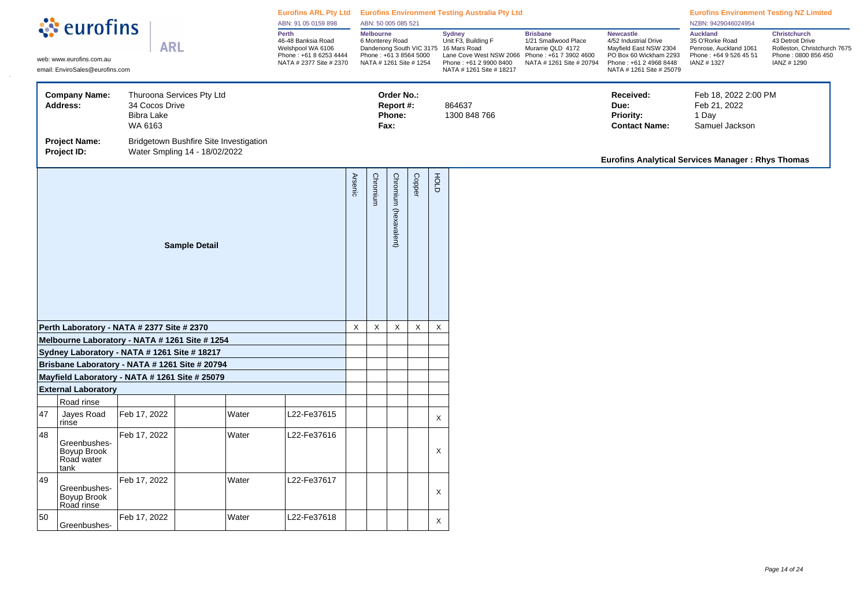|    | े <b>ं</b> eurofins                                                                            |                                                |                                                                         |       | ABN: 91 05 0159 898                                                                                   |                | ABN: 50 005 085 521                                                                      |                                           |               |                           | Eurofins ARL Pty Ltd Eurofins Environment Testing Australia Pty Ltd                                                                                            |                                                                                                                    |                                                                                                                                                     | <b>Eurofins Environment Testing NZ Limited</b><br>NZBN: 9429046024954                                |                                                                                                              |
|----|------------------------------------------------------------------------------------------------|------------------------------------------------|-------------------------------------------------------------------------|-------|-------------------------------------------------------------------------------------------------------|----------------|------------------------------------------------------------------------------------------|-------------------------------------------|---------------|---------------------------|----------------------------------------------------------------------------------------------------------------------------------------------------------------|--------------------------------------------------------------------------------------------------------------------|-----------------------------------------------------------------------------------------------------------------------------------------------------|------------------------------------------------------------------------------------------------------|--------------------------------------------------------------------------------------------------------------|
|    | web: www.eurofins.com.au<br>email: EnviroSales@eurofins.com                                    | <b>ARL</b>                                     |                                                                         |       | Perth<br>46-48 Banksia Road<br>Welshpool WA 6106<br>Phone: +61 8 6253 4444<br>NATA # 2377 Site # 2370 |                | <b>Melbourne</b><br>6 Monterey Road<br>Phone: +61 3 8564 5000<br>NATA # 1261 Site # 1254 |                                           |               |                           | <b>Sydney</b><br>Unit F3, Building F<br>Dandenong South VIC 3175 16 Mars Road<br>Lane Cove West NSW 2066<br>Phone: +61 2 9900 8400<br>NATA # 1261 Site # 18217 | <b>Brisbane</b><br>1/21 Smallwood Place<br>Murarrie QLD 4172<br>Phone: +61 7 3902 4600<br>NATA # 1261 Site # 20794 | <b>Newcastle</b><br>4/52 Industrial Drive<br>Mayfield East NSW 2304<br>PO Box 60 Wickham 2293<br>Phone: +61 2 4968 8448<br>NATA # 1261 Site # 25079 | <b>Auckland</b><br>35 O'Rorke Road<br>Penrose, Auckland 1061<br>Phone: +64 9 526 45 51<br>IANZ #1327 | <b>Christchurch</b><br>43 Detroit Drive<br>Rolleston, Christchurch 7675<br>Phone: 0800 856 450<br>IANZ #1290 |
|    | <b>Company Name:</b><br><b>Address:</b>                                                        | 34 Cocos Drive<br><b>Bibra Lake</b><br>WA 6163 | Thuroona Services Pty Ltd                                               |       |                                                                                                       |                |                                                                                          | Order No.:<br>Report #:<br>Phone:<br>Fax: |               |                           | 864637<br>1300 848 766                                                                                                                                         |                                                                                                                    | Received:<br>Due:<br><b>Priority:</b><br><b>Contact Name:</b>                                                                                       | Feb 18, 2022 2:00 PM<br>Feb 21, 2022<br>1 Day<br>Samuel Jackson                                      |                                                                                                              |
|    | <b>Project Name:</b><br>Project ID:                                                            |                                                | Bridgetown Bushfire Site Investigation<br>Water Smpling 14 - 18/02/2022 |       |                                                                                                       |                |                                                                                          |                                           |               |                           |                                                                                                                                                                |                                                                                                                    | <b>Eurofins Analytical Services Manager: Rhys Thomas</b>                                                                                            |                                                                                                      |                                                                                                              |
|    |                                                                                                |                                                | <b>Sample Detail</b>                                                    |       |                                                                                                       | <b>Arsenic</b> | Chromium                                                                                 | Chromium (hexavalent)                     | <b>Copper</b> | доц                       |                                                                                                                                                                |                                                                                                                    |                                                                                                                                                     |                                                                                                      |                                                                                                              |
|    | Perth Laboratory - NATA # 2377 Site # 2370                                                     |                                                |                                                                         |       |                                                                                                       | $\mathsf{X}$   | $\mathsf X$                                                                              | $\mathsf X$                               | $\mathsf X$   | $\boldsymbol{\mathsf{X}}$ |                                                                                                                                                                |                                                                                                                    |                                                                                                                                                     |                                                                                                      |                                                                                                              |
|    | Melbourne Laboratory - NATA # 1261 Site # 1254<br>Sydney Laboratory - NATA # 1261 Site # 18217 |                                                |                                                                         |       |                                                                                                       |                |                                                                                          |                                           |               |                           |                                                                                                                                                                |                                                                                                                    |                                                                                                                                                     |                                                                                                      |                                                                                                              |
|    | Brisbane Laboratory - NATA # 1261 Site # 20794                                                 |                                                |                                                                         |       |                                                                                                       |                |                                                                                          |                                           |               |                           |                                                                                                                                                                |                                                                                                                    |                                                                                                                                                     |                                                                                                      |                                                                                                              |
|    | Mayfield Laboratory - NATA # 1261 Site # 25079                                                 |                                                |                                                                         |       |                                                                                                       |                |                                                                                          |                                           |               |                           |                                                                                                                                                                |                                                                                                                    |                                                                                                                                                     |                                                                                                      |                                                                                                              |
|    | <b>External Laboratory</b>                                                                     |                                                |                                                                         |       |                                                                                                       |                |                                                                                          |                                           |               |                           |                                                                                                                                                                |                                                                                                                    |                                                                                                                                                     |                                                                                                      |                                                                                                              |
|    | Road rinse                                                                                     |                                                |                                                                         |       |                                                                                                       |                |                                                                                          |                                           |               |                           |                                                                                                                                                                |                                                                                                                    |                                                                                                                                                     |                                                                                                      |                                                                                                              |
| 47 | Jayes Road<br>rinse                                                                            | Feb 17, 2022                                   |                                                                         | Water | L22-Fe37615                                                                                           |                |                                                                                          |                                           |               | X                         |                                                                                                                                                                |                                                                                                                    |                                                                                                                                                     |                                                                                                      |                                                                                                              |
| 48 | Greenbushes-<br>Boyup Brook<br>Road water<br>tank                                              | Feb 17, 2022                                   |                                                                         | Water | L22-Fe37616                                                                                           |                |                                                                                          |                                           |               | X                         |                                                                                                                                                                |                                                                                                                    |                                                                                                                                                     |                                                                                                      |                                                                                                              |
| 49 | Greenbushes-<br>Boyup Brook<br>Road rinse                                                      | Feb 17, 2022                                   |                                                                         | Water | 22-Fe37617_                                                                                           |                |                                                                                          |                                           |               | X                         |                                                                                                                                                                |                                                                                                                    |                                                                                                                                                     |                                                                                                      |                                                                                                              |
| 50 | Greenbushes-                                                                                   | Feb 17, 2022                                   |                                                                         | Water | L22-Fe37618                                                                                           |                |                                                                                          |                                           |               | X                         |                                                                                                                                                                |                                                                                                                    |                                                                                                                                                     |                                                                                                      |                                                                                                              |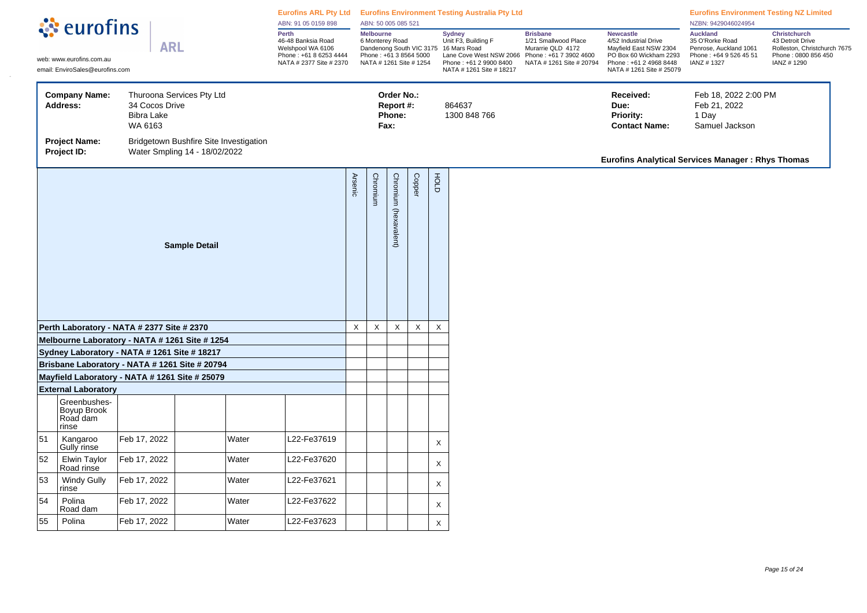| े eurofins<br><b>Auckland</b><br>Perth<br><b>Melbourne</b><br><b>Christchurch</b><br><b>Sydney</b><br><b>Brisbane</b><br><b>Newcastle</b><br>Unit F3, Building F<br>1/21 Smallwood Place<br>35 O'Rorke Road<br>43 Detroit Drive<br>46-48 Banksia Road<br>6 Monterey Road<br>4/52 Industrial Drive<br><b>ARL</b><br>Welshpool WA 6106<br>Dandenong South VIC 3175 16 Mars Road<br>Murarrie QLD 4172<br>Mayfield East NSW 2304<br>Penrose, Auckland 1061<br>Rolleston, Christchurch 7675<br>Phone: +61 8 6253 4444<br>Phone: +61 3 8564 5000<br>Lane Cove West NSW 2066<br>Phone: +64 9 526 45 51<br>Phone: 0800 856 450<br>Phone: +61 7 3902 4600<br>PO Box 60 Wickham 2293<br>web: www.eurofins.com.au<br>NATA # 2377 Site # 2370<br>NATA # 1261 Site # 1254<br>Phone: +61 2 9900 8400<br>NATA # 1261 Site # 20794<br>Phone: +61 2 4968 8448<br>IANZ #1327<br>IANZ #1290<br>email: EnviroSales@eurofins.com<br>NATA # 1261 Site # 18217<br>NATA # 1261 Site # 25079<br>Thuroona Services Pty Ltd<br><b>Company Name:</b><br>Order No.:<br>Received:<br>Feb 18, 2022 2:00 PM<br>34 Cocos Drive<br>864637<br>Due:<br>Address:<br>Report #:<br>Feb 21, 2022<br><b>Bibra Lake</b><br>Phone:<br>1300 848 766<br><b>Priority:</b><br>1 Day<br>WA 6163<br>Fax:<br><b>Contact Name:</b><br>Samuel Jackson<br><b>Project Name:</b><br>Bridgetown Bushfire Site Investigation<br>Project ID:<br>Water Smpling 14 - 18/02/2022<br><b>Eurofins Analytical Services Manager: Rhys Thomas</b><br>Copper<br>FOLD<br><b>Arsenic</b><br>Chromium<br>Chromium (hexavalent)<br><b>Sample Detail</b><br>$\mathsf X$<br>$\mathsf X$<br>$\mathsf X$<br>$\mathsf X$<br>$\boldsymbol{\mathsf{X}}$<br>Perth Laboratory - NATA # 2377 Site # 2370<br>Melbourne Laboratory - NATA # 1261 Site # 1254<br>Sydney Laboratory - NATA # 1261 Site # 18217<br>Brisbane Laboratory - NATA # 1261 Site # 20794<br>Mayfield Laboratory - NATA # 1261 Site # 25079<br><b>External Laboratory</b><br>Greenbushes-<br>Boyup Brook<br>Road dam<br>rinse<br>51<br>Feb 17, 2022<br>Water<br>L22-Fe37619<br>Kangaroo<br>X<br>Gully rinse<br>52<br>Feb 17, 2022<br>Elwin Taylor<br>Water<br>L22-Fe37620<br>X<br>Road rinse<br>53<br>Feb 17, 2022<br><b>Windy Gully</b><br>Water<br>L22-Fe37621<br>X<br>rinse<br>54<br>Polina<br>Feb 17, 2022<br>L22-Fe37622<br>Water<br>X<br>Road dam<br>55<br>Polina<br>Feb 17, 2022<br>L22-Fe37623<br>Water<br>X |  |  | ABN: 91 05 0159 898 | ABN: 50 005 085 521 |  | Eurofins ARL Pty Ltd Eurofins Environment Testing Australia Pty Ltd |  | <b>Eurofins Environment Testing NZ Limited</b><br>NZBN: 9429046024954 |  |
|--------------------------------------------------------------------------------------------------------------------------------------------------------------------------------------------------------------------------------------------------------------------------------------------------------------------------------------------------------------------------------------------------------------------------------------------------------------------------------------------------------------------------------------------------------------------------------------------------------------------------------------------------------------------------------------------------------------------------------------------------------------------------------------------------------------------------------------------------------------------------------------------------------------------------------------------------------------------------------------------------------------------------------------------------------------------------------------------------------------------------------------------------------------------------------------------------------------------------------------------------------------------------------------------------------------------------------------------------------------------------------------------------------------------------------------------------------------------------------------------------------------------------------------------------------------------------------------------------------------------------------------------------------------------------------------------------------------------------------------------------------------------------------------------------------------------------------------------------------------------------------------------------------------------------------------------------------------------------------------------------------------------------------------------------------------------------------------------------------------------------------------------------------------------------------------------------------------------------------------------------------------------------------------------------------------------------------------------------------------------------------------------------------|--|--|---------------------|---------------------|--|---------------------------------------------------------------------|--|-----------------------------------------------------------------------|--|
|                                                                                                                                                                                                                                                                                                                                                                                                                                                                                                                                                                                                                                                                                                                                                                                                                                                                                                                                                                                                                                                                                                                                                                                                                                                                                                                                                                                                                                                                                                                                                                                                                                                                                                                                                                                                                                                                                                                                                                                                                                                                                                                                                                                                                                                                                                                                                                                                        |  |  |                     |                     |  |                                                                     |  |                                                                       |  |
|                                                                                                                                                                                                                                                                                                                                                                                                                                                                                                                                                                                                                                                                                                                                                                                                                                                                                                                                                                                                                                                                                                                                                                                                                                                                                                                                                                                                                                                                                                                                                                                                                                                                                                                                                                                                                                                                                                                                                                                                                                                                                                                                                                                                                                                                                                                                                                                                        |  |  |                     |                     |  |                                                                     |  |                                                                       |  |
|                                                                                                                                                                                                                                                                                                                                                                                                                                                                                                                                                                                                                                                                                                                                                                                                                                                                                                                                                                                                                                                                                                                                                                                                                                                                                                                                                                                                                                                                                                                                                                                                                                                                                                                                                                                                                                                                                                                                                                                                                                                                                                                                                                                                                                                                                                                                                                                                        |  |  |                     |                     |  |                                                                     |  |                                                                       |  |
|                                                                                                                                                                                                                                                                                                                                                                                                                                                                                                                                                                                                                                                                                                                                                                                                                                                                                                                                                                                                                                                                                                                                                                                                                                                                                                                                                                                                                                                                                                                                                                                                                                                                                                                                                                                                                                                                                                                                                                                                                                                                                                                                                                                                                                                                                                                                                                                                        |  |  |                     |                     |  |                                                                     |  |                                                                       |  |
|                                                                                                                                                                                                                                                                                                                                                                                                                                                                                                                                                                                                                                                                                                                                                                                                                                                                                                                                                                                                                                                                                                                                                                                                                                                                                                                                                                                                                                                                                                                                                                                                                                                                                                                                                                                                                                                                                                                                                                                                                                                                                                                                                                                                                                                                                                                                                                                                        |  |  |                     |                     |  |                                                                     |  |                                                                       |  |
|                                                                                                                                                                                                                                                                                                                                                                                                                                                                                                                                                                                                                                                                                                                                                                                                                                                                                                                                                                                                                                                                                                                                                                                                                                                                                                                                                                                                                                                                                                                                                                                                                                                                                                                                                                                                                                                                                                                                                                                                                                                                                                                                                                                                                                                                                                                                                                                                        |  |  |                     |                     |  |                                                                     |  |                                                                       |  |
|                                                                                                                                                                                                                                                                                                                                                                                                                                                                                                                                                                                                                                                                                                                                                                                                                                                                                                                                                                                                                                                                                                                                                                                                                                                                                                                                                                                                                                                                                                                                                                                                                                                                                                                                                                                                                                                                                                                                                                                                                                                                                                                                                                                                                                                                                                                                                                                                        |  |  |                     |                     |  |                                                                     |  |                                                                       |  |
|                                                                                                                                                                                                                                                                                                                                                                                                                                                                                                                                                                                                                                                                                                                                                                                                                                                                                                                                                                                                                                                                                                                                                                                                                                                                                                                                                                                                                                                                                                                                                                                                                                                                                                                                                                                                                                                                                                                                                                                                                                                                                                                                                                                                                                                                                                                                                                                                        |  |  |                     |                     |  |                                                                     |  |                                                                       |  |
|                                                                                                                                                                                                                                                                                                                                                                                                                                                                                                                                                                                                                                                                                                                                                                                                                                                                                                                                                                                                                                                                                                                                                                                                                                                                                                                                                                                                                                                                                                                                                                                                                                                                                                                                                                                                                                                                                                                                                                                                                                                                                                                                                                                                                                                                                                                                                                                                        |  |  |                     |                     |  |                                                                     |  |                                                                       |  |
|                                                                                                                                                                                                                                                                                                                                                                                                                                                                                                                                                                                                                                                                                                                                                                                                                                                                                                                                                                                                                                                                                                                                                                                                                                                                                                                                                                                                                                                                                                                                                                                                                                                                                                                                                                                                                                                                                                                                                                                                                                                                                                                                                                                                                                                                                                                                                                                                        |  |  |                     |                     |  |                                                                     |  |                                                                       |  |
|                                                                                                                                                                                                                                                                                                                                                                                                                                                                                                                                                                                                                                                                                                                                                                                                                                                                                                                                                                                                                                                                                                                                                                                                                                                                                                                                                                                                                                                                                                                                                                                                                                                                                                                                                                                                                                                                                                                                                                                                                                                                                                                                                                                                                                                                                                                                                                                                        |  |  |                     |                     |  |                                                                     |  |                                                                       |  |
|                                                                                                                                                                                                                                                                                                                                                                                                                                                                                                                                                                                                                                                                                                                                                                                                                                                                                                                                                                                                                                                                                                                                                                                                                                                                                                                                                                                                                                                                                                                                                                                                                                                                                                                                                                                                                                                                                                                                                                                                                                                                                                                                                                                                                                                                                                                                                                                                        |  |  |                     |                     |  |                                                                     |  |                                                                       |  |
|                                                                                                                                                                                                                                                                                                                                                                                                                                                                                                                                                                                                                                                                                                                                                                                                                                                                                                                                                                                                                                                                                                                                                                                                                                                                                                                                                                                                                                                                                                                                                                                                                                                                                                                                                                                                                                                                                                                                                                                                                                                                                                                                                                                                                                                                                                                                                                                                        |  |  |                     |                     |  |                                                                     |  |                                                                       |  |
|                                                                                                                                                                                                                                                                                                                                                                                                                                                                                                                                                                                                                                                                                                                                                                                                                                                                                                                                                                                                                                                                                                                                                                                                                                                                                                                                                                                                                                                                                                                                                                                                                                                                                                                                                                                                                                                                                                                                                                                                                                                                                                                                                                                                                                                                                                                                                                                                        |  |  |                     |                     |  |                                                                     |  |                                                                       |  |
|                                                                                                                                                                                                                                                                                                                                                                                                                                                                                                                                                                                                                                                                                                                                                                                                                                                                                                                                                                                                                                                                                                                                                                                                                                                                                                                                                                                                                                                                                                                                                                                                                                                                                                                                                                                                                                                                                                                                                                                                                                                                                                                                                                                                                                                                                                                                                                                                        |  |  |                     |                     |  |                                                                     |  |                                                                       |  |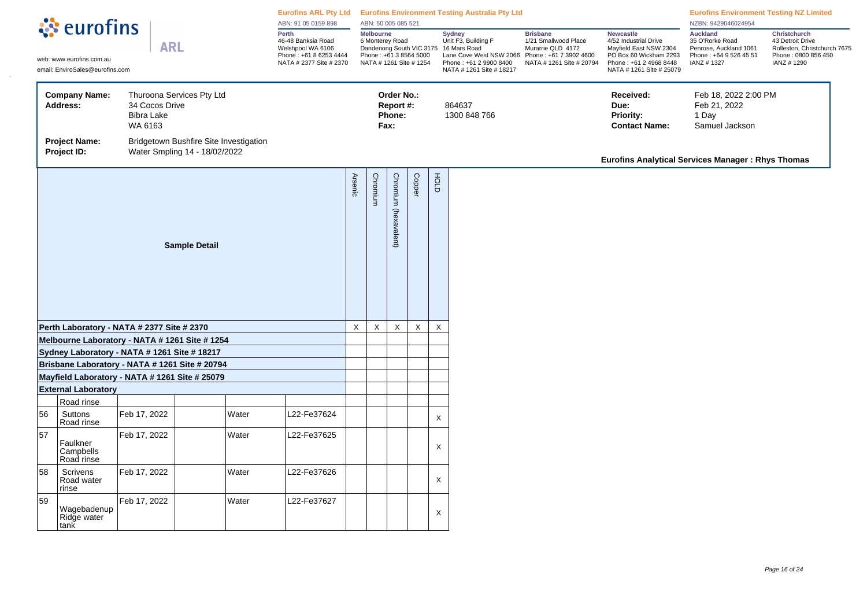|    | <b><i><u></u></i></b> : eurofins                                                               |                                                |                                                                         |       | ABN: 91 05 0159 898                                                                                   |                | ABN: 50 005 085 521                 |                                           |                                                   |                           | Eurofins ARL Pty Ltd Eurofins Environment Testing Australia Pty Ltd                                                                                            |                                                                                                                    |                                                                                                                                                     | <b>Eurofins Environment Testing NZ Limited</b><br>NZBN: 9429046024954                                 |                                                                                                              |
|----|------------------------------------------------------------------------------------------------|------------------------------------------------|-------------------------------------------------------------------------|-------|-------------------------------------------------------------------------------------------------------|----------------|-------------------------------------|-------------------------------------------|---------------------------------------------------|---------------------------|----------------------------------------------------------------------------------------------------------------------------------------------------------------|--------------------------------------------------------------------------------------------------------------------|-----------------------------------------------------------------------------------------------------------------------------------------------------|-------------------------------------------------------------------------------------------------------|--------------------------------------------------------------------------------------------------------------|
|    | web: www.eurofins.com.au<br>email: EnviroSales@eurofins.com                                    | <b>ARL</b>                                     |                                                                         |       | Perth<br>46-48 Banksia Road<br>Welshpool WA 6106<br>Phone: +61 8 6253 4444<br>NATA # 2377 Site # 2370 |                | <b>Melbourne</b><br>6 Monterey Road |                                           | Phone: +61 3 8564 5000<br>NATA # 1261 Site # 1254 |                           | <b>Sydney</b><br>Unit F3, Building F<br>Dandenong South VIC 3175 16 Mars Road<br>Lane Cove West NSW 2066<br>Phone: +61 2 9900 8400<br>NATA # 1261 Site # 18217 | <b>Brisbane</b><br>1/21 Smallwood Place<br>Murarrie QLD 4172<br>Phone: +61 7 3902 4600<br>NATA # 1261 Site # 20794 | <b>Newcastle</b><br>4/52 Industrial Drive<br>Mayfield East NSW 2304<br>PO Box 60 Wickham 2293<br>Phone: +61 2 4968 8448<br>NATA # 1261 Site # 25079 | <b>Auckland</b><br>35 O'Rorke Road<br>Penrose, Auckland 1061<br>Phone: +64 9 526 45 51<br>IANZ # 1327 | <b>Christchurch</b><br>43 Detroit Drive<br>Rolleston, Christchurch 7675<br>Phone: 0800 856 450<br>IANZ #1290 |
|    | <b>Company Name:</b><br>Address:                                                               | 34 Cocos Drive<br><b>Bibra Lake</b><br>WA 6163 | Thuroona Services Pty Ltd                                               |       |                                                                                                       |                |                                     | Order No.:<br>Report #:<br>Phone:<br>Fax: |                                                   |                           | 864637<br>1300 848 766                                                                                                                                         |                                                                                                                    | Received:<br>Due:<br><b>Priority:</b><br><b>Contact Name:</b>                                                                                       | Feb 18, 2022 2:00 PM<br>Feb 21, 2022<br>1 Day<br>Samuel Jackson                                       |                                                                                                              |
|    | <b>Project Name:</b><br>Project ID:                                                            |                                                | Bridgetown Bushfire Site Investigation<br>Water Smpling 14 - 18/02/2022 |       |                                                                                                       |                |                                     |                                           |                                                   |                           |                                                                                                                                                                |                                                                                                                    | <b>Eurofins Analytical Services Manager: Rhys Thomas</b>                                                                                            |                                                                                                       |                                                                                                              |
|    |                                                                                                |                                                | <b>Sample Detail</b>                                                    |       |                                                                                                       | <b>Arsenic</b> | Chromium                            | Chromium (hexavalent)                     | Copper                                            | FOLD                      |                                                                                                                                                                |                                                                                                                    |                                                                                                                                                     |                                                                                                       |                                                                                                              |
|    | Perth Laboratory - NATA # 2377 Site # 2370                                                     |                                                |                                                                         |       |                                                                                                       | $\mathsf X$    | $\mathsf X$                         | X                                         | $\mathsf X$                                       | $\boldsymbol{\mathsf{X}}$ |                                                                                                                                                                |                                                                                                                    |                                                                                                                                                     |                                                                                                       |                                                                                                              |
|    | Melbourne Laboratory - NATA # 1261 Site # 1254                                                 |                                                |                                                                         |       |                                                                                                       |                |                                     |                                           |                                                   |                           |                                                                                                                                                                |                                                                                                                    |                                                                                                                                                     |                                                                                                       |                                                                                                              |
|    | Sydney Laboratory - NATA # 1261 Site # 18217<br>Brisbane Laboratory - NATA # 1261 Site # 20794 |                                                |                                                                         |       |                                                                                                       |                |                                     |                                           |                                                   |                           |                                                                                                                                                                |                                                                                                                    |                                                                                                                                                     |                                                                                                       |                                                                                                              |
|    | Mayfield Laboratory - NATA # 1261 Site # 25079                                                 |                                                |                                                                         |       |                                                                                                       |                |                                     |                                           |                                                   |                           |                                                                                                                                                                |                                                                                                                    |                                                                                                                                                     |                                                                                                       |                                                                                                              |
|    | <b>External Laboratory</b>                                                                     |                                                |                                                                         |       |                                                                                                       |                |                                     |                                           |                                                   |                           |                                                                                                                                                                |                                                                                                                    |                                                                                                                                                     |                                                                                                       |                                                                                                              |
|    | Road rinse                                                                                     |                                                |                                                                         |       |                                                                                                       |                |                                     |                                           |                                                   |                           |                                                                                                                                                                |                                                                                                                    |                                                                                                                                                     |                                                                                                       |                                                                                                              |
| 56 | Suttons<br>Road rinse                                                                          | Feb 17, 2022                                   |                                                                         | Water | L22-Fe37624                                                                                           |                |                                     |                                           |                                                   | X                         |                                                                                                                                                                |                                                                                                                    |                                                                                                                                                     |                                                                                                       |                                                                                                              |
| 57 | Faulkner<br>Campbells<br>Road rinse                                                            | Feb 17, 2022                                   |                                                                         | Water | L22-Fe37625                                                                                           |                |                                     |                                           |                                                   | X                         |                                                                                                                                                                |                                                                                                                    |                                                                                                                                                     |                                                                                                       |                                                                                                              |
| 58 | Scrivens<br>Road water<br>rinse                                                                | Feb 17, 2022                                   |                                                                         | Water | L22-Fe37626                                                                                           |                |                                     |                                           |                                                   | X                         |                                                                                                                                                                |                                                                                                                    |                                                                                                                                                     |                                                                                                       |                                                                                                              |
| 59 | Wagebadenup<br>Ridge water<br>tank                                                             | Feb 17, 2022                                   |                                                                         | Water | L22-Fe37627                                                                                           |                |                                     |                                           |                                                   | X                         |                                                                                                                                                                |                                                                                                                    |                                                                                                                                                     |                                                                                                       |                                                                                                              |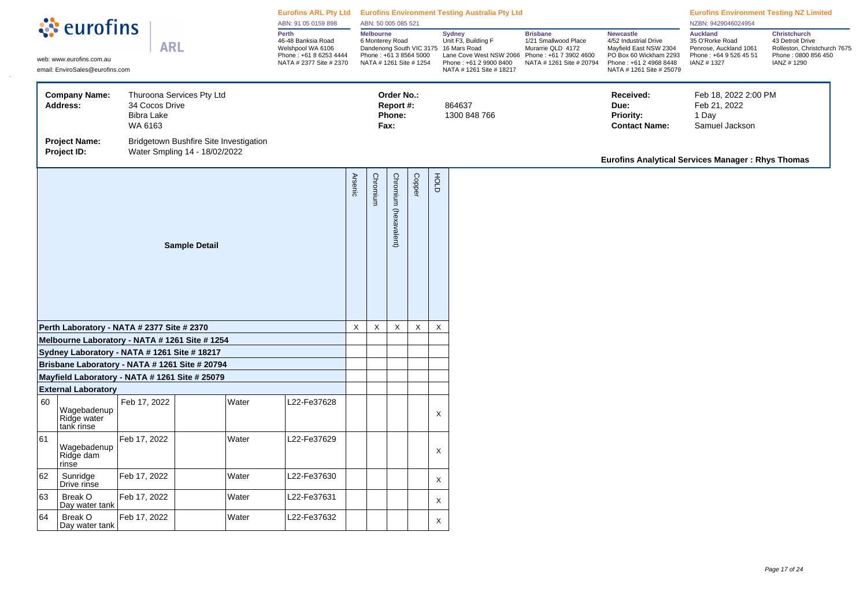|    | ं eurofins                                                                                       |                                                |                                                                         |       | ABN: 91 05 0159 898                                                                                   |                | ABN: 50 005 085 521                                                                      |                                           |             |             | Eurofins ARL Pty Ltd Eurofins Environment Testing Australia Pty Ltd                                                                                            |                                                                                                                    |                                                                                                                                                     | <b>Eurofins Environment Testing NZ Limited</b><br>NZBN: 9429046024954                                |                                                                                                              |
|----|--------------------------------------------------------------------------------------------------|------------------------------------------------|-------------------------------------------------------------------------|-------|-------------------------------------------------------------------------------------------------------|----------------|------------------------------------------------------------------------------------------|-------------------------------------------|-------------|-------------|----------------------------------------------------------------------------------------------------------------------------------------------------------------|--------------------------------------------------------------------------------------------------------------------|-----------------------------------------------------------------------------------------------------------------------------------------------------|------------------------------------------------------------------------------------------------------|--------------------------------------------------------------------------------------------------------------|
|    | web: www.eurofins.com.au<br>email: EnviroSales@eurofins.com                                      | <b>ARL</b>                                     |                                                                         |       | Perth<br>46-48 Banksia Road<br>Welshpool WA 6106<br>Phone: +61 8 6253 4444<br>NATA # 2377 Site # 2370 |                | <b>Melbourne</b><br>6 Monterey Road<br>Phone: +61 3 8564 5000<br>NATA # 1261 Site # 1254 |                                           |             |             | <b>Sydney</b><br>Unit F3, Building F<br>Dandenong South VIC 3175 16 Mars Road<br>Lane Cove West NSW 2066<br>Phone: +61 2 9900 8400<br>NATA # 1261 Site # 18217 | <b>Brisbane</b><br>1/21 Smallwood Place<br>Murarrie QLD 4172<br>Phone: +61 7 3902 4600<br>NATA # 1261 Site # 20794 | <b>Newcastle</b><br>4/52 Industrial Drive<br>Mayfield East NSW 2304<br>PO Box 60 Wickham 2293<br>Phone: +61 2 4968 8448<br>NATA # 1261 Site # 25079 | <b>Auckland</b><br>35 O'Rorke Road<br>Penrose, Auckland 1061<br>Phone: +64 9 526 45 51<br>IANZ #1327 | <b>Christchurch</b><br>43 Detroit Drive<br>Rolleston, Christchurch 7675<br>Phone: 0800 856 450<br>IANZ #1290 |
|    | <b>Company Name:</b><br><b>Address:</b>                                                          | 34 Cocos Drive<br><b>Bibra Lake</b><br>WA 6163 | Thuroona Services Pty Ltd                                               |       |                                                                                                       |                |                                                                                          | Order No.:<br>Report #:<br>Phone:<br>Fax: |             |             | 864637<br>1300 848 766                                                                                                                                         |                                                                                                                    | Received:<br>Due:<br><b>Priority:</b><br><b>Contact Name:</b>                                                                                       | Feb 18, 2022 2:00 PM<br>Feb 21, 2022<br>1 Day<br>Samuel Jackson                                      |                                                                                                              |
|    | <b>Project Name:</b><br>Project ID:                                                              |                                                | Bridgetown Bushfire Site Investigation<br>Water Smpling 14 - 18/02/2022 |       |                                                                                                       |                |                                                                                          |                                           |             |             |                                                                                                                                                                |                                                                                                                    | <b>Eurofins Analytical Services Manager: Rhys Thomas</b>                                                                                            |                                                                                                      |                                                                                                              |
|    |                                                                                                  |                                                | <b>Sample Detail</b>                                                    |       |                                                                                                       | <b>Arsenic</b> | Chromium                                                                                 | Chromium (hexavalent)                     | Copper      | FOLD        |                                                                                                                                                                |                                                                                                                    |                                                                                                                                                     |                                                                                                      |                                                                                                              |
|    | Perth Laboratory - NATA # 2377 Site # 2370                                                       |                                                |                                                                         |       |                                                                                                       | $\mathsf X$    | $\mathsf X$                                                                              | $\mathsf X$                               | $\mathsf X$ | $\mathsf X$ |                                                                                                                                                                |                                                                                                                    |                                                                                                                                                     |                                                                                                      |                                                                                                              |
|    | Melbourne Laboratory - NATA # 1261 Site # 1254                                                   |                                                |                                                                         |       |                                                                                                       |                |                                                                                          |                                           |             |             |                                                                                                                                                                |                                                                                                                    |                                                                                                                                                     |                                                                                                      |                                                                                                              |
|    | Sydney Laboratory - NATA # 1261 Site # 18217                                                     |                                                |                                                                         |       |                                                                                                       |                |                                                                                          |                                           |             |             |                                                                                                                                                                |                                                                                                                    |                                                                                                                                                     |                                                                                                      |                                                                                                              |
|    | Brisbane Laboratory - NATA # 1261 Site # 20794<br>Mayfield Laboratory - NATA # 1261 Site # 25079 |                                                |                                                                         |       |                                                                                                       |                |                                                                                          |                                           |             |             |                                                                                                                                                                |                                                                                                                    |                                                                                                                                                     |                                                                                                      |                                                                                                              |
|    | <b>External Laboratory</b>                                                                       |                                                |                                                                         |       |                                                                                                       |                |                                                                                          |                                           |             |             |                                                                                                                                                                |                                                                                                                    |                                                                                                                                                     |                                                                                                      |                                                                                                              |
| 60 | Wagebadenup<br>Ridge water<br>tank rinse                                                         | Feb 17, 2022                                   |                                                                         | Water | L22-Fe37628                                                                                           |                |                                                                                          |                                           |             | X           |                                                                                                                                                                |                                                                                                                    |                                                                                                                                                     |                                                                                                      |                                                                                                              |
| 61 | Wagebadenup<br>Ridge dam<br>rinse                                                                | Feb 17, 2022                                   |                                                                         | Water | 22-Fe37629                                                                                            |                |                                                                                          |                                           |             | X           |                                                                                                                                                                |                                                                                                                    |                                                                                                                                                     |                                                                                                      |                                                                                                              |
| 62 | Sunridge<br>Drive rinse                                                                          | Feb 17, 2022                                   |                                                                         | Water | L22-Fe37630                                                                                           |                |                                                                                          |                                           |             | X           |                                                                                                                                                                |                                                                                                                    |                                                                                                                                                     |                                                                                                      |                                                                                                              |
| 63 | Break O<br>Day water tank                                                                        | Feb 17, 2022                                   |                                                                         | Water | L22-Fe37631                                                                                           |                |                                                                                          |                                           |             | X           |                                                                                                                                                                |                                                                                                                    |                                                                                                                                                     |                                                                                                      |                                                                                                              |
| 64 | Break O<br>Day water tank                                                                        | Feb 17, 2022                                   |                                                                         | Water | L22-Fe37632                                                                                           |                |                                                                                          |                                           |             | X           |                                                                                                                                                                |                                                                                                                    |                                                                                                                                                     |                                                                                                      |                                                                                                              |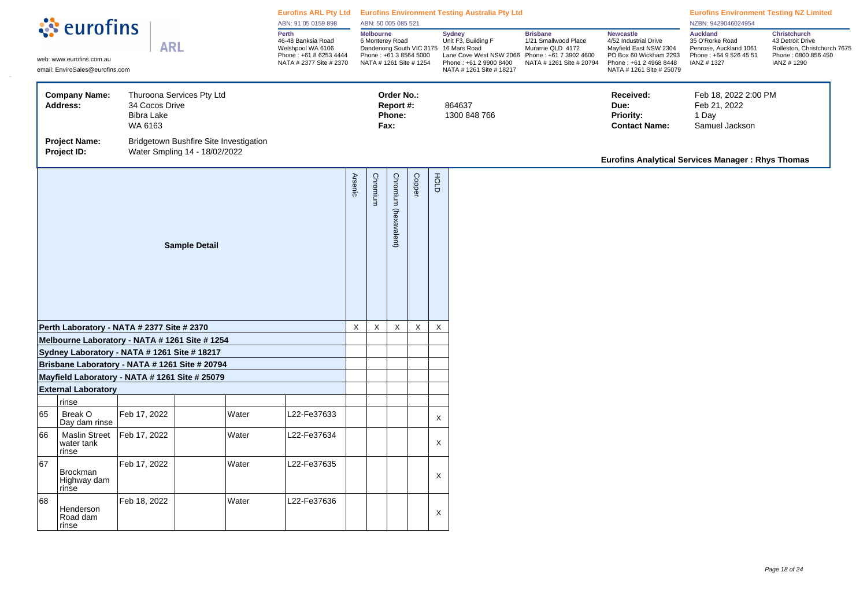|    | ं eurofins                                                                                     |                                                |                                                                         |       | ABN: 91 05 0159 898                                                                                   |                | ABN: 50 005 085 521                 |                                           |                                                   |                           | Eurofins ARL Pty Ltd Eurofins Environment Testing Australia Pty Ltd                                                                                            |                                                                                                                    |                                                                                                                                                     | <b>Eurofins Environment Testing NZ Limited</b><br>NZBN: 9429046024954                                 |                                                                                                              |
|----|------------------------------------------------------------------------------------------------|------------------------------------------------|-------------------------------------------------------------------------|-------|-------------------------------------------------------------------------------------------------------|----------------|-------------------------------------|-------------------------------------------|---------------------------------------------------|---------------------------|----------------------------------------------------------------------------------------------------------------------------------------------------------------|--------------------------------------------------------------------------------------------------------------------|-----------------------------------------------------------------------------------------------------------------------------------------------------|-------------------------------------------------------------------------------------------------------|--------------------------------------------------------------------------------------------------------------|
|    | web: www.eurofins.com.au<br>email: EnviroSales@eurofins.com                                    | <b>ARL</b>                                     |                                                                         |       | Perth<br>46-48 Banksia Road<br>Welshpool WA 6106<br>Phone: +61 8 6253 4444<br>NATA # 2377 Site # 2370 |                | <b>Melbourne</b><br>6 Monterey Road |                                           | Phone: +61 3 8564 5000<br>NATA # 1261 Site # 1254 |                           | <b>Sydney</b><br>Unit F3, Building F<br>Dandenong South VIC 3175 16 Mars Road<br>Lane Cove West NSW 2066<br>Phone: +61 2 9900 8400<br>NATA # 1261 Site # 18217 | <b>Brisbane</b><br>1/21 Smallwood Place<br>Murarrie QLD 4172<br>Phone: +61 7 3902 4600<br>NATA # 1261 Site # 20794 | <b>Newcastle</b><br>4/52 Industrial Drive<br>Mayfield East NSW 2304<br>PO Box 60 Wickham 2293<br>Phone: +61 2 4968 8448<br>NATA # 1261 Site # 25079 | <b>Auckland</b><br>35 O'Rorke Road<br>Penrose, Auckland 1061<br>Phone: +64 9 526 45 51<br>IANZ # 1327 | <b>Christchurch</b><br>43 Detroit Drive<br>Rolleston, Christchurch 7675<br>Phone: 0800 856 450<br>IANZ #1290 |
|    | <b>Company Name:</b><br>Address:                                                               | 34 Cocos Drive<br><b>Bibra Lake</b><br>WA 6163 | Thuroona Services Pty Ltd                                               |       |                                                                                                       |                |                                     | Order No.:<br>Report #:<br>Phone:<br>Fax: |                                                   |                           | 864637<br>1300 848 766                                                                                                                                         |                                                                                                                    | Received:<br>Due:<br><b>Priority:</b><br><b>Contact Name:</b>                                                                                       | Feb 18, 2022 2:00 PM<br>Feb 21, 2022<br>1 Day<br>Samuel Jackson                                       |                                                                                                              |
|    | <b>Project Name:</b><br>Project ID:                                                            |                                                | Bridgetown Bushfire Site Investigation<br>Water Smpling 14 - 18/02/2022 |       |                                                                                                       |                |                                     |                                           |                                                   |                           |                                                                                                                                                                |                                                                                                                    | <b>Eurofins Analytical Services Manager: Rhys Thomas</b>                                                                                            |                                                                                                       |                                                                                                              |
|    |                                                                                                |                                                | <b>Sample Detail</b>                                                    |       |                                                                                                       | <b>Arsenic</b> | Chromium                            | Chromium (hexavalent)                     | Copper                                            | FOLD                      |                                                                                                                                                                |                                                                                                                    |                                                                                                                                                     |                                                                                                       |                                                                                                              |
|    | Perth Laboratory - NATA # 2377 Site # 2370                                                     |                                                |                                                                         |       |                                                                                                       | $\mathsf X$    | $\mathsf X$                         | X                                         | $\mathsf X$                                       | $\boldsymbol{\mathsf{X}}$ |                                                                                                                                                                |                                                                                                                    |                                                                                                                                                     |                                                                                                       |                                                                                                              |
|    | Melbourne Laboratory - NATA # 1261 Site # 1254<br>Sydney Laboratory - NATA # 1261 Site # 18217 |                                                |                                                                         |       |                                                                                                       |                |                                     |                                           |                                                   |                           |                                                                                                                                                                |                                                                                                                    |                                                                                                                                                     |                                                                                                       |                                                                                                              |
|    | Brisbane Laboratory - NATA # 1261 Site # 20794                                                 |                                                |                                                                         |       |                                                                                                       |                |                                     |                                           |                                                   |                           |                                                                                                                                                                |                                                                                                                    |                                                                                                                                                     |                                                                                                       |                                                                                                              |
|    | Mayfield Laboratory - NATA # 1261 Site # 25079                                                 |                                                |                                                                         |       |                                                                                                       |                |                                     |                                           |                                                   |                           |                                                                                                                                                                |                                                                                                                    |                                                                                                                                                     |                                                                                                       |                                                                                                              |
|    | <b>External Laboratory</b>                                                                     |                                                |                                                                         |       |                                                                                                       |                |                                     |                                           |                                                   |                           |                                                                                                                                                                |                                                                                                                    |                                                                                                                                                     |                                                                                                       |                                                                                                              |
|    | rinse                                                                                          |                                                |                                                                         |       |                                                                                                       |                |                                     |                                           |                                                   |                           |                                                                                                                                                                |                                                                                                                    |                                                                                                                                                     |                                                                                                       |                                                                                                              |
| 65 | Break O<br>Day dam rinse                                                                       | Feb 17, 2022                                   |                                                                         | Water | L22-Fe37633                                                                                           |                |                                     |                                           |                                                   | X                         |                                                                                                                                                                |                                                                                                                    |                                                                                                                                                     |                                                                                                       |                                                                                                              |
| 66 | <b>Maslin Street</b><br>water tank<br>rinse                                                    | Feb 17, 2022                                   |                                                                         | Water | L22-Fe37634                                                                                           |                |                                     |                                           |                                                   | X                         |                                                                                                                                                                |                                                                                                                    |                                                                                                                                                     |                                                                                                       |                                                                                                              |
| 67 | Brockman<br>Highway dam<br>rinse                                                               | Feb 17, 2022                                   |                                                                         | Water | L22-Fe37635                                                                                           |                |                                     |                                           |                                                   | X                         |                                                                                                                                                                |                                                                                                                    |                                                                                                                                                     |                                                                                                       |                                                                                                              |
| 68 | Henderson<br>Road dam<br>rinse                                                                 | Feb 18, 2022                                   |                                                                         | Water | L22-Fe37636                                                                                           |                |                                     |                                           |                                                   | X                         |                                                                                                                                                                |                                                                                                                    |                                                                                                                                                     |                                                                                                       |                                                                                                              |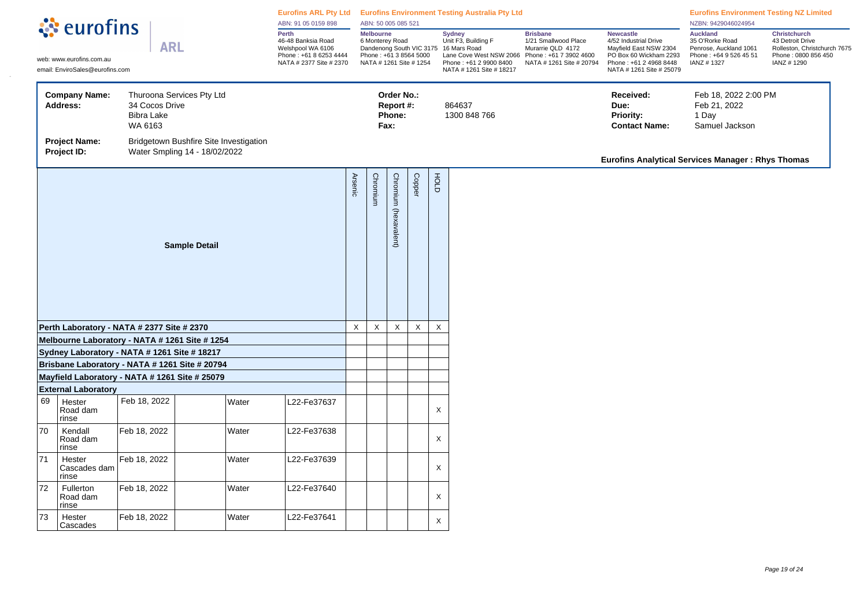|    | ं eurofins                                                                                       |                                                |                                                                         | ABN: 91 05 0159 898                                                                                   |                | ABN: 50 005 085 521                 |                                           |                                                   |             | Eurofins ARL Pty Ltd Eurofins Environment Testing Australia Pty Ltd                                                                                            |                                                                                                                    |                                                                                                                                                     | <b>Eurofins Environment Testing NZ Limited</b><br>NZBN: 9429046024954                                |                                                                                                       |
|----|--------------------------------------------------------------------------------------------------|------------------------------------------------|-------------------------------------------------------------------------|-------------------------------------------------------------------------------------------------------|----------------|-------------------------------------|-------------------------------------------|---------------------------------------------------|-------------|----------------------------------------------------------------------------------------------------------------------------------------------------------------|--------------------------------------------------------------------------------------------------------------------|-----------------------------------------------------------------------------------------------------------------------------------------------------|------------------------------------------------------------------------------------------------------|-------------------------------------------------------------------------------------------------------|
|    | web: www.eurofins.com.au<br>email: EnviroSales@eurofins.com                                      | <b>ARL</b>                                     |                                                                         | Perth<br>46-48 Banksia Road<br>Welshpool WA 6106<br>Phone: +61 8 6253 4444<br>NATA # 2377 Site # 2370 |                | <b>Melbourne</b><br>6 Monterey Road |                                           | Phone: +61 3 8564 5000<br>NATA # 1261 Site # 1254 |             | <b>Sydney</b><br>Unit F3, Building F<br>Dandenong South VIC 3175 16 Mars Road<br>Lane Cove West NSW 2066<br>Phone: +61 2 9900 8400<br>NATA # 1261 Site # 18217 | <b>Brisbane</b><br>1/21 Smallwood Place<br>Murarrie QLD 4172<br>Phone: +61 7 3902 4600<br>NATA # 1261 Site # 20794 | <b>Newcastle</b><br>4/52 Industrial Drive<br>Mayfield East NSW 2304<br>PO Box 60 Wickham 2293<br>Phone: +61 2 4968 8448<br>NATA # 1261 Site # 25079 | <b>Auckland</b><br>35 O'Rorke Road<br>Penrose, Auckland 1061<br>Phone: +64 9 526 45 51<br>IANZ #1327 | Christchurch<br>43 Detroit Drive<br>Rolleston, Christchurch 7675<br>Phone: 0800 856 450<br>IANZ #1290 |
|    | <b>Company Name:</b><br><b>Address:</b>                                                          | 34 Cocos Drive<br><b>Bibra Lake</b><br>WA 6163 | Thuroona Services Pty Ltd                                               |                                                                                                       |                |                                     | Order No.:<br>Report #:<br>Phone:<br>Fax: |                                                   |             | 864637<br>1300 848 766                                                                                                                                         |                                                                                                                    | Received:<br>Due:<br><b>Priority:</b><br><b>Contact Name:</b>                                                                                       | Feb 18, 2022 2:00 PM<br>Feb 21, 2022<br>1 Day<br>Samuel Jackson                                      |                                                                                                       |
|    | <b>Project Name:</b><br>Project ID:                                                              |                                                | Bridgetown Bushfire Site Investigation<br>Water Smpling 14 - 18/02/2022 |                                                                                                       |                |                                     |                                           |                                                   |             |                                                                                                                                                                |                                                                                                                    | <b>Eurofins Analytical Services Manager: Rhys Thomas</b>                                                                                            |                                                                                                      |                                                                                                       |
|    |                                                                                                  |                                                | <b>Sample Detail</b>                                                    |                                                                                                       | <b>Arsenic</b> | Chromium                            | Chromium (hexavalent)                     | Copper                                            | FOLD        |                                                                                                                                                                |                                                                                                                    |                                                                                                                                                     |                                                                                                      |                                                                                                       |
|    | Perth Laboratory - NATA # 2377 Site # 2370                                                       |                                                |                                                                         |                                                                                                       | $\mathsf X$    | $\mathsf X$                         | $\mathsf X$                               | $\mathsf X$                                       | $\times$    |                                                                                                                                                                |                                                                                                                    |                                                                                                                                                     |                                                                                                      |                                                                                                       |
|    | Melbourne Laboratory - NATA # 1261 Site # 1254                                                   |                                                |                                                                         |                                                                                                       |                |                                     |                                           |                                                   |             |                                                                                                                                                                |                                                                                                                    |                                                                                                                                                     |                                                                                                      |                                                                                                       |
|    | Sydney Laboratory - NATA # 1261 Site # 18217                                                     |                                                |                                                                         |                                                                                                       |                |                                     |                                           |                                                   |             |                                                                                                                                                                |                                                                                                                    |                                                                                                                                                     |                                                                                                      |                                                                                                       |
|    | Brisbane Laboratory - NATA # 1261 Site # 20794<br>Mayfield Laboratory - NATA # 1261 Site # 25079 |                                                |                                                                         |                                                                                                       |                |                                     |                                           |                                                   |             |                                                                                                                                                                |                                                                                                                    |                                                                                                                                                     |                                                                                                      |                                                                                                       |
|    | <b>External Laboratory</b>                                                                       |                                                |                                                                         |                                                                                                       |                |                                     |                                           |                                                   |             |                                                                                                                                                                |                                                                                                                    |                                                                                                                                                     |                                                                                                      |                                                                                                       |
| 69 | Hester<br>Road dam<br>rinse                                                                      | Feb 18, 2022                                   | Water                                                                   | L22-Fe37637                                                                                           |                |                                     |                                           |                                                   | X           |                                                                                                                                                                |                                                                                                                    |                                                                                                                                                     |                                                                                                      |                                                                                                       |
| 70 | Kendall<br>Road dam<br>rinse                                                                     | Feb 18, 2022                                   | Water                                                                   | L22-Fe37638                                                                                           |                |                                     |                                           |                                                   | X           |                                                                                                                                                                |                                                                                                                    |                                                                                                                                                     |                                                                                                      |                                                                                                       |
| 71 | Hester<br>Cascades dam<br>rinse                                                                  | Feb 18, 2022                                   | Water                                                                   | L22-Fe37639                                                                                           |                |                                     |                                           |                                                   | X           |                                                                                                                                                                |                                                                                                                    |                                                                                                                                                     |                                                                                                      |                                                                                                       |
| 72 | Fullerton<br>Road dam<br>rinse                                                                   | Feb 18, 2022                                   | Water                                                                   | L22-Fe37640                                                                                           |                |                                     |                                           |                                                   | $\mathsf X$ |                                                                                                                                                                |                                                                                                                    |                                                                                                                                                     |                                                                                                      |                                                                                                       |
| 73 | Hester<br>Cascades                                                                               | Feb 18, 2022                                   | Water                                                                   | L22-Fe37641                                                                                           |                |                                     |                                           |                                                   | X           |                                                                                                                                                                |                                                                                                                    |                                                                                                                                                     |                                                                                                      |                                                                                                       |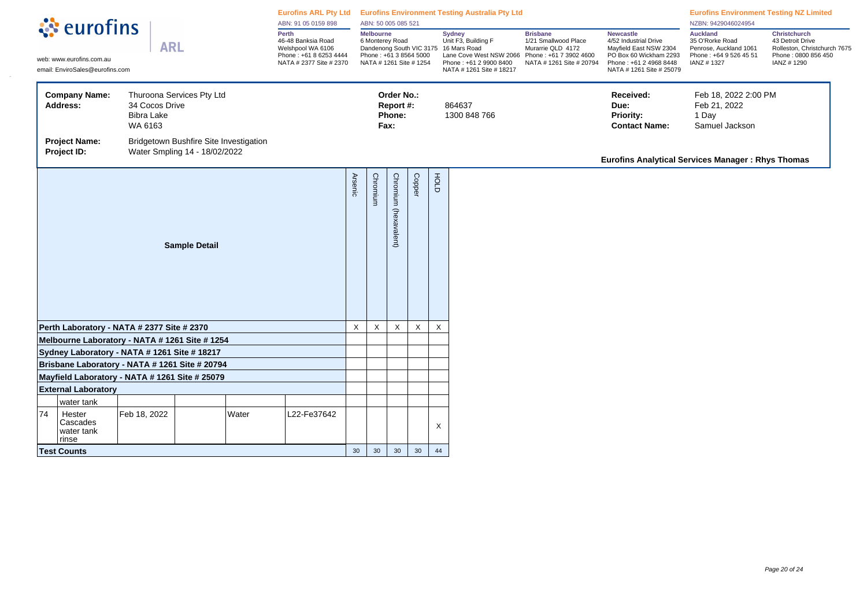|    |                                                                                                |                                                |                                                                     |       | ABN: 91 05 0159 898                                                                                   |          | ABN: 50 005 085 521                                                                      |                                           |                 |                           | Eurofins ARL Pty Ltd Eurofins Environment Testing Australia Pty Ltd                                                                                            |                                                                                                                    |                                                                                                                                                     | <b>Eurofins Environment Testing NZ Limited</b><br>NZBN: 9429046024954                                |                                                                                                              |
|----|------------------------------------------------------------------------------------------------|------------------------------------------------|---------------------------------------------------------------------|-------|-------------------------------------------------------------------------------------------------------|----------|------------------------------------------------------------------------------------------|-------------------------------------------|-----------------|---------------------------|----------------------------------------------------------------------------------------------------------------------------------------------------------------|--------------------------------------------------------------------------------------------------------------------|-----------------------------------------------------------------------------------------------------------------------------------------------------|------------------------------------------------------------------------------------------------------|--------------------------------------------------------------------------------------------------------------|
|    | े <b>ं</b> eurofins<br>web: www.eurofins.com.au<br>email: EnviroSales@eurofins.com             | <b>ARL</b>                                     |                                                                     |       | Perth<br>46-48 Banksia Road<br>Welshpool WA 6106<br>Phone: +61 8 6253 4444<br>NATA # 2377 Site # 2370 |          | <b>Melbourne</b><br>6 Monterey Road<br>Phone: +61 3 8564 5000<br>NATA # 1261 Site # 1254 |                                           |                 |                           | <b>Sydney</b><br>Unit F3, Building F<br>Dandenong South VIC 3175 16 Mars Road<br>Lane Cove West NSW 2066<br>Phone: +61 2 9900 8400<br>NATA # 1261 Site # 18217 | <b>Brisbane</b><br>1/21 Smallwood Place<br>Murarrie QLD 4172<br>Phone: +61 7 3902 4600<br>NATA # 1261 Site # 20794 | <b>Newcastle</b><br>4/52 Industrial Drive<br>Mayfield East NSW 2304<br>PO Box 60 Wickham 2293<br>Phone: +61 2 4968 8448<br>NATA # 1261 Site # 25079 | <b>Auckland</b><br>35 O'Rorke Road<br>Penrose, Auckland 1061<br>Phone: +64 9 526 45 51<br>IANZ #1327 | <b>Christchurch</b><br>43 Detroit Drive<br>Rolleston, Christchurch 7675<br>Phone: 0800 856 450<br>IANZ #1290 |
|    | <b>Company Name:</b><br>Address:<br><b>Project Name:</b>                                       | 34 Cocos Drive<br><b>Bibra Lake</b><br>WA 6163 | Thuroona Services Pty Ltd<br>Bridgetown Bushfire Site Investigation |       |                                                                                                       |          |                                                                                          | Order No.:<br>Report #:<br>Phone:<br>Fax: |                 |                           | 864637<br>1300 848 766                                                                                                                                         |                                                                                                                    | Received:<br>Due:<br>Priority:<br><b>Contact Name:</b>                                                                                              | Feb 18, 2022 2:00 PM<br>Feb 21, 2022<br>1 Day<br>Samuel Jackson                                      |                                                                                                              |
|    | Project ID:                                                                                    |                                                | Water Smpling 14 - 18/02/2022                                       |       |                                                                                                       |          |                                                                                          |                                           |                 |                           |                                                                                                                                                                |                                                                                                                    | Eurofins Analytical Services Manager: Rhys Thomas                                                                                                   |                                                                                                      |                                                                                                              |
|    |                                                                                                | <b>Sample Detail</b>                           |                                                                     |       | Arsenic                                                                                               | Chromium | Chromium<br>(hexavalent)                                                                 | Copper                                    | FOLD            |                           |                                                                                                                                                                |                                                                                                                    |                                                                                                                                                     |                                                                                                      |                                                                                                              |
|    | Perth Laboratory - NATA # 2377 Site # 2370                                                     |                                                |                                                                     |       |                                                                                                       | X        | X                                                                                        | X                                         | $\mathsf{X}$    | $\boldsymbol{\mathsf{X}}$ |                                                                                                                                                                |                                                                                                                    |                                                                                                                                                     |                                                                                                      |                                                                                                              |
|    | Melbourne Laboratory - NATA # 1261 Site # 1254<br>Sydney Laboratory - NATA # 1261 Site # 18217 |                                                |                                                                     |       |                                                                                                       |          |                                                                                          |                                           |                 |                           |                                                                                                                                                                |                                                                                                                    |                                                                                                                                                     |                                                                                                      |                                                                                                              |
|    | Brisbane Laboratory - NATA # 1261 Site # 20794                                                 |                                                |                                                                     |       |                                                                                                       |          |                                                                                          |                                           |                 |                           |                                                                                                                                                                |                                                                                                                    |                                                                                                                                                     |                                                                                                      |                                                                                                              |
|    |                                                                                                |                                                |                                                                     |       |                                                                                                       |          |                                                                                          |                                           |                 |                           |                                                                                                                                                                |                                                                                                                    |                                                                                                                                                     |                                                                                                      |                                                                                                              |
|    | Mayfield Laboratory - NATA # 1261 Site # 25079<br><b>External Laboratory</b>                   |                                                |                                                                     |       |                                                                                                       |          |                                                                                          |                                           |                 |                           |                                                                                                                                                                |                                                                                                                    |                                                                                                                                                     |                                                                                                      |                                                                                                              |
|    | water tank                                                                                     |                                                |                                                                     |       |                                                                                                       |          |                                                                                          |                                           |                 |                           |                                                                                                                                                                |                                                                                                                    |                                                                                                                                                     |                                                                                                      |                                                                                                              |
| 74 | Hester<br>Cascades<br>water tank<br>  rinse                                                    | Feb 18, 2022                                   |                                                                     | Water | L22-Fe37642                                                                                           |          |                                                                                          |                                           |                 | Χ                         |                                                                                                                                                                |                                                                                                                    |                                                                                                                                                     |                                                                                                      |                                                                                                              |
|    | <b>Test Counts</b>                                                                             |                                                |                                                                     |       |                                                                                                       | 30       | 30 <sup>°</sup>                                                                          | 30 <sup>°</sup>                           | 30 <sup>°</sup> | 44                        |                                                                                                                                                                |                                                                                                                    |                                                                                                                                                     |                                                                                                      |                                                                                                              |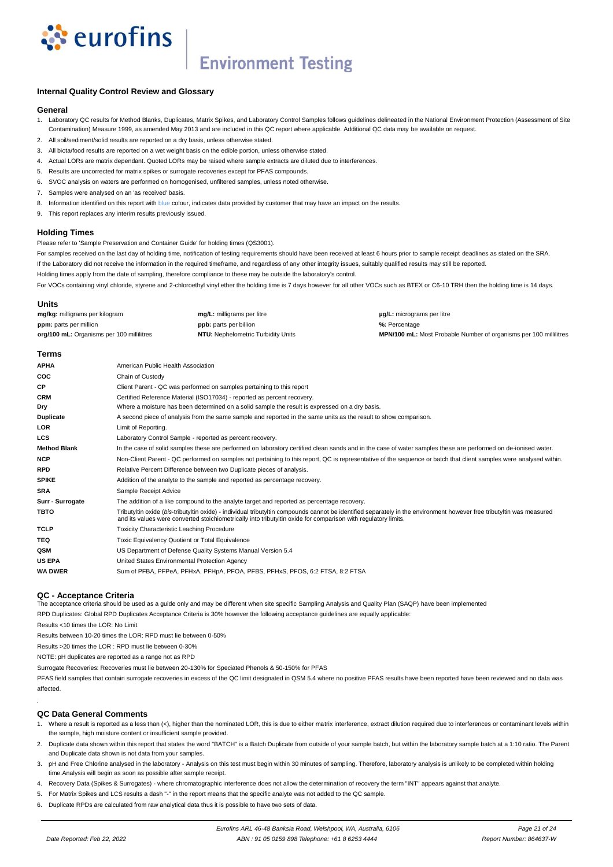

# **Environment Testing**

## **Internal Quality Control Review and Glossary**

### **General**

- 1. Laboratory QC results for Method Blanks, Duplicates, Matrix Spikes, and Laboratory Control Samples follows guidelines delineated in the National Environment Protection (Assessment of Site Contamination) Measure 1999, as amended May 2013 and are included in this QC report where applicable. Additional QC data may be available on request.
- 2. All soil/sediment/solid results are reported on a dry basis, unless otherwise stated.
- 3. All biota/food results are reported on a wet weight basis on the edible portion, unless otherwise stated.
- 4. Actual LORs are matrix dependant. Quoted LORs may be raised where sample extracts are diluted due to interferences.
- 5. Results are uncorrected for matrix spikes or surrogate recoveries except for PFAS compounds.
- 6. SVOC analysis on waters are performed on homogenised, unfiltered samples, unless noted otherwise.
- 7. Samples were analysed on an 'as received' basis.
- 8. Information identified on this report with blue colour, indicates data provided by customer that may have an impact on the results.
- 9. This report replaces any interim results previously issued.

### **Holding Times**

Please refer to 'Sample Preservation and Container Guide' for holding times (QS3001).

For samples received on the last day of holding time, notification of testing requirements should have been received at least 6 hours prior to sample receipt deadlines as stated on the SRA.

If the Laboratory did not receive the information in the required timeframe, and regardless of any other integrity issues, suitably qualified results may still be reported.

Holding times apply from the date of sampling, therefore compliance to these may be outside the laboratory's control.

For VOCs containing vinyl chloride, styrene and 2-chloroethyl vinyl ether the holding time is 7 days however for all other VOCs such as BTEX or C6-10 TRH then the holding time is 14 days.

## **Units**

| mg/kg: milligrams per kilogram            | mg/L: milligrams per litre                | <b>ug/L:</b> micrograms per litre                                        |
|-------------------------------------------|-------------------------------------------|--------------------------------------------------------------------------|
| <b>ppm:</b> parts per million             | <b>ppb:</b> parts per billion             | %: Percentage                                                            |
| org/100 mL: Organisms per 100 millilitres | <b>NTU:</b> Nephelometric Turbidity Units | <b>MPN/100 mL:</b> Most Probable Number of organisms per 100 millilitres |
|                                           |                                           |                                                                          |

### **Terms**

| <b>APHA</b>         | American Public Health Association                                                                                                                                                                                                                                                      |
|---------------------|-----------------------------------------------------------------------------------------------------------------------------------------------------------------------------------------------------------------------------------------------------------------------------------------|
| coc                 | Chain of Custody                                                                                                                                                                                                                                                                        |
| СP                  | Client Parent - QC was performed on samples pertaining to this report                                                                                                                                                                                                                   |
| <b>CRM</b>          | Certified Reference Material (ISO17034) - reported as percent recovery.                                                                                                                                                                                                                 |
| Dry                 | Where a moisture has been determined on a solid sample the result is expressed on a dry basis.                                                                                                                                                                                          |
| <b>Duplicate</b>    | A second piece of analysis from the same sample and reported in the same units as the result to show comparison.                                                                                                                                                                        |
| LOR                 | Limit of Reporting.                                                                                                                                                                                                                                                                     |
| LCS                 | Laboratory Control Sample - reported as percent recovery.                                                                                                                                                                                                                               |
| <b>Method Blank</b> | In the case of solid samples these are performed on laboratory certified clean sands and in the case of water samples these are performed on de-ionised water.                                                                                                                          |
| <b>NCP</b>          | Non-Client Parent - QC performed on samples not pertaining to this report, QC is representative of the sequence or batch that client samples were analysed within.                                                                                                                      |
| <b>RPD</b>          | Relative Percent Difference between two Duplicate pieces of analysis.                                                                                                                                                                                                                   |
| <b>SPIKE</b>        | Addition of the analyte to the sample and reported as percentage recovery.                                                                                                                                                                                                              |
| <b>SRA</b>          | Sample Receipt Advice                                                                                                                                                                                                                                                                   |
| Surr - Surrogate    | The addition of a like compound to the analyte target and reported as percentage recovery.                                                                                                                                                                                              |
| <b>TBTO</b>         | Tributyltin oxide (bis-tributyltin oxide) - individual tributyltin compounds cannot be identified separately in the environment however free tributyltin was measured<br>and its values were converted stoichiometrically into tributyltin oxide for comparison with regulatory limits. |
| TCLP                | <b>Toxicity Characteristic Leaching Procedure</b>                                                                                                                                                                                                                                       |
| TEQ                 | Toxic Equivalency Quotient or Total Equivalence                                                                                                                                                                                                                                         |
| QSM                 | US Department of Defense Quality Systems Manual Version 5.4                                                                                                                                                                                                                             |
| <b>US EPA</b>       | United States Environmental Protection Agency                                                                                                                                                                                                                                           |
| <b>WA DWER</b>      | Sum of PFBA, PFPeA, PFHxA, PFHpA, PFOA, PFBS, PFHxS, PFOS, 6:2 FTSA, 8:2 FTSA                                                                                                                                                                                                           |

### **QC - Acceptance Criteria**

The acceptance criteria should be used as a guide only and may be different when site specific Sampling Analysis and Quality Plan (SAQP) have been implemented

RPD Duplicates: Global RPD Duplicates Acceptance Criteria is 30% however the following acceptance guidelines are equally applicable:

Results <10 times the LOR: No Limit

Results between 10-20 times the LOR: RPD must lie between 0-50%

Results >20 times the LOR : RPD must lie between 0-30%

NOTE: pH duplicates are reported as a range not as RPD

Surrogate Recoveries: Recoveries must lie between 20-130% for Speciated Phenols & 50-150% for PFAS

PFAS field samples that contain surrogate recoveries in excess of the QC limit designated in QSM 5.4 where no positive PFAS results have been reported have been reviewed and no data was affected.

## **QC Data General Comments**

.

- 1. Where a result is reported as a less than (<), higher than the nominated LOR, this is due to either matrix interference, extract dilution required due to interferences or contaminant levels within the sample, high moisture content or insufficient sample provided.
- 2. Duplicate data shown within this report that states the word "BATCH" is a Batch Duplicate from outside of your sample batch, but within the laboratory sample batch at a 1:10 ratio. The Parent and Duplicate data shown is not data from your samples.
- 3. pH and Free Chlorine analysed in the laboratory Analysis on this test must begin within 30 minutes of sampling. Therefore, laboratory analysis is unlikely to be completed within holding time.Analysis will begin as soon as possible after sample receipt.
- 4. Recovery Data (Spikes & Surrogates) where chromatographic interference does not allow the determination of recovery the term "INT" appears against that analyte.
- 5. For Matrix Spikes and LCS results a dash "-" in the report means that the specific analyte was not added to the QC sample.
- 6. Duplicate RPDs are calculated from raw analytical data thus it is possible to have two sets of data.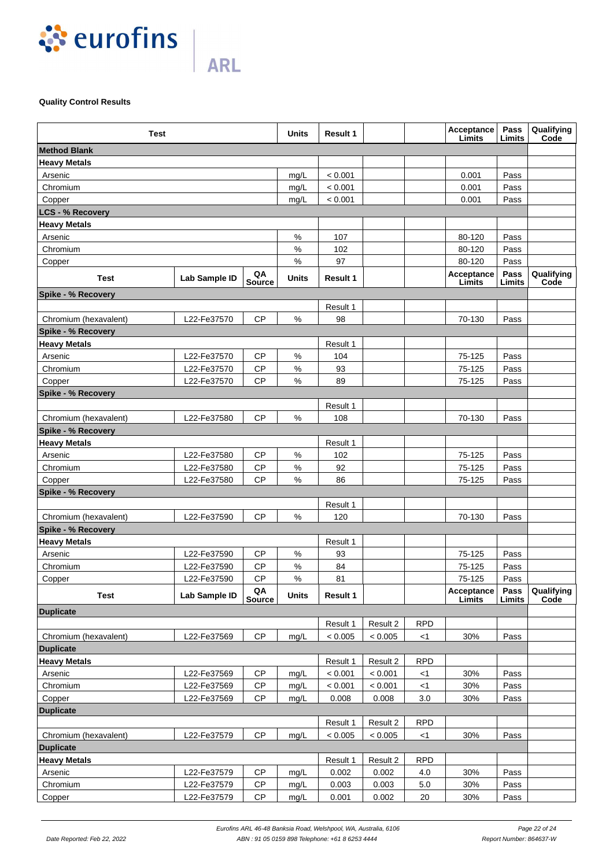

# **Quality Control Results**

| <b>Test</b>               |               |              | <b>Units</b> | <b>Result 1</b> |          |            | Acceptance<br>Limits | Pass<br>Limits | Qualifying<br>Code |
|---------------------------|---------------|--------------|--------------|-----------------|----------|------------|----------------------|----------------|--------------------|
| <b>Method Blank</b>       |               |              |              |                 |          |            |                      |                |                    |
| <b>Heavy Metals</b>       |               |              |              |                 |          |            |                      |                |                    |
| Arsenic                   |               |              | mg/L         | < 0.001         |          |            | 0.001                | Pass           |                    |
| Chromium                  |               |              | mg/L         | < 0.001         |          |            | 0.001                | Pass           |                    |
| Copper                    |               |              | mg/L         | < 0.001         |          |            | 0.001                | Pass           |                    |
| <b>LCS - % Recovery</b>   |               |              |              |                 |          |            |                      |                |                    |
| <b>Heavy Metals</b>       |               |              |              |                 |          |            |                      |                |                    |
| Arsenic                   |               |              | %            | 107             |          |            | 80-120               | Pass           |                    |
| Chromium                  |               |              | %            | 102             |          |            | 80-120               | Pass           |                    |
| Copper                    |               |              | $\%$         | 97              |          |            | 80-120               | Pass           |                    |
| Test                      | Lab Sample ID | QA<br>Source | Units        | <b>Result 1</b> |          |            | Acceptance<br>Limits | Pass<br>Limits | Qualifying<br>Code |
| Spike - % Recovery        |               |              |              |                 |          |            |                      |                |                    |
|                           |               |              |              | Result 1        |          |            |                      |                |                    |
| Chromium (hexavalent)     | L22-Fe37570   | <b>CP</b>    | %            | 98              |          |            | 70-130               | Pass           |                    |
| <b>Spike - % Recovery</b> |               |              |              |                 |          |            |                      |                |                    |
| <b>Heavy Metals</b>       |               |              |              | Result 1        |          |            |                      |                |                    |
| Arsenic                   | L22-Fe37570   | <b>CP</b>    | $\%$         | 104             |          |            | 75-125               | Pass           |                    |
| Chromium                  | L22-Fe37570   | <b>CP</b>    | $\%$         | 93              |          |            | 75-125               | Pass           |                    |
| Copper                    | L22-Fe37570   | <b>CP</b>    | $\%$         | 89              |          |            | 75-125               | Pass           |                    |
| <b>Spike - % Recovery</b> |               |              |              |                 |          |            |                      |                |                    |
|                           |               |              |              | Result 1        |          |            |                      |                |                    |
| Chromium (hexavalent)     | L22-Fe37580   | <b>CP</b>    | %            | 108             |          |            | 70-130               | Pass           |                    |
| <b>Spike - % Recovery</b> |               |              |              |                 |          |            |                      |                |                    |
| <b>Heavy Metals</b>       |               |              |              | Result 1        |          |            |                      |                |                    |
| Arsenic                   | L22-Fe37580   | <b>CP</b>    | $\%$         | 102             |          |            | 75-125               | Pass           |                    |
| Chromium                  | L22-Fe37580   | <b>CP</b>    | $\%$         | 92              |          |            | 75-125               | Pass           |                    |
| Copper                    | L22-Fe37580   | <b>CP</b>    | $\%$         | 86              |          |            | 75-125               | Pass           |                    |
| <b>Spike - % Recovery</b> |               |              |              |                 |          |            |                      |                |                    |
|                           |               |              |              | Result 1        |          |            |                      |                |                    |
| Chromium (hexavalent)     | L22-Fe37590   | <b>CP</b>    | %            | 120             |          |            | 70-130               | Pass           |                    |
| Spike - % Recovery        |               |              |              |                 |          |            |                      |                |                    |
| <b>Heavy Metals</b>       |               |              |              | Result 1        |          |            |                      |                |                    |
| Arsenic                   | L22-Fe37590   | <b>CP</b>    | $\%$         | 93              |          |            | 75-125               | Pass           |                    |
| Chromium                  | L22-Fe37590   | <b>CP</b>    | $\%$         | 84              |          |            | 75-125               | Pass           |                    |
| Copper                    | L22-Fe37590   | <b>CP</b>    | $\%$         | 81              |          |            | 75-125               | Pass           |                    |
| Test                      | Lab Sample ID | QA<br>Source | Units        | Result 1        |          |            | Acceptance<br>Limits | Pass<br>Limits | Qualifying<br>Code |
| <b>Duplicate</b>          |               |              |              |                 |          |            |                      |                |                    |
|                           |               |              |              | Result 1        | Result 2 | <b>RPD</b> |                      |                |                    |
| Chromium (hexavalent)     | L22-Fe37569   | <b>CP</b>    | mg/L         | < 0.005         | < 0.005  | <1         | 30%                  | Pass           |                    |
| <b>Duplicate</b>          |               |              |              |                 |          |            |                      |                |                    |
| <b>Heavy Metals</b>       |               |              |              | Result 1        | Result 2 | <b>RPD</b> |                      |                |                    |
| Arsenic                   | L22-Fe37569   | СP           | mg/L         | < 0.001         | < 0.001  | <1         | 30%                  | Pass           |                    |
| Chromium                  | L22-Fe37569   | <b>CP</b>    | mg/L         | < 0.001         | < 0.001  | $<$ 1      | 30%                  | Pass           |                    |
| Copper                    | L22-Fe37569   | <b>CP</b>    | mg/L         | 0.008           | 0.008    | 3.0        | 30%                  | Pass           |                    |
| <b>Duplicate</b>          |               |              |              |                 |          |            |                      |                |                    |
|                           |               |              |              | Result 1        | Result 2 | <b>RPD</b> |                      |                |                    |
| Chromium (hexavalent)     | L22-Fe37579   | CP           | mg/L         | < 0.005         | < 0.005  | <1         | 30%                  | Pass           |                    |
| <b>Duplicate</b>          |               |              |              |                 |          |            |                      |                |                    |
| <b>Heavy Metals</b>       |               |              |              | Result 1        | Result 2 | <b>RPD</b> |                      |                |                    |
| Arsenic                   | L22-Fe37579   | <b>CP</b>    | mg/L         | 0.002           | 0.002    | 4.0        | 30%                  | Pass           |                    |
| Chromium                  | L22-Fe37579   | <b>CP</b>    | mg/L         | 0.003           | 0.003    | 5.0        | 30%                  | Pass           |                    |
| Copper                    | L22-Fe37579   | <b>CP</b>    | mg/L         | 0.001           | 0.002    | 20         | 30%                  | Pass           |                    |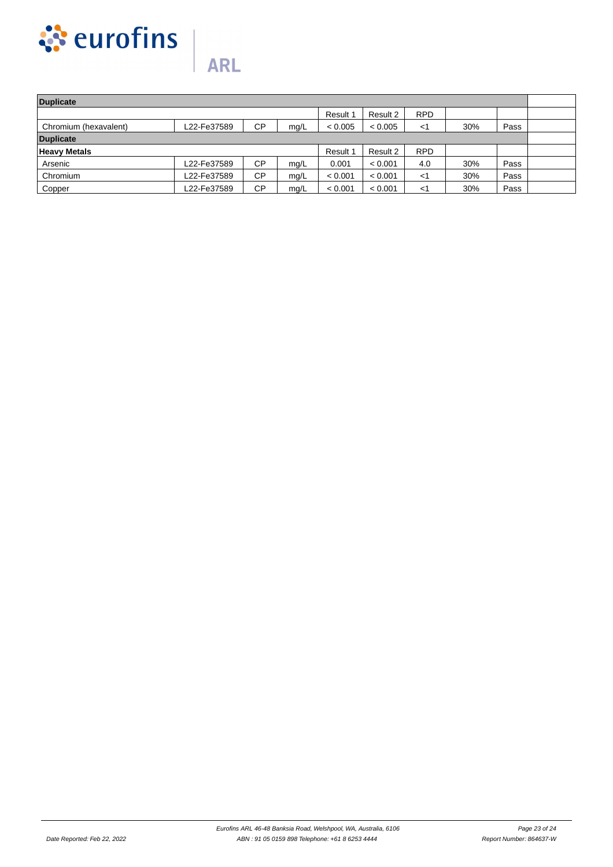

| Duplicate             |             |           |      |          |          |            |     |      |  |
|-----------------------|-------------|-----------|------|----------|----------|------------|-----|------|--|
|                       |             |           |      | Result 1 | Result 2 | <b>RPD</b> |     |      |  |
| Chromium (hexavalent) | L22-Fe37589 | <b>CP</b> | mq/L | < 0.005  | < 0.005  | $\lt'$     | 30% | Pass |  |
| <b>Duplicate</b>      |             |           |      |          |          |            |     |      |  |
| <b>Heavy Metals</b>   |             |           |      | Result 1 | Result 2 | <b>RPD</b> |     |      |  |
| Arsenic               | L22-Fe37589 | <b>CP</b> | mg/L | 0.001    | < 0.001  | 4.0        | 30% | Pass |  |
| Chromium              | L22-Fe37589 | <b>CP</b> | mg/L | < 0.001  | < 0.001  | <1         | 30% | Pass |  |
| Copper                | L22-Fe37589 | <b>CP</b> | mq/L | < 0.001  | < 0.001  | <1         | 30% | Pass |  |